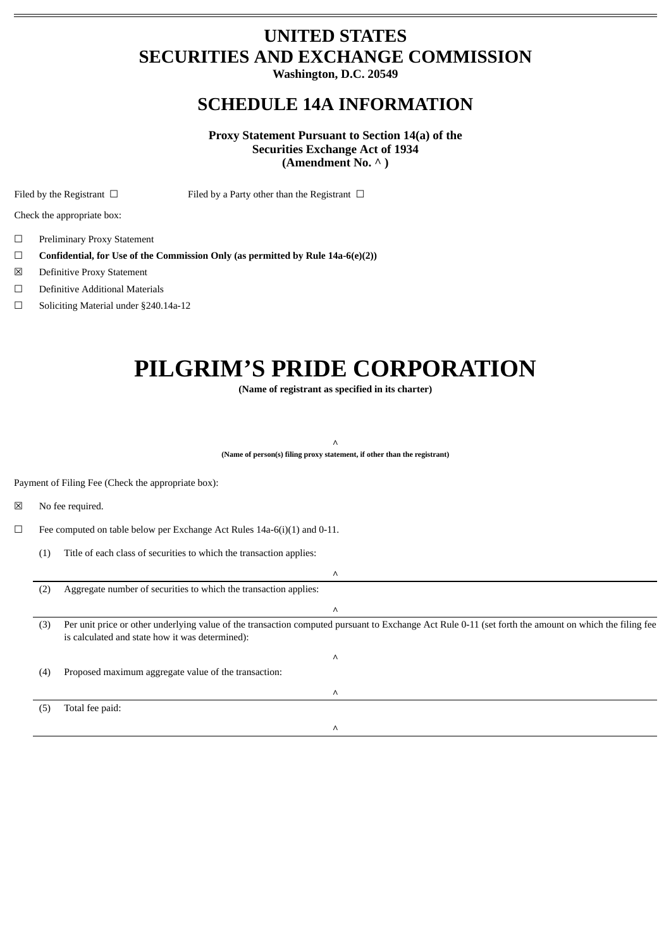# **UNITED STATES SECURITIES AND EXCHANGE COMMISSION**

**Washington, D.C. 20549**

# **SCHEDULE 14A INFORMATION**

**Proxy Statement Pursuant to Section 14(a) of the Securities Exchange Act of 1934 (Amendment No. ^ )**

Filed by the Registrant □ Filed by a Party other than the Registrant □

Check the appropriate box:

- ☐ Preliminary Proxy Statement
- ☐ **Confidential, for Use of the Commission Only (as permitted by Rule 14a-6(e)(2))**
- ☒ Definitive Proxy Statement
- ☐ Definitive Additional Materials
- ☐ Soliciting Material under §240.14a-12

# **PILGRIM'S PRIDE CORPORATION**

**(Name of registrant as specified in its charter)**

**^**

**(Name of person(s) filing proxy statement, if other than the registrant)**

Payment of Filing Fee (Check the appropriate box):

☒ No fee required.

 $\Box$  Fee computed on table below per Exchange Act Rules 14a-6(i)(1) and 0-11.

(1) Title of each class of securities to which the transaction applies:

|     | Λ                                                                                                                                                                                                        |
|-----|----------------------------------------------------------------------------------------------------------------------------------------------------------------------------------------------------------|
| (2) | Aggregate number of securities to which the transaction applies:                                                                                                                                         |
|     | ٨                                                                                                                                                                                                        |
| (3) | Per unit price or other underlying value of the transaction computed pursuant to Exchange Act Rule 0-11 (set forth the amount on which the filing fee<br>is calculated and state how it was determined): |
|     | Λ                                                                                                                                                                                                        |
| (4) | Proposed maximum aggregate value of the transaction:                                                                                                                                                     |
|     | Λ                                                                                                                                                                                                        |
| (5  | Total fee paid:                                                                                                                                                                                          |
|     | Λ                                                                                                                                                                                                        |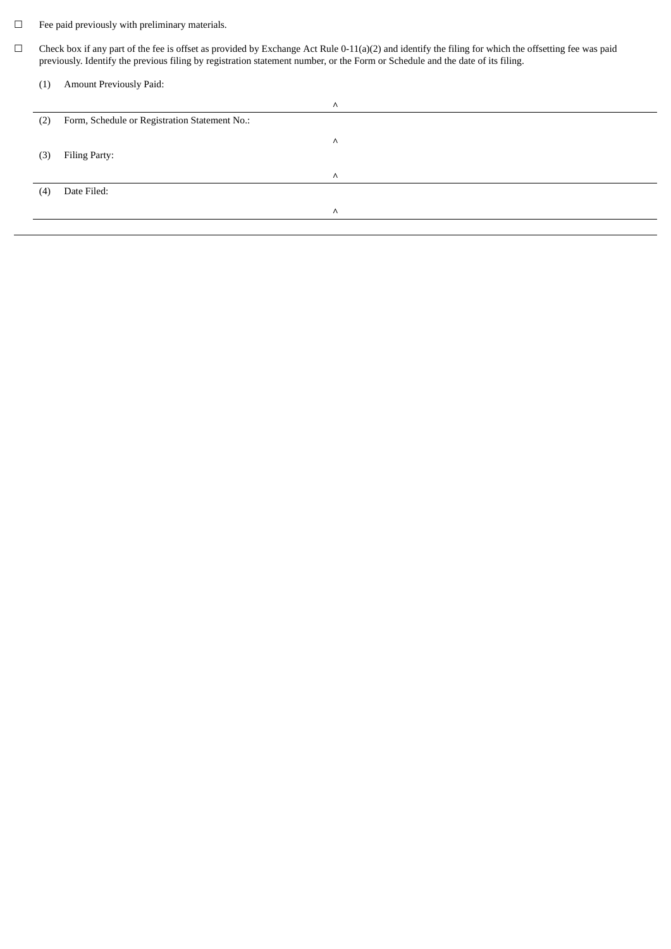- $\Box$  <br>Fee paid previously with preliminary materials.
- $\Box$  Check box if any part of the fee is offset as provided by Exchange Act Rule 0-11(a)(2) and identify the filing for which the offsetting fee was paid previously. Identify the previous filing by registration statement number, or the Form or Schedule and the date of its filing.

| (1) | Amount Previously Paid: |
|-----|-------------------------|
|-----|-------------------------|

|     |                                               | Λ |
|-----|-----------------------------------------------|---|
| (2) | Form, Schedule or Registration Statement No.: |   |
|     |                                               | Λ |
| (3) | Filing Party:                                 |   |
|     |                                               | Λ |
| (4) | Date Filed:                                   |   |
|     |                                               | Λ |
|     |                                               |   |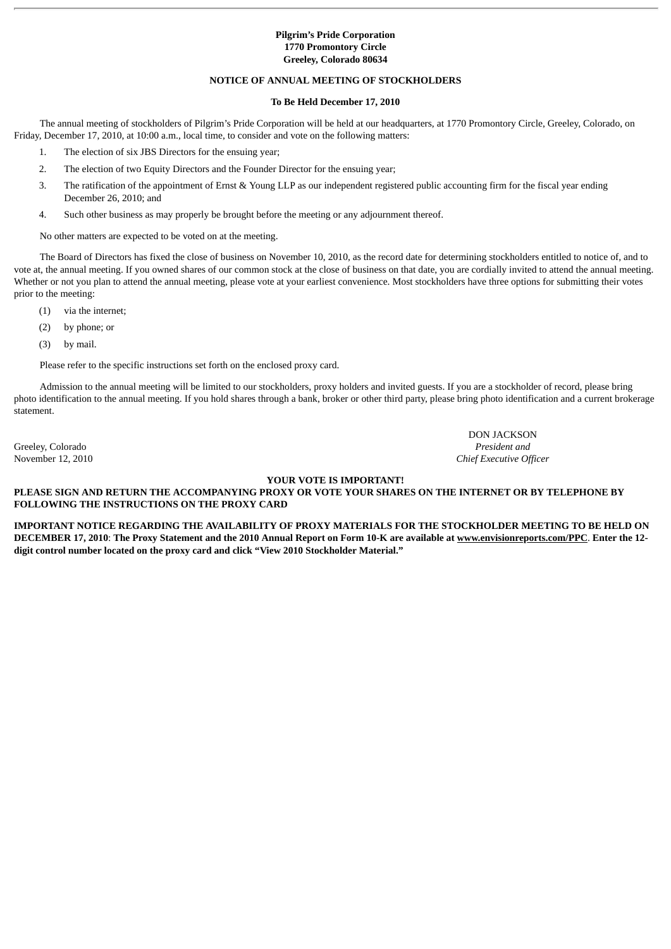# **Pilgrim's Pride Corporation 1770 Promontory Circle Greeley, Colorado 80634**

# **NOTICE OF ANNUAL MEETING OF STOCKHOLDERS**

# **To Be Held December 17, 2010**

The annual meeting of stockholders of Pilgrim's Pride Corporation will be held at our headquarters, at 1770 Promontory Circle, Greeley, Colorado, on Friday, December 17, 2010, at 10:00 a.m., local time, to consider and vote on the following matters:

- 1. The election of six JBS Directors for the ensuing year;
- 2. The election of two Equity Directors and the Founder Director for the ensuing year;
- 3. The ratification of the appointment of Ernst & Young LLP as our independent registered public accounting firm for the fiscal year ending December 26, 2010; and
- 4. Such other business as may properly be brought before the meeting or any adjournment thereof.

No other matters are expected to be voted on at the meeting.

The Board of Directors has fixed the close of business on November 10, 2010, as the record date for determining stockholders entitled to notice of, and to vote at, the annual meeting. If you owned shares of our common stock at the close of business on that date, you are cordially invited to attend the annual meeting. Whether or not you plan to attend the annual meeting, please vote at your earliest convenience. Most stockholders have three options for submitting their votes prior to the meeting:

- (1) via the internet;
- (2) by phone; or
- (3) by mail.

Please refer to the specific instructions set forth on the enclosed proxy card.

Admission to the annual meeting will be limited to our stockholders, proxy holders and invited guests. If you are a stockholder of record, please bring photo identification to the annual meeting. If you hold shares through a bank, broker or other third party, please bring photo identification and a current brokerage statement.

Greeley, Colorado *President and*

DON JACKSON November 12, 2010 *Chief Executive Officer*

# **YOUR VOTE IS IMPORTANT!**

**PLEASE SIGN AND RETURN THE ACCOMPANYING PROXY OR VOTE YOUR SHARES ON THE INTERNET OR BY TELEPHONE BY FOLLOWING THE INSTRUCTIONS ON THE PROXY CARD**

**IMPORTANT NOTICE REGARDING THE AVAILABILITY OF PROXY MATERIALS FOR THE STOCKHOLDER MEETING TO BE HELD ON DECEMBER 17, 2010**: **The Proxy Statement and the 2010 Annual Report on Form 10-K are available at www.envisionreports.com/PPC**. **Enter the 12 digit control number located on the proxy card and click "View 2010 Stockholder Material."**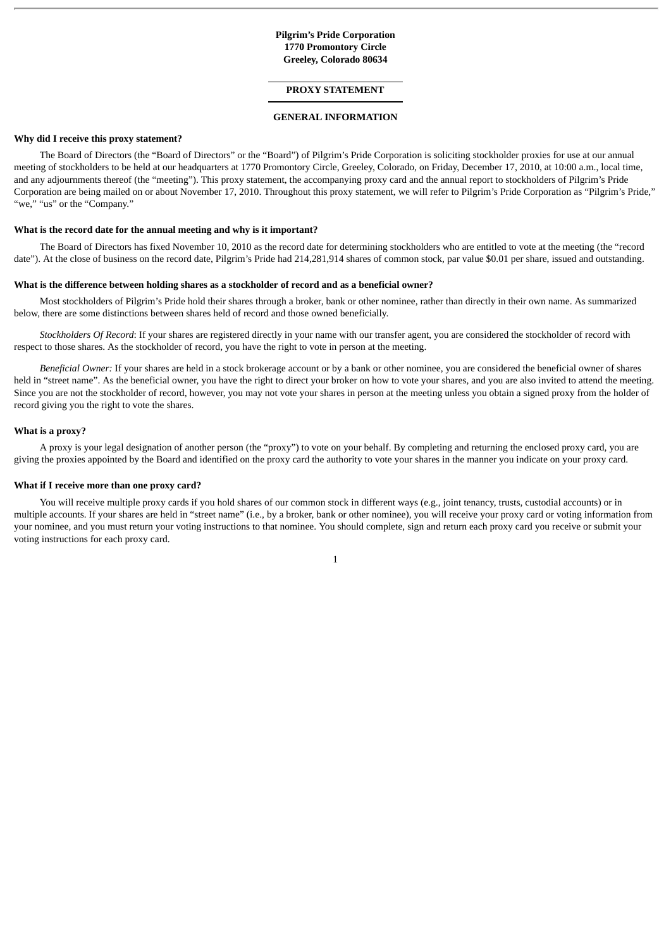# **Pilgrim's Pride Corporation 1770 Promontory Circle Greeley, Colorado 80634**

# **PROXY STATEMENT**

# **GENERAL INFORMATION**

#### **Why did I receive this proxy statement?**

The Board of Directors (the "Board of Directors" or the "Board") of Pilgrim's Pride Corporation is soliciting stockholder proxies for use at our annual meeting of stockholders to be held at our headquarters at 1770 Promontory Circle, Greeley, Colorado, on Friday, December 17, 2010, at 10:00 a.m., local time, and any adjournments thereof (the "meeting"). This proxy statement, the accompanying proxy card and the annual report to stockholders of Pilgrim's Pride Corporation are being mailed on or about November 17, 2010. Throughout this proxy statement, we will refer to Pilgrim's Pride Corporation as "Pilgrim's Pride," "we," "us" or the "Company."

#### **What is the record date for the annual meeting and why is it important?**

The Board of Directors has fixed November 10, 2010 as the record date for determining stockholders who are entitled to vote at the meeting (the "record date"). At the close of business on the record date, Pilgrim's Pride had 214,281,914 shares of common stock, par value \$0.01 per share, issued and outstanding.

#### **What is the difference between holding shares as a stockholder of record and as a beneficial owner?**

Most stockholders of Pilgrim's Pride hold their shares through a broker, bank or other nominee, rather than directly in their own name. As summarized below, there are some distinctions between shares held of record and those owned beneficially.

*Stockholders Of Record*: If your shares are registered directly in your name with our transfer agent, you are considered the stockholder of record with respect to those shares. As the stockholder of record, you have the right to vote in person at the meeting.

*Beneficial Owner:* If your shares are held in a stock brokerage account or by a bank or other nominee, you are considered the beneficial owner of shares held in "street name". As the beneficial owner, you have the right to direct your broker on how to vote your shares, and you are also invited to attend the meeting. Since you are not the stockholder of record, however, you may not vote your shares in person at the meeting unless you obtain a signed proxy from the holder of record giving you the right to vote the shares.

#### **What is a proxy?**

A proxy is your legal designation of another person (the "proxy") to vote on your behalf. By completing and returning the enclosed proxy card, you are giving the proxies appointed by the Board and identified on the proxy card the authority to vote your shares in the manner you indicate on your proxy card.

#### **What if I receive more than one proxy card?**

You will receive multiple proxy cards if you hold shares of our common stock in different ways (e.g., joint tenancy, trusts, custodial accounts) or in multiple accounts. If your shares are held in "street name" (i.e., by a broker, bank or other nominee), you will receive your proxy card or voting information from your nominee, and you must return your voting instructions to that nominee. You should complete, sign and return each proxy card you receive or submit your voting instructions for each proxy card.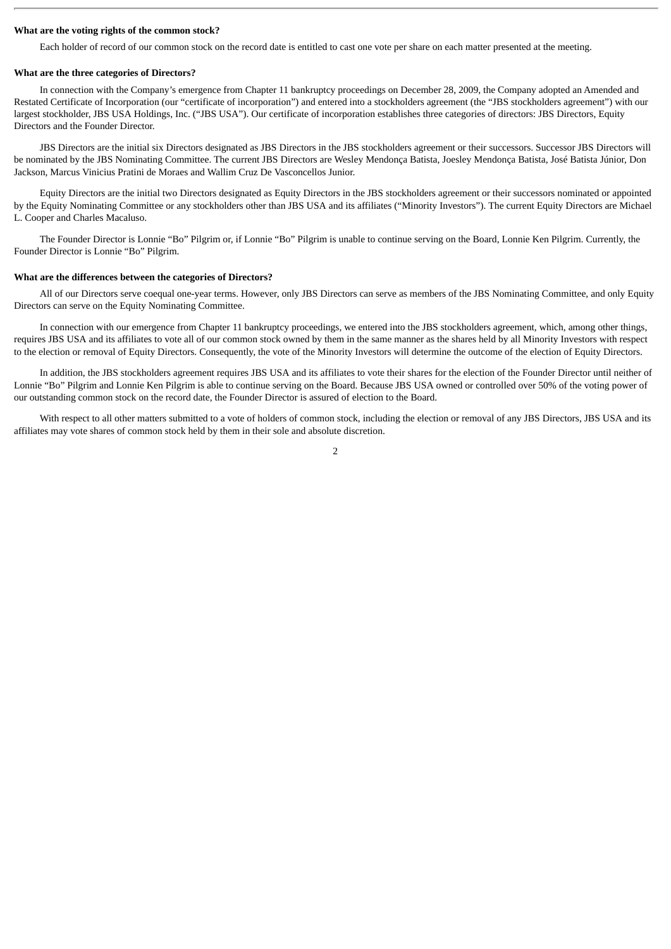#### **What are the voting rights of the common stock?**

Each holder of record of our common stock on the record date is entitled to cast one vote per share on each matter presented at the meeting.

#### **What are the three categories of Directors?**

In connection with the Company's emergence from Chapter 11 bankruptcy proceedings on December 28, 2009, the Company adopted an Amended and Restated Certificate of Incorporation (our "certificate of incorporation") and entered into a stockholders agreement (the "JBS stockholders agreement") with our largest stockholder, JBS USA Holdings, Inc. ("JBS USA"). Our certificate of incorporation establishes three categories of directors: JBS Directors, Equity Directors and the Founder Director.

JBS Directors are the initial six Directors designated as JBS Directors in the JBS stockholders agreement or their successors. Successor JBS Directors will be nominated by the JBS Nominating Committee. The current JBS Directors are Wesley Mendonça Batista, Joesley Mendonça Batista, José Batista Júnior, Don Jackson, Marcus Vinicius Pratini de Moraes and Wallim Cruz De Vasconcellos Junior.

Equity Directors are the initial two Directors designated as Equity Directors in the JBS stockholders agreement or their successors nominated or appointed by the Equity Nominating Committee or any stockholders other than JBS USA and its affiliates ("Minority Investors"). The current Equity Directors are Michael L. Cooper and Charles Macaluso.

The Founder Director is Lonnie "Bo" Pilgrim or, if Lonnie "Bo" Pilgrim is unable to continue serving on the Board, Lonnie Ken Pilgrim. Currently, the Founder Director is Lonnie "Bo" Pilgrim.

#### **What are the differences between the categories of Directors?**

All of our Directors serve coequal one-year terms. However, only JBS Directors can serve as members of the JBS Nominating Committee, and only Equity Directors can serve on the Equity Nominating Committee.

In connection with our emergence from Chapter 11 bankruptcy proceedings, we entered into the JBS stockholders agreement, which, among other things, requires JBS USA and its affiliates to vote all of our common stock owned by them in the same manner as the shares held by all Minority Investors with respect to the election or removal of Equity Directors. Consequently, the vote of the Minority Investors will determine the outcome of the election of Equity Directors.

In addition, the JBS stockholders agreement requires JBS USA and its affiliates to vote their shares for the election of the Founder Director until neither of Lonnie "Bo" Pilgrim and Lonnie Ken Pilgrim is able to continue serving on the Board. Because JBS USA owned or controlled over 50% of the voting power of our outstanding common stock on the record date, the Founder Director is assured of election to the Board.

With respect to all other matters submitted to a vote of holders of common stock, including the election or removal of any JBS Directors, JBS USA and its affiliates may vote shares of common stock held by them in their sole and absolute discretion.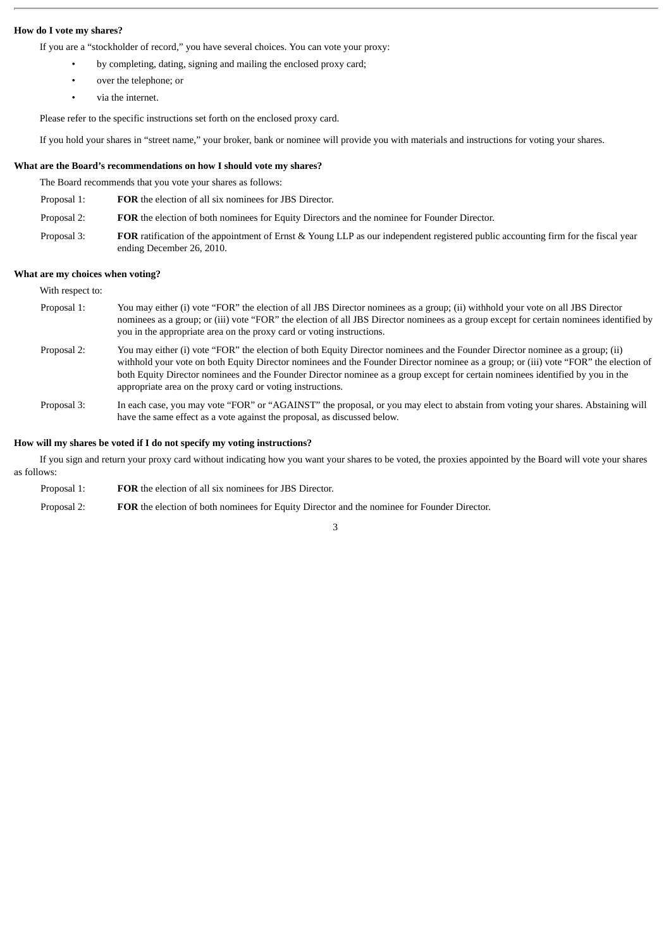# **How do I vote my shares?**

If you are a "stockholder of record," you have several choices. You can vote your proxy:

- by completing, dating, signing and mailing the enclosed proxy card;
- over the telephone; or
- via the internet.

Please refer to the specific instructions set forth on the enclosed proxy card.

If you hold your shares in "street name," your broker, bank or nominee will provide you with materials and instructions for voting your shares.

# **What are the Board's recommendations on how I should vote my shares?**

The Board recommends that you vote your shares as follows:

| <b>FOR</b> the election of all six nominees for JBS Director. |
|---------------------------------------------------------------|
|                                                               |

- Proposal 2: **FOR** the election of both nominees for Equity Directors and the nominee for Founder Director.
- Proposal 3: **FOR** ratification of the appointment of Ernst & Young LLP as our independent registered public accounting firm for the fiscal year ending December 26, 2010.

#### **What are my choices when voting?**

| With respect to: |                                                                                                                                                                                                                                                                                                                                                                                                                                                                       |
|------------------|-----------------------------------------------------------------------------------------------------------------------------------------------------------------------------------------------------------------------------------------------------------------------------------------------------------------------------------------------------------------------------------------------------------------------------------------------------------------------|
| Proposal 1:      | You may either (i) vote "FOR" the election of all JBS Director nominees as a group; (ii) withhold your vote on all JBS Director<br>nominees as a group; or (iii) vote "FOR" the election of all JBS Director nominees as a group except for certain nominees identified by<br>you in the appropriate area on the proxy card or voting instructions.                                                                                                                   |
| Proposal 2:      | You may either (i) vote "FOR" the election of both Equity Director nominees and the Founder Director nominee as a group; (ii)<br>withhold your vote on both Equity Director nominees and the Founder Director nominee as a group; or (iii) vote "FOR" the election of<br>both Equity Director nominees and the Founder Director nominee as a group except for certain nominees identified by you in the<br>appropriate area on the proxy card or voting instructions. |
| Proposal 3:      | In each case, you may vote "FOR" or "AGAINST" the proposal, or you may elect to abstain from voting your shares. Abstaining will<br>have the same effect as a vote against the proposal, as discussed below.                                                                                                                                                                                                                                                          |

# **How will my shares be voted if I do not specify my voting instructions?**

If you sign and return your proxy card without indicating how you want your shares to be voted, the proxies appointed by the Board will vote your shares as follows:

Proposal 1: **FOR** the election of all six nominees for JBS Director. Proposal 2: **FOR** the election of both nominees for Equity Director and the nominee for Founder Director.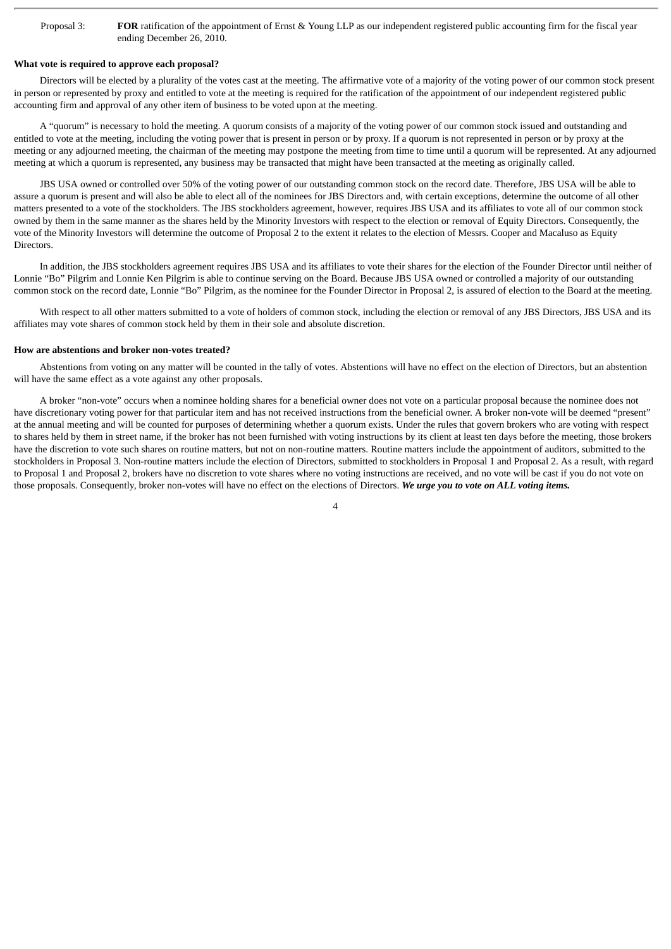Proposal 3: **FOR** ratification of the appointment of Ernst & Young LLP as our independent registered public accounting firm for the fiscal year ending December 26, 2010.

# **What vote is required to approve each proposal?**

Directors will be elected by a plurality of the votes cast at the meeting. The affirmative vote of a majority of the voting power of our common stock present in person or represented by proxy and entitled to vote at the meeting is required for the ratification of the appointment of our independent registered public accounting firm and approval of any other item of business to be voted upon at the meeting.

A "quorum" is necessary to hold the meeting. A quorum consists of a majority of the voting power of our common stock issued and outstanding and entitled to vote at the meeting, including the voting power that is present in person or by proxy. If a quorum is not represented in person or by proxy at the meeting or any adjourned meeting, the chairman of the meeting may postpone the meeting from time to time until a quorum will be represented. At any adjourned meeting at which a quorum is represented, any business may be transacted that might have been transacted at the meeting as originally called.

JBS USA owned or controlled over 50% of the voting power of our outstanding common stock on the record date. Therefore, JBS USA will be able to assure a quorum is present and will also be able to elect all of the nominees for JBS Directors and, with certain exceptions, determine the outcome of all other matters presented to a vote of the stockholders. The JBS stockholders agreement, however, requires JBS USA and its affiliates to vote all of our common stock owned by them in the same manner as the shares held by the Minority Investors with respect to the election or removal of Equity Directors. Consequently, the vote of the Minority Investors will determine the outcome of Proposal 2 to the extent it relates to the election of Messrs. Cooper and Macaluso as Equity **Directors** 

In addition, the JBS stockholders agreement requires JBS USA and its affiliates to vote their shares for the election of the Founder Director until neither of Lonnie "Bo" Pilgrim and Lonnie Ken Pilgrim is able to continue serving on the Board. Because JBS USA owned or controlled a majority of our outstanding common stock on the record date, Lonnie "Bo" Pilgrim, as the nominee for the Founder Director in Proposal 2, is assured of election to the Board at the meeting.

With respect to all other matters submitted to a vote of holders of common stock, including the election or removal of any JBS Directors, JBS USA and its affiliates may vote shares of common stock held by them in their sole and absolute discretion.

#### **How are abstentions and broker non-votes treated?**

Abstentions from voting on any matter will be counted in the tally of votes. Abstentions will have no effect on the election of Directors, but an abstention will have the same effect as a vote against any other proposals.

A broker "non-vote" occurs when a nominee holding shares for a beneficial owner does not vote on a particular proposal because the nominee does not have discretionary voting power for that particular item and has not received instructions from the beneficial owner. A broker non-vote will be deemed "present" at the annual meeting and will be counted for purposes of determining whether a quorum exists. Under the rules that govern brokers who are voting with respect to shares held by them in street name, if the broker has not been furnished with voting instructions by its client at least ten days before the meeting, those brokers have the discretion to vote such shares on routine matters, but not on non-routine matters. Routine matters include the appointment of auditors, submitted to the stockholders in Proposal 3. Non-routine matters include the election of Directors, submitted to stockholders in Proposal 1 and Proposal 2. As a result, with regard to Proposal 1 and Proposal 2, brokers have no discretion to vote shares where no voting instructions are received, and no vote will be cast if you do not vote on those proposals. Consequently, broker non-votes will have no effect on the elections of Directors. *We urge you to vote on ALL voting items.*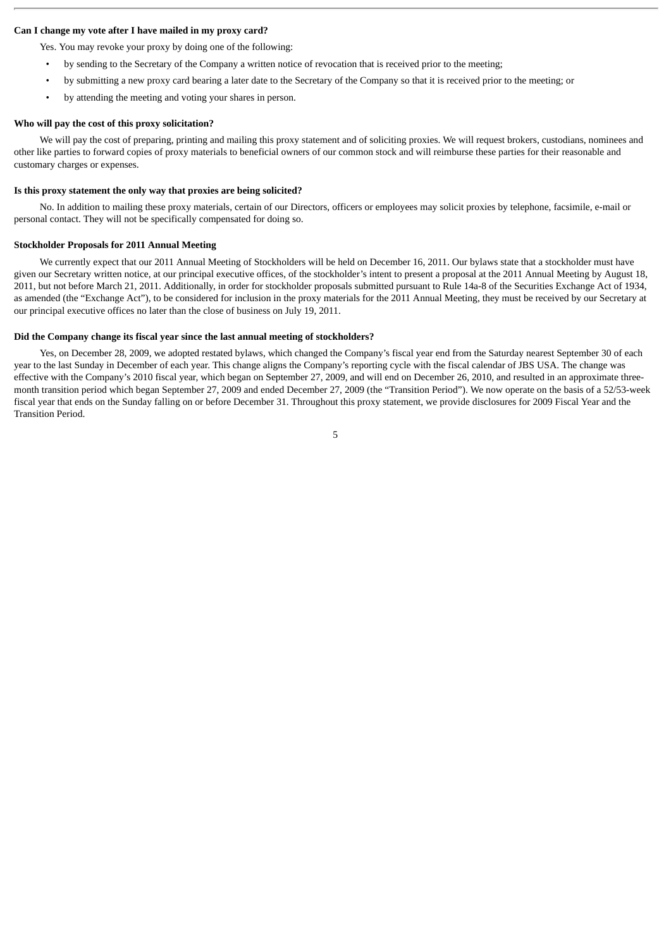# **Can I change my vote after I have mailed in my proxy card?**

Yes. You may revoke your proxy by doing one of the following:

- by sending to the Secretary of the Company a written notice of revocation that is received prior to the meeting;
- by submitting a new proxy card bearing a later date to the Secretary of the Company so that it is received prior to the meeting; or
- by attending the meeting and voting your shares in person.

# **Who will pay the cost of this proxy solicitation?**

We will pay the cost of preparing, printing and mailing this proxy statement and of soliciting proxies. We will request brokers, custodians, nominees and other like parties to forward copies of proxy materials to beneficial owners of our common stock and will reimburse these parties for their reasonable and customary charges or expenses.

# **Is this proxy statement the only way that proxies are being solicited?**

No. In addition to mailing these proxy materials, certain of our Directors, officers or employees may solicit proxies by telephone, facsimile, e-mail or personal contact. They will not be specifically compensated for doing so.

#### **Stockholder Proposals for 2011 Annual Meeting**

We currently expect that our 2011 Annual Meeting of Stockholders will be held on December 16, 2011. Our bylaws state that a stockholder must have given our Secretary written notice, at our principal executive offices, of the stockholder's intent to present a proposal at the 2011 Annual Meeting by August 18, 2011, but not before March 21, 2011. Additionally, in order for stockholder proposals submitted pursuant to Rule 14a-8 of the Securities Exchange Act of 1934, as amended (the "Exchange Act"), to be considered for inclusion in the proxy materials for the 2011 Annual Meeting, they must be received by our Secretary at our principal executive offices no later than the close of business on July 19, 2011.

#### **Did the Company change its fiscal year since the last annual meeting of stockholders?**

Yes, on December 28, 2009, we adopted restated bylaws, which changed the Company's fiscal year end from the Saturday nearest September 30 of each year to the last Sunday in December of each year. This change aligns the Company's reporting cycle with the fiscal calendar of JBS USA. The change was effective with the Company's 2010 fiscal year, which began on September 27, 2009, and will end on December 26, 2010, and resulted in an approximate threemonth transition period which began September 27, 2009 and ended December 27, 2009 (the "Transition Period"). We now operate on the basis of a 52/53-week fiscal year that ends on the Sunday falling on or before December 31. Throughout this proxy statement, we provide disclosures for 2009 Fiscal Year and the Transition Period.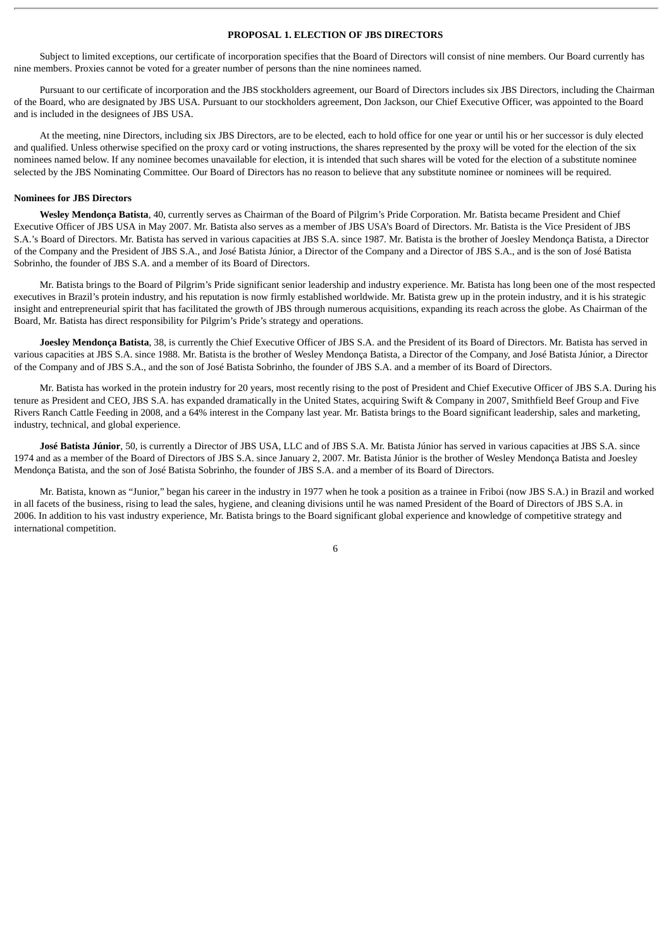# **PROPOSAL 1. ELECTION OF JBS DIRECTORS**

Subject to limited exceptions, our certificate of incorporation specifies that the Board of Directors will consist of nine members. Our Board currently has nine members. Proxies cannot be voted for a greater number of persons than the nine nominees named.

Pursuant to our certificate of incorporation and the JBS stockholders agreement, our Board of Directors includes six JBS Directors, including the Chairman of the Board, who are designated by JBS USA. Pursuant to our stockholders agreement, Don Jackson, our Chief Executive Officer, was appointed to the Board and is included in the designees of JBS USA.

At the meeting, nine Directors, including six JBS Directors, are to be elected, each to hold office for one year or until his or her successor is duly elected and qualified. Unless otherwise specified on the proxy card or voting instructions, the shares represented by the proxy will be voted for the election of the six nominees named below. If any nominee becomes unavailable for election, it is intended that such shares will be voted for the election of a substitute nominee selected by the JBS Nominating Committee. Our Board of Directors has no reason to believe that any substitute nominee or nominees will be required.

# **Nominees for JBS Directors**

**Wesley Mendonça Batista**, 40, currently serves as Chairman of the Board of Pilgrim's Pride Corporation. Mr. Batista became President and Chief Executive Officer of JBS USA in May 2007. Mr. Batista also serves as a member of JBS USA's Board of Directors. Mr. Batista is the Vice President of JBS S.A.'s Board of Directors. Mr. Batista has served in various capacities at JBS S.A. since 1987. Mr. Batista is the brother of Joesley Mendonça Batista, a Director of the Company and the President of JBS S.A., and José Batista Júnior, a Director of the Company and a Director of JBS S.A., and is the son of José Batista Sobrinho, the founder of JBS S.A. and a member of its Board of Directors.

Mr. Batista brings to the Board of Pilgrim's Pride significant senior leadership and industry experience. Mr. Batista has long been one of the most respected executives in Brazil's protein industry, and his reputation is now firmly established worldwide. Mr. Batista grew up in the protein industry, and it is his strategic insight and entrepreneurial spirit that has facilitated the growth of JBS through numerous acquisitions, expanding its reach across the globe. As Chairman of the Board, Mr. Batista has direct responsibility for Pilgrim's Pride's strategy and operations.

**Joesley Mendonça Batista**, 38, is currently the Chief Executive Officer of JBS S.A. and the President of its Board of Directors. Mr. Batista has served in various capacities at JBS S.A. since 1988. Mr. Batista is the brother of Wesley Mendonça Batista, a Director of the Company, and José Batista Júnior, a Director of the Company and of JBS S.A., and the son of José Batista Sobrinho, the founder of JBS S.A. and a member of its Board of Directors.

Mr. Batista has worked in the protein industry for 20 years, most recently rising to the post of President and Chief Executive Officer of JBS S.A. During his tenure as President and CEO, JBS S.A. has expanded dramatically in the United States, acquiring Swift & Company in 2007, Smithfield Beef Group and Five Rivers Ranch Cattle Feeding in 2008, and a 64% interest in the Company last year. Mr. Batista brings to the Board significant leadership, sales and marketing, industry, technical, and global experience.

**José Batista Júnior**, 50, is currently a Director of JBS USA, LLC and of JBS S.A. Mr. Batista Júnior has served in various capacities at JBS S.A. since 1974 and as a member of the Board of Directors of JBS S.A. since January 2, 2007. Mr. Batista Júnior is the brother of Wesley Mendonça Batista and Joesley Mendonça Batista, and the son of José Batista Sobrinho, the founder of JBS S.A. and a member of its Board of Directors.

Mr. Batista, known as "Junior," began his career in the industry in 1977 when he took a position as a trainee in Friboi (now JBS S.A.) in Brazil and worked in all facets of the business, rising to lead the sales, hygiene, and cleaning divisions until he was named President of the Board of Directors of JBS S.A. in 2006. In addition to his vast industry experience, Mr. Batista brings to the Board significant global experience and knowledge of competitive strategy and international competition.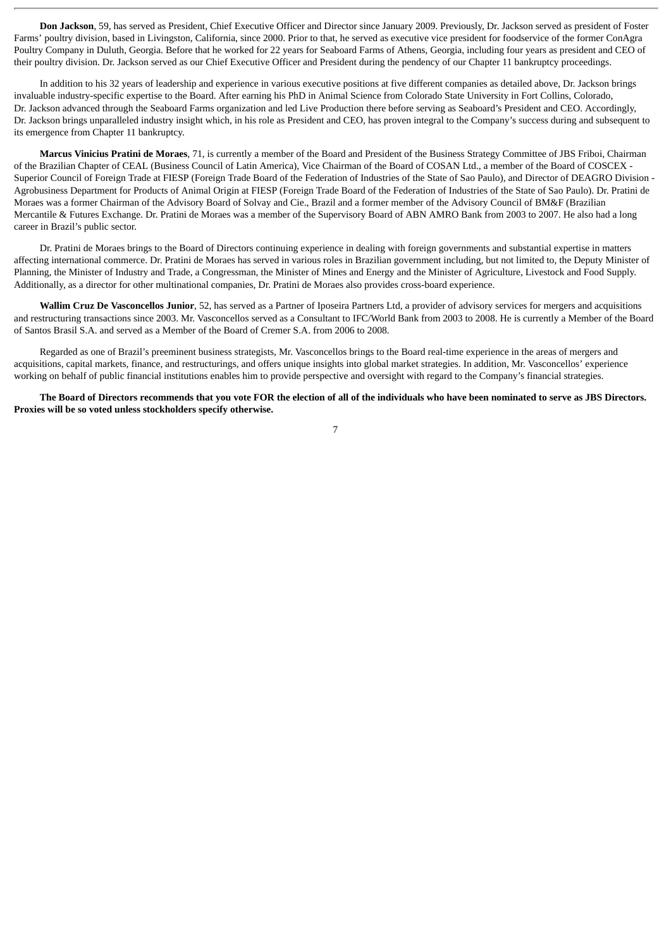**Don Jackson**, 59, has served as President, Chief Executive Officer and Director since January 2009. Previously, Dr. Jackson served as president of Foster Farms' poultry division, based in Livingston, California, since 2000. Prior to that, he served as executive vice president for foodservice of the former ConAgra Poultry Company in Duluth, Georgia. Before that he worked for 22 years for Seaboard Farms of Athens, Georgia, including four years as president and CEO of their poultry division. Dr. Jackson served as our Chief Executive Officer and President during the pendency of our Chapter 11 bankruptcy proceedings.

In addition to his 32 years of leadership and experience in various executive positions at five different companies as detailed above, Dr. Jackson brings invaluable industry-specific expertise to the Board. After earning his PhD in Animal Science from Colorado State University in Fort Collins, Colorado, Dr. Jackson advanced through the Seaboard Farms organization and led Live Production there before serving as Seaboard's President and CEO. Accordingly, Dr. Jackson brings unparalleled industry insight which, in his role as President and CEO, has proven integral to the Company's success during and subsequent to its emergence from Chapter 11 bankruptcy.

**Marcus Vinicius Pratini de Moraes**, 71, is currently a member of the Board and President of the Business Strategy Committee of JBS Friboi, Chairman of the Brazilian Chapter of CEAL (Business Council of Latin America), Vice Chairman of the Board of COSAN Ltd., a member of the Board of COSCEX - Superior Council of Foreign Trade at FIESP (Foreign Trade Board of the Federation of Industries of the State of Sao Paulo), and Director of DEAGRO Division - Agrobusiness Department for Products of Animal Origin at FIESP (Foreign Trade Board of the Federation of Industries of the State of Sao Paulo). Dr. Pratini de Moraes was a former Chairman of the Advisory Board of Solvay and Cie., Brazil and a former member of the Advisory Council of BM&F (Brazilian Mercantile & Futures Exchange. Dr. Pratini de Moraes was a member of the Supervisory Board of ABN AMRO Bank from 2003 to 2007. He also had a long career in Brazil's public sector.

Dr. Pratini de Moraes brings to the Board of Directors continuing experience in dealing with foreign governments and substantial expertise in matters affecting international commerce. Dr. Pratini de Moraes has served in various roles in Brazilian government including, but not limited to, the Deputy Minister of Planning, the Minister of Industry and Trade, a Congressman, the Minister of Mines and Energy and the Minister of Agriculture, Livestock and Food Supply. Additionally, as a director for other multinational companies, Dr. Pratini de Moraes also provides cross-board experience.

**Wallim Cruz De Vasconcellos Junior**, 52, has served as a Partner of Iposeira Partners Ltd, a provider of advisory services for mergers and acquisitions and restructuring transactions since 2003. Mr. Vasconcellos served as a Consultant to IFC/World Bank from 2003 to 2008. He is currently a Member of the Board of Santos Brasil S.A. and served as a Member of the Board of Cremer S.A. from 2006 to 2008.

Regarded as one of Brazil's preeminent business strategists, Mr. Vasconcellos brings to the Board real-time experience in the areas of mergers and acquisitions, capital markets, finance, and restructurings, and offers unique insights into global market strategies. In addition, Mr. Vasconcellos' experience working on behalf of public financial institutions enables him to provide perspective and oversight with regard to the Company's financial strategies.

**The Board of Directors recommends that you vote FOR the election of all of the individuals who have been nominated to serve as JBS Directors. Proxies will be so voted unless stockholders specify otherwise.**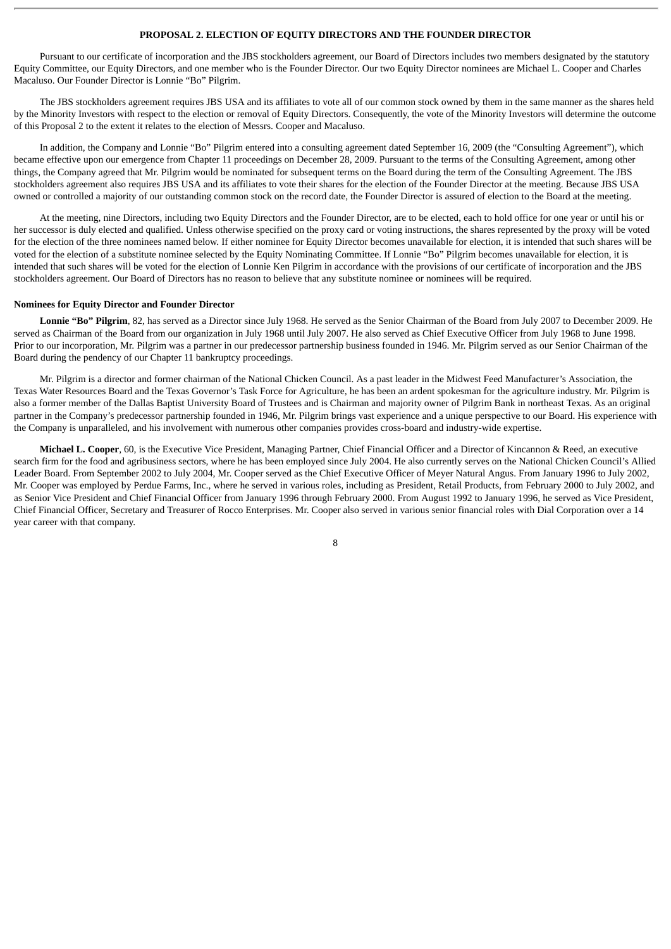# **PROPOSAL 2. ELECTION OF EQUITY DIRECTORS AND THE FOUNDER DIRECTOR**

Pursuant to our certificate of incorporation and the JBS stockholders agreement, our Board of Directors includes two members designated by the statutory Equity Committee, our Equity Directors, and one member who is the Founder Director. Our two Equity Director nominees are Michael L. Cooper and Charles Macaluso. Our Founder Director is Lonnie "Bo" Pilgrim.

The JBS stockholders agreement requires JBS USA and its affiliates to vote all of our common stock owned by them in the same manner as the shares held by the Minority Investors with respect to the election or removal of Equity Directors. Consequently, the vote of the Minority Investors will determine the outcome of this Proposal 2 to the extent it relates to the election of Messrs. Cooper and Macaluso.

In addition, the Company and Lonnie "Bo" Pilgrim entered into a consulting agreement dated September 16, 2009 (the "Consulting Agreement"), which became effective upon our emergence from Chapter 11 proceedings on December 28, 2009. Pursuant to the terms of the Consulting Agreement, among other things, the Company agreed that Mr. Pilgrim would be nominated for subsequent terms on the Board during the term of the Consulting Agreement. The JBS stockholders agreement also requires JBS USA and its affiliates to vote their shares for the election of the Founder Director at the meeting. Because JBS USA owned or controlled a majority of our outstanding common stock on the record date, the Founder Director is assured of election to the Board at the meeting.

At the meeting, nine Directors, including two Equity Directors and the Founder Director, are to be elected, each to hold office for one year or until his or her successor is duly elected and qualified. Unless otherwise specified on the proxy card or voting instructions, the shares represented by the proxy will be voted for the election of the three nominees named below. If either nominee for Equity Director becomes unavailable for election, it is intended that such shares will be voted for the election of a substitute nominee selected by the Equity Nominating Committee. If Lonnie "Bo" Pilgrim becomes unavailable for election, it is intended that such shares will be voted for the election of Lonnie Ken Pilgrim in accordance with the provisions of our certificate of incorporation and the JBS stockholders agreement. Our Board of Directors has no reason to believe that any substitute nominee or nominees will be required.

# **Nominees for Equity Director and Founder Director**

**Lonnie "Bo" Pilgrim**, 82, has served as a Director since July 1968. He served as the Senior Chairman of the Board from July 2007 to December 2009. He served as Chairman of the Board from our organization in July 1968 until July 2007. He also served as Chief Executive Officer from July 1968 to June 1998. Prior to our incorporation, Mr. Pilgrim was a partner in our predecessor partnership business founded in 1946. Mr. Pilgrim served as our Senior Chairman of the Board during the pendency of our Chapter 11 bankruptcy proceedings.

Mr. Pilgrim is a director and former chairman of the National Chicken Council. As a past leader in the Midwest Feed Manufacturer's Association, the Texas Water Resources Board and the Texas Governor's Task Force for Agriculture, he has been an ardent spokesman for the agriculture industry. Mr. Pilgrim is also a former member of the Dallas Baptist University Board of Trustees and is Chairman and majority owner of Pilgrim Bank in northeast Texas. As an original partner in the Company's predecessor partnership founded in 1946, Mr. Pilgrim brings vast experience and a unique perspective to our Board. His experience with the Company is unparalleled, and his involvement with numerous other companies provides cross-board and industry-wide expertise.

**Michael L. Cooper**, 60, is the Executive Vice President, Managing Partner, Chief Financial Officer and a Director of Kincannon & Reed, an executive search firm for the food and agribusiness sectors, where he has been employed since July 2004. He also currently serves on the National Chicken Council's Allied Leader Board. From September 2002 to July 2004, Mr. Cooper served as the Chief Executive Officer of Meyer Natural Angus. From January 1996 to July 2002, Mr. Cooper was employed by Perdue Farms, Inc., where he served in various roles, including as President, Retail Products, from February 2000 to July 2002, and as Senior Vice President and Chief Financial Officer from January 1996 through February 2000. From August 1992 to January 1996, he served as Vice President, Chief Financial Officer, Secretary and Treasurer of Rocco Enterprises. Mr. Cooper also served in various senior financial roles with Dial Corporation over a 14 year career with that company.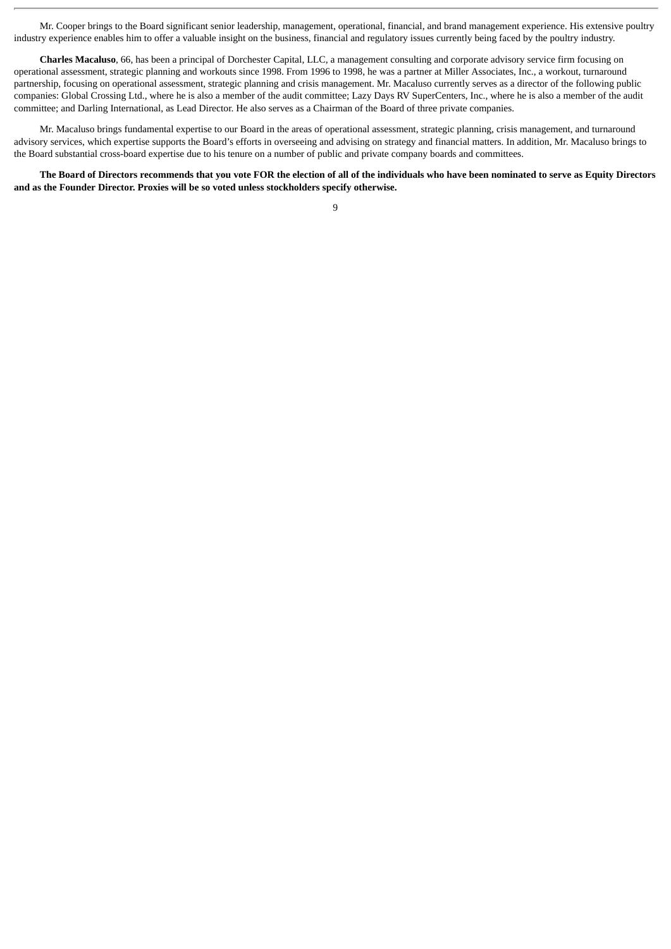Mr. Cooper brings to the Board significant senior leadership, management, operational, financial, and brand management experience. His extensive poultry industry experience enables him to offer a valuable insight on the business, financial and regulatory issues currently being faced by the poultry industry.

**Charles Macaluso**, 66, has been a principal of Dorchester Capital, LLC, a management consulting and corporate advisory service firm focusing on operational assessment, strategic planning and workouts since 1998. From 1996 to 1998, he was a partner at Miller Associates, Inc., a workout, turnaround partnership, focusing on operational assessment, strategic planning and crisis management. Mr. Macaluso currently serves as a director of the following public companies: Global Crossing Ltd., where he is also a member of the audit committee; Lazy Days RV SuperCenters, Inc., where he is also a member of the audit committee; and Darling International, as Lead Director. He also serves as a Chairman of the Board of three private companies.

Mr. Macaluso brings fundamental expertise to our Board in the areas of operational assessment, strategic planning, crisis management, and turnaround advisory services, which expertise supports the Board's efforts in overseeing and advising on strategy and financial matters. In addition, Mr. Macaluso brings to the Board substantial cross-board expertise due to his tenure on a number of public and private company boards and committees.

**The Board of Directors recommends that you vote FOR the election of all of the individuals who have been nominated to serve as Equity Directors and as the Founder Director. Proxies will be so voted unless stockholders specify otherwise.**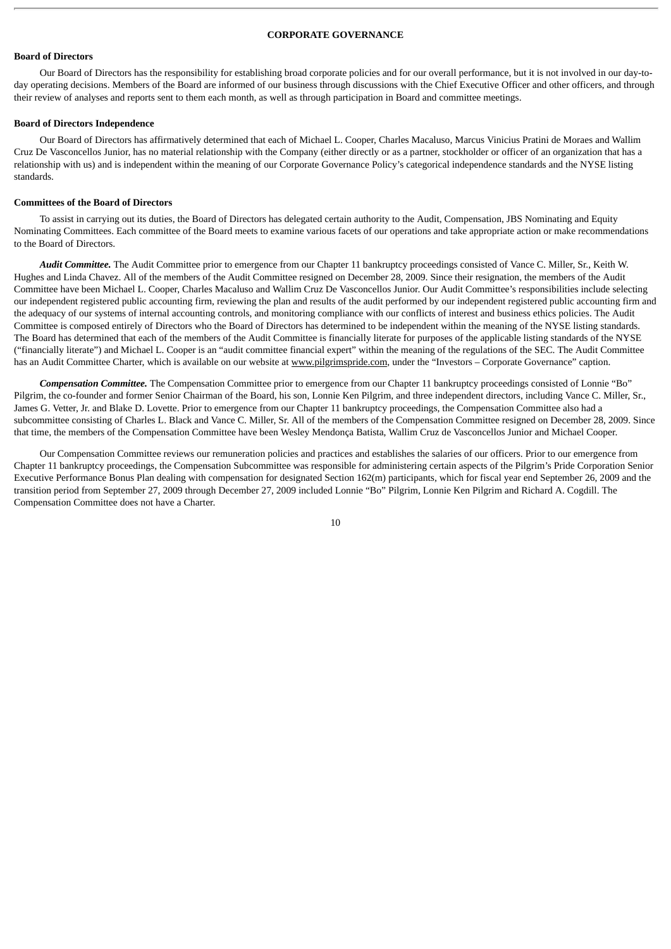# **CORPORATE GOVERNANCE**

# **Board of Directors**

Our Board of Directors has the responsibility for establishing broad corporate policies and for our overall performance, but it is not involved in our day-today operating decisions. Members of the Board are informed of our business through discussions with the Chief Executive Officer and other officers, and through their review of analyses and reports sent to them each month, as well as through participation in Board and committee meetings.

#### **Board of Directors Independence**

Our Board of Directors has affirmatively determined that each of Michael L. Cooper, Charles Macaluso, Marcus Vinicius Pratini de Moraes and Wallim Cruz De Vasconcellos Junior, has no material relationship with the Company (either directly or as a partner, stockholder or officer of an organization that has a relationship with us) and is independent within the meaning of our Corporate Governance Policy's categorical independence standards and the NYSE listing standards.

#### **Committees of the Board of Directors**

To assist in carrying out its duties, the Board of Directors has delegated certain authority to the Audit, Compensation, JBS Nominating and Equity Nominating Committees. Each committee of the Board meets to examine various facets of our operations and take appropriate action or make recommendations to the Board of Directors.

*Audit Committee.* The Audit Committee prior to emergence from our Chapter 11 bankruptcy proceedings consisted of Vance C. Miller, Sr., Keith W. Hughes and Linda Chavez. All of the members of the Audit Committee resigned on December 28, 2009. Since their resignation, the members of the Audit Committee have been Michael L. Cooper, Charles Macaluso and Wallim Cruz De Vasconcellos Junior. Our Audit Committee's responsibilities include selecting our independent registered public accounting firm, reviewing the plan and results of the audit performed by our independent registered public accounting firm and the adequacy of our systems of internal accounting controls, and monitoring compliance with our conflicts of interest and business ethics policies. The Audit Committee is composed entirely of Directors who the Board of Directors has determined to be independent within the meaning of the NYSE listing standards. The Board has determined that each of the members of the Audit Committee is financially literate for purposes of the applicable listing standards of the NYSE ("financially literate") and Michael L. Cooper is an "audit committee financial expert" within the meaning of the regulations of the SEC. The Audit Committee has an Audit Committee Charter, which is available on our website at www.pilgrimspride.com, under the "Investors - Corporate Governance" caption.

*Compensation Committee.* The Compensation Committee prior to emergence from our Chapter 11 bankruptcy proceedings consisted of Lonnie "Bo" Pilgrim, the co-founder and former Senior Chairman of the Board, his son, Lonnie Ken Pilgrim, and three independent directors, including Vance C. Miller, Sr., James G. Vetter, Jr. and Blake D. Lovette. Prior to emergence from our Chapter 11 bankruptcy proceedings, the Compensation Committee also had a subcommittee consisting of Charles L. Black and Vance C. Miller, Sr. All of the members of the Compensation Committee resigned on December 28, 2009. Since that time, the members of the Compensation Committee have been Wesley Mendonça Batista, Wallim Cruz de Vasconcellos Junior and Michael Cooper.

Our Compensation Committee reviews our remuneration policies and practices and establishes the salaries of our officers. Prior to our emergence from Chapter 11 bankruptcy proceedings, the Compensation Subcommittee was responsible for administering certain aspects of the Pilgrim's Pride Corporation Senior Executive Performance Bonus Plan dealing with compensation for designated Section 162(m) participants, which for fiscal year end September 26, 2009 and the transition period from September 27, 2009 through December 27, 2009 included Lonnie "Bo" Pilgrim, Lonnie Ken Pilgrim and Richard A. Cogdill. The Compensation Committee does not have a Charter.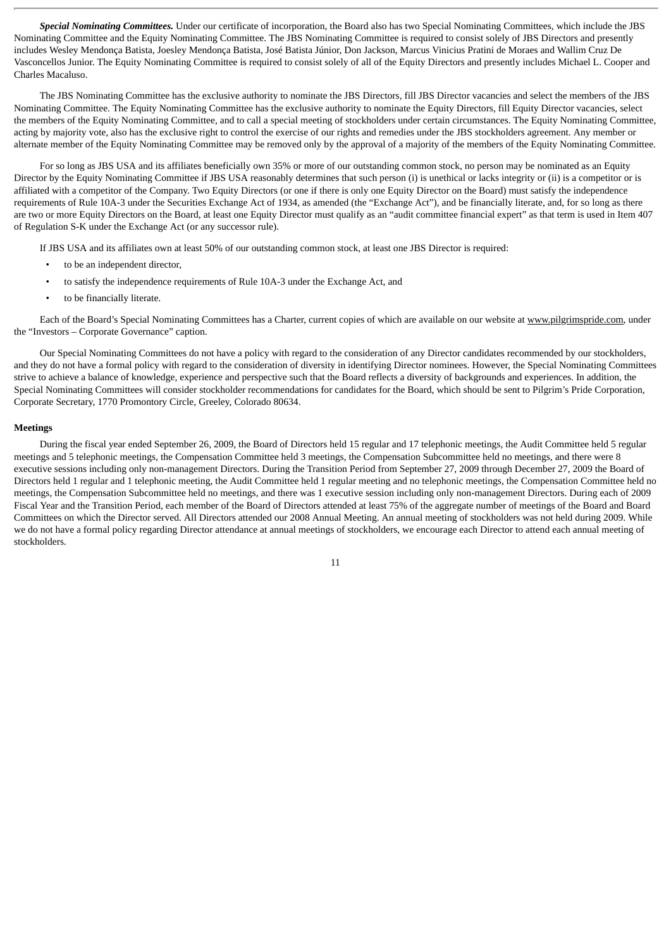*Special Nominating Committees.* Under our certificate of incorporation, the Board also has two Special Nominating Committees, which include the JBS Nominating Committee and the Equity Nominating Committee. The JBS Nominating Committee is required to consist solely of JBS Directors and presently includes Wesley Mendonça Batista, Joesley Mendonça Batista, José Batista Júnior, Don Jackson, Marcus Vinicius Pratini de Moraes and Wallim Cruz De Vasconcellos Junior. The Equity Nominating Committee is required to consist solely of all of the Equity Directors and presently includes Michael L. Cooper and Charles Macaluso.

The JBS Nominating Committee has the exclusive authority to nominate the JBS Directors, fill JBS Director vacancies and select the members of the JBS Nominating Committee. The Equity Nominating Committee has the exclusive authority to nominate the Equity Directors, fill Equity Director vacancies, select the members of the Equity Nominating Committee, and to call a special meeting of stockholders under certain circumstances. The Equity Nominating Committee, acting by majority vote, also has the exclusive right to control the exercise of our rights and remedies under the JBS stockholders agreement. Any member or alternate member of the Equity Nominating Committee may be removed only by the approval of a majority of the members of the Equity Nominating Committee.

For so long as JBS USA and its affiliates beneficially own 35% or more of our outstanding common stock, no person may be nominated as an Equity Director by the Equity Nominating Committee if JBS USA reasonably determines that such person (i) is unethical or lacks integrity or (ii) is a competitor or is affiliated with a competitor of the Company. Two Equity Directors (or one if there is only one Equity Director on the Board) must satisfy the independence requirements of Rule 10A-3 under the Securities Exchange Act of 1934, as amended (the "Exchange Act"), and be financially literate, and, for so long as there are two or more Equity Directors on the Board, at least one Equity Director must qualify as an "audit committee financial expert" as that term is used in Item 407 of Regulation S-K under the Exchange Act (or any successor rule).

If JBS USA and its affiliates own at least 50% of our outstanding common stock, at least one JBS Director is required:

- to be an independent director,
- to satisfy the independence requirements of Rule 10A-3 under the Exchange Act, and
- to be financially literate.

Each of the Board's Special Nominating Committees has a Charter, current copies of which are available on our website at www.pilgrimspride.com, under the "Investors – Corporate Governance" caption.

Our Special Nominating Committees do not have a policy with regard to the consideration of any Director candidates recommended by our stockholders, and they do not have a formal policy with regard to the consideration of diversity in identifying Director nominees. However, the Special Nominating Committees strive to achieve a balance of knowledge, experience and perspective such that the Board reflects a diversity of backgrounds and experiences. In addition, the Special Nominating Committees will consider stockholder recommendations for candidates for the Board, which should be sent to Pilgrim's Pride Corporation, Corporate Secretary, 1770 Promontory Circle, Greeley, Colorado 80634.

#### **Meetings**

During the fiscal year ended September 26, 2009, the Board of Directors held 15 regular and 17 telephonic meetings, the Audit Committee held 5 regular meetings and 5 telephonic meetings, the Compensation Committee held 3 meetings, the Compensation Subcommittee held no meetings, and there were 8 executive sessions including only non-management Directors. During the Transition Period from September 27, 2009 through December 27, 2009 the Board of Directors held 1 regular and 1 telephonic meeting, the Audit Committee held 1 regular meeting and no telephonic meetings, the Compensation Committee held no meetings, the Compensation Subcommittee held no meetings, and there was 1 executive session including only non-management Directors. During each of 2009 Fiscal Year and the Transition Period, each member of the Board of Directors attended at least 75% of the aggregate number of meetings of the Board and Board Committees on which the Director served. All Directors attended our 2008 Annual Meeting. An annual meeting of stockholders was not held during 2009. While we do not have a formal policy regarding Director attendance at annual meetings of stockholders, we encourage each Director to attend each annual meeting of stockholders.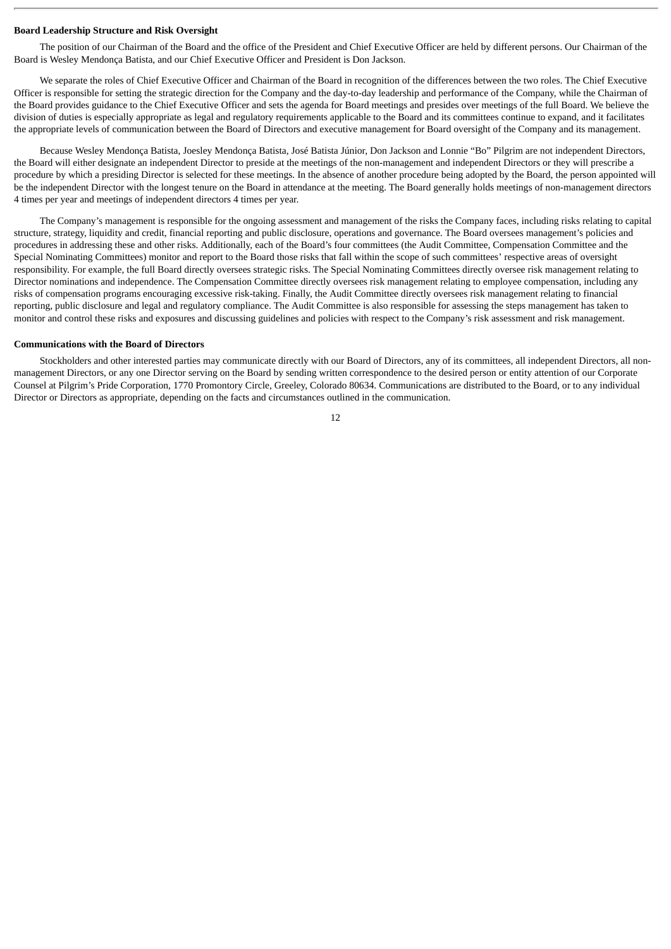#### **Board Leadership Structure and Risk Oversight**

The position of our Chairman of the Board and the office of the President and Chief Executive Officer are held by different persons. Our Chairman of the Board is Wesley Mendonça Batista, and our Chief Executive Officer and President is Don Jackson.

We separate the roles of Chief Executive Officer and Chairman of the Board in recognition of the differences between the two roles. The Chief Executive Officer is responsible for setting the strategic direction for the Company and the day-to-day leadership and performance of the Company, while the Chairman of the Board provides guidance to the Chief Executive Officer and sets the agenda for Board meetings and presides over meetings of the full Board. We believe the division of duties is especially appropriate as legal and regulatory requirements applicable to the Board and its committees continue to expand, and it facilitates the appropriate levels of communication between the Board of Directors and executive management for Board oversight of the Company and its management.

Because Wesley Mendonça Batista, Joesley Mendonça Batista, José Batista Júnior, Don Jackson and Lonnie "Bo" Pilgrim are not independent Directors, the Board will either designate an independent Director to preside at the meetings of the non-management and independent Directors or they will prescribe a procedure by which a presiding Director is selected for these meetings. In the absence of another procedure being adopted by the Board, the person appointed will be the independent Director with the longest tenure on the Board in attendance at the meeting. The Board generally holds meetings of non-management directors 4 times per year and meetings of independent directors 4 times per year.

The Company's management is responsible for the ongoing assessment and management of the risks the Company faces, including risks relating to capital structure, strategy, liquidity and credit, financial reporting and public disclosure, operations and governance. The Board oversees management's policies and procedures in addressing these and other risks. Additionally, each of the Board's four committees (the Audit Committee, Compensation Committee and the Special Nominating Committees) monitor and report to the Board those risks that fall within the scope of such committees' respective areas of oversight responsibility. For example, the full Board directly oversees strategic risks. The Special Nominating Committees directly oversee risk management relating to Director nominations and independence. The Compensation Committee directly oversees risk management relating to employee compensation, including any risks of compensation programs encouraging excessive risk-taking. Finally, the Audit Committee directly oversees risk management relating to financial reporting, public disclosure and legal and regulatory compliance. The Audit Committee is also responsible for assessing the steps management has taken to monitor and control these risks and exposures and discussing guidelines and policies with respect to the Company's risk assessment and risk management.

#### **Communications with the Board of Directors**

Stockholders and other interested parties may communicate directly with our Board of Directors, any of its committees, all independent Directors, all nonmanagement Directors, or any one Director serving on the Board by sending written correspondence to the desired person or entity attention of our Corporate Counsel at Pilgrim's Pride Corporation, 1770 Promontory Circle, Greeley, Colorado 80634. Communications are distributed to the Board, or to any individual Director or Directors as appropriate, depending on the facts and circumstances outlined in the communication.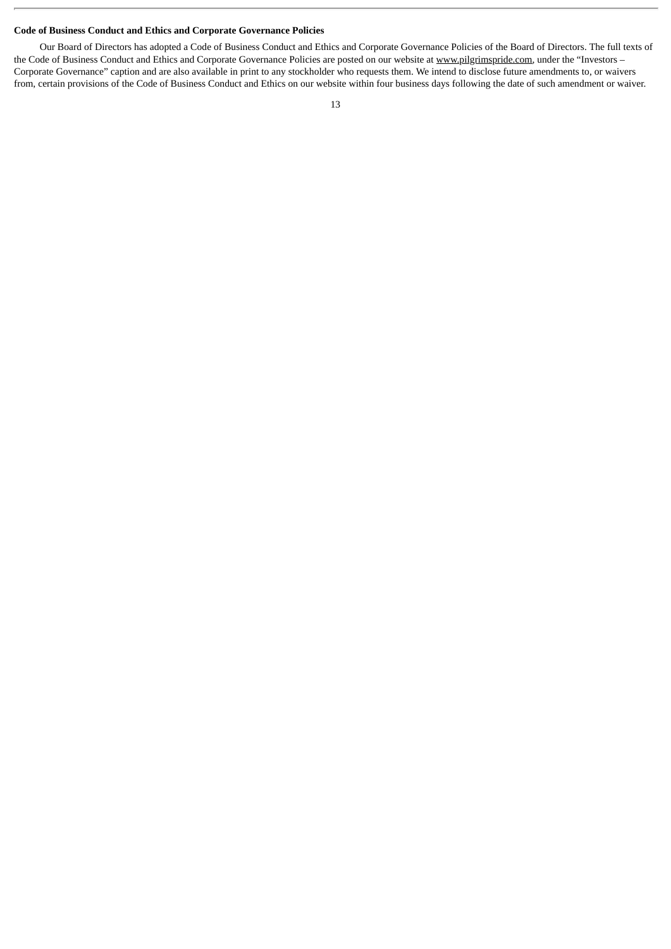# **Code of Business Conduct and Ethics and Corporate Governance Policies**

Our Board of Directors has adopted a Code of Business Conduct and Ethics and Corporate Governance Policies of the Board of Directors. The full texts of the Code of Business Conduct and Ethics and Corporate Governance Policies are posted on our website at www.pilgrimspride.com, under the "Investors – Corporate Governance" caption and are also available in print to any stockholder who requests them. We intend to disclose future amendments to, or waivers from, certain provisions of the Code of Business Conduct and Ethics on our website within four business days following the date of such amendment or waiver.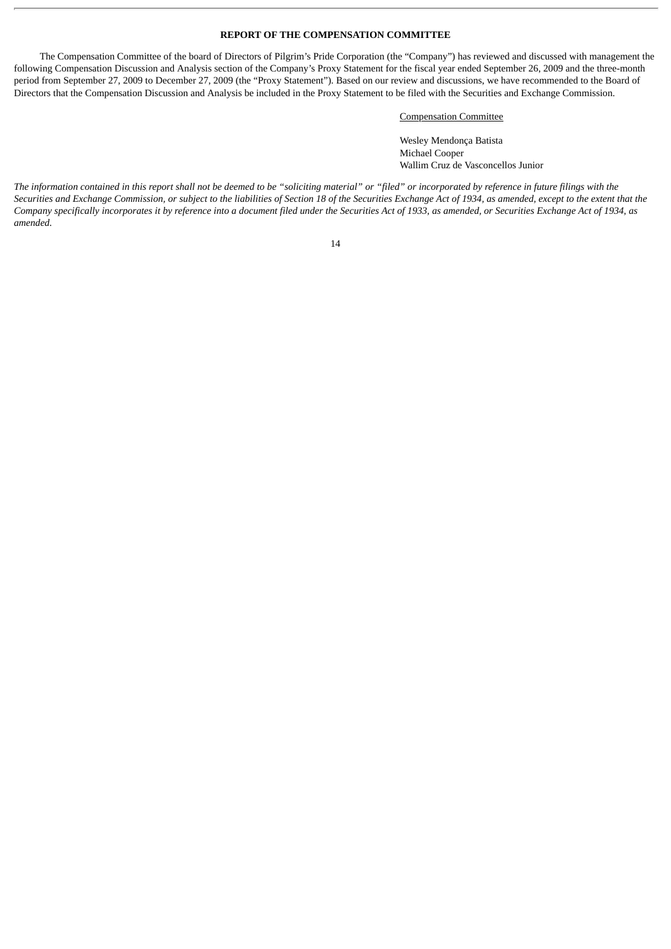# **REPORT OF THE COMPENSATION COMMITTEE**

The Compensation Committee of the board of Directors of Pilgrim's Pride Corporation (the "Company") has reviewed and discussed with management the following Compensation Discussion and Analysis section of the Company's Proxy Statement for the fiscal year ended September 26, 2009 and the three-month period from September 27, 2009 to December 27, 2009 (the "Proxy Statement"). Based on our review and discussions, we have recommended to the Board of Directors that the Compensation Discussion and Analysis be included in the Proxy Statement to be filed with the Securities and Exchange Commission.

# Compensation Committee

Wesley Mendonça Batista Michael Cooper Wallim Cruz de Vasconcellos Junior

*The information contained in this report shall not be deemed to be "soliciting material" or "filed" or incorporated by reference in future filings with the Securities and Exchange Commission, or subject to the liabilities of Section 18 of the Securities Exchange Act of 1934, as amended, except to the extent that the Company specifically incorporates it by reference into a document filed under the Securities Act of 1933, as amended, or Securities Exchange Act of 1934, as amended.*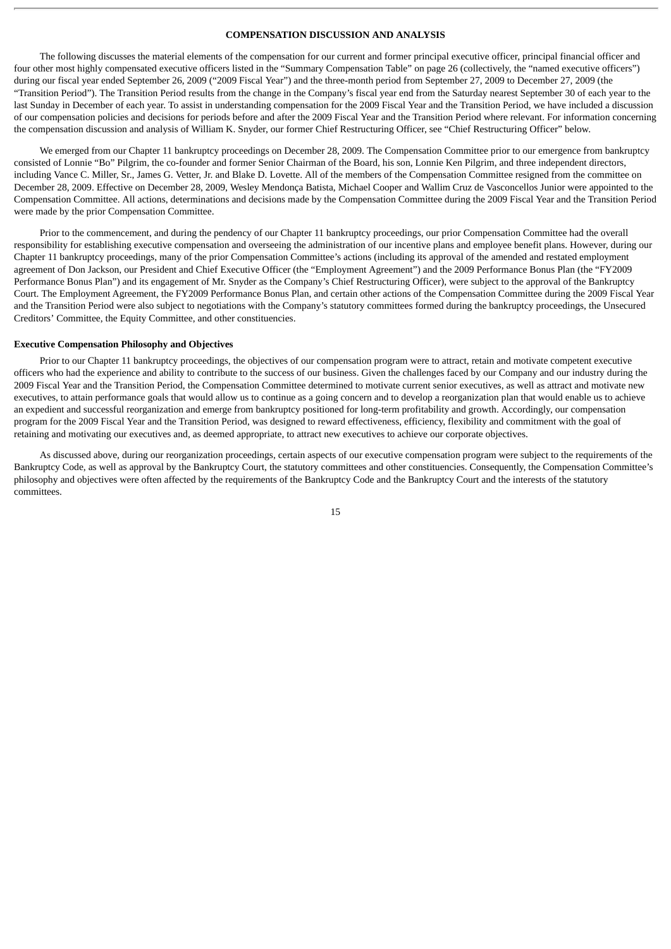# **COMPENSATION DISCUSSION AND ANALYSIS**

The following discusses the material elements of the compensation for our current and former principal executive officer, principal financial officer and four other most highly compensated executive officers listed in the "Summary Compensation Table" on page 26 (collectively, the "named executive officers") during our fiscal year ended September 26, 2009 ("2009 Fiscal Year") and the three-month period from September 27, 2009 to December 27, 2009 (the "Transition Period"). The Transition Period results from the change in the Company's fiscal year end from the Saturday nearest September 30 of each year to the last Sunday in December of each year. To assist in understanding compensation for the 2009 Fiscal Year and the Transition Period, we have included a discussion of our compensation policies and decisions for periods before and after the 2009 Fiscal Year and the Transition Period where relevant. For information concerning the compensation discussion and analysis of William K. Snyder, our former Chief Restructuring Officer, see "Chief Restructuring Officer" below.

We emerged from our Chapter 11 bankruptcy proceedings on December 28, 2009. The Compensation Committee prior to our emergence from bankruptcy consisted of Lonnie "Bo" Pilgrim, the co-founder and former Senior Chairman of the Board, his son, Lonnie Ken Pilgrim, and three independent directors, including Vance C. Miller, Sr., James G. Vetter, Jr. and Blake D. Lovette. All of the members of the Compensation Committee resigned from the committee on December 28, 2009. Effective on December 28, 2009, Wesley Mendonça Batista, Michael Cooper and Wallim Cruz de Vasconcellos Junior were appointed to the Compensation Committee. All actions, determinations and decisions made by the Compensation Committee during the 2009 Fiscal Year and the Transition Period were made by the prior Compensation Committee.

Prior to the commencement, and during the pendency of our Chapter 11 bankruptcy proceedings, our prior Compensation Committee had the overall responsibility for establishing executive compensation and overseeing the administration of our incentive plans and employee benefit plans. However, during our Chapter 11 bankruptcy proceedings, many of the prior Compensation Committee's actions (including its approval of the amended and restated employment agreement of Don Jackson, our President and Chief Executive Officer (the "Employment Agreement") and the 2009 Performance Bonus Plan (the "FY2009 Performance Bonus Plan") and its engagement of Mr. Snyder as the Company's Chief Restructuring Officer), were subject to the approval of the Bankruptcy Court. The Employment Agreement, the FY2009 Performance Bonus Plan, and certain other actions of the Compensation Committee during the 2009 Fiscal Year and the Transition Period were also subject to negotiations with the Company's statutory committees formed during the bankruptcy proceedings, the Unsecured Creditors' Committee, the Equity Committee, and other constituencies.

#### **Executive Compensation Philosophy and Objectives**

Prior to our Chapter 11 bankruptcy proceedings, the objectives of our compensation program were to attract, retain and motivate competent executive officers who had the experience and ability to contribute to the success of our business. Given the challenges faced by our Company and our industry during the 2009 Fiscal Year and the Transition Period, the Compensation Committee determined to motivate current senior executives, as well as attract and motivate new executives, to attain performance goals that would allow us to continue as a going concern and to develop a reorganization plan that would enable us to achieve an expedient and successful reorganization and emerge from bankruptcy positioned for long-term profitability and growth. Accordingly, our compensation program for the 2009 Fiscal Year and the Transition Period, was designed to reward effectiveness, efficiency, flexibility and commitment with the goal of retaining and motivating our executives and, as deemed appropriate, to attract new executives to achieve our corporate objectives.

As discussed above, during our reorganization proceedings, certain aspects of our executive compensation program were subject to the requirements of the Bankruptcy Code, as well as approval by the Bankruptcy Court, the statutory committees and other constituencies. Consequently, the Compensation Committee's philosophy and objectives were often affected by the requirements of the Bankruptcy Code and the Bankruptcy Court and the interests of the statutory committees.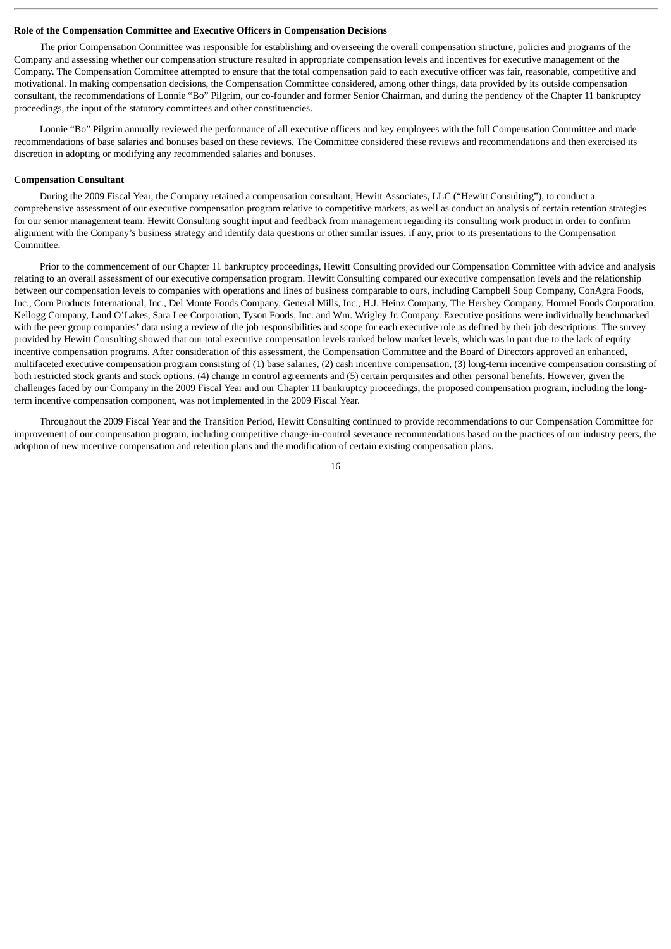#### **Role of the Compensation Committee and Executive Officers in Compensation Decisions**

The prior Compensation Committee was responsible for establishing and overseeing the overall compensation structure, policies and programs of the Company and assessing whether our compensation structure resulted in appropriate compensation levels and incentives for executive management of the Company. The Compensation Committee attempted to ensure that the total compensation paid to each executive officer was fair, reasonable, competitive and motivational. In making compensation decisions, the Compensation Committee considered, among other things, data provided by its outside compensation consultant, the recommendations of Lonnie "Bo" Pilgrim, our co-founder and former Senior Chairman, and during the pendency of the Chapter 11 bankruptcy proceedings, the input of the statutory committees and other constituencies.

Lonnie "Bo" Pilgrim annually reviewed the performance of all executive officers and key employees with the full Compensation Committee and made recommendations of base salaries and bonuses based on these reviews. The Committee considered these reviews and recommendations and then exercised its discretion in adopting or modifying any recommended salaries and bonuses.

# **Compensation Consultant**

During the 2009 Fiscal Year, the Company retained a compensation consultant, Hewitt Associates, LLC ("Hewitt Consulting"), to conduct a comprehensive assessment of our executive compensation program relative to competitive markets, as well as conduct an analysis of certain retention strategies for our senior management team. Hewitt Consulting sought input and feedback from management regarding its consulting work product in order to confirm alignment with the Company's business strategy and identify data questions or other similar issues, if any, prior to its presentations to the Compensation Committee.

Prior to the commencement of our Chapter 11 bankruptcy proceedings, Hewitt Consulting provided our Compensation Committee with advice and analysis relating to an overall assessment of our executive compensation program. Hewitt Consulting compared our executive compensation levels and the relationship between our compensation levels to companies with operations and lines of business comparable to ours, including Campbell Soup Company, ConAgra Foods, Inc., Corn Products International, Inc., Del Monte Foods Company, General Mills, Inc., H.J. Heinz Company, The Hershey Company, Hormel Foods Corporation, Kellogg Company, Land O'Lakes, Sara Lee Corporation, Tyson Foods, Inc. and Wm. Wrigley Jr. Company. Executive positions were individually benchmarked with the peer group companies' data using a review of the job responsibilities and scope for each executive role as defined by their job descriptions. The survey provided by Hewitt Consulting showed that our total executive compensation levels ranked below market levels, which was in part due to the lack of equity incentive compensation programs. After consideration of this assessment, the Compensation Committee and the Board of Directors approved an enhanced, multifaceted executive compensation program consisting of (1) base salaries, (2) cash incentive compensation, (3) long-term incentive compensation consisting of both restricted stock grants and stock options, (4) change in control agreements and (5) certain perquisites and other personal benefits. However, given the challenges faced by our Company in the 2009 Fiscal Year and our Chapter 11 bankruptcy proceedings, the proposed compensation program, including the longterm incentive compensation component, was not implemented in the 2009 Fiscal Year.

Throughout the 2009 Fiscal Year and the Transition Period, Hewitt Consulting continued to provide recommendations to our Compensation Committee for improvement of our compensation program, including competitive change-in-control severance recommendations based on the practices of our industry peers, the adoption of new incentive compensation and retention plans and the modification of certain existing compensation plans.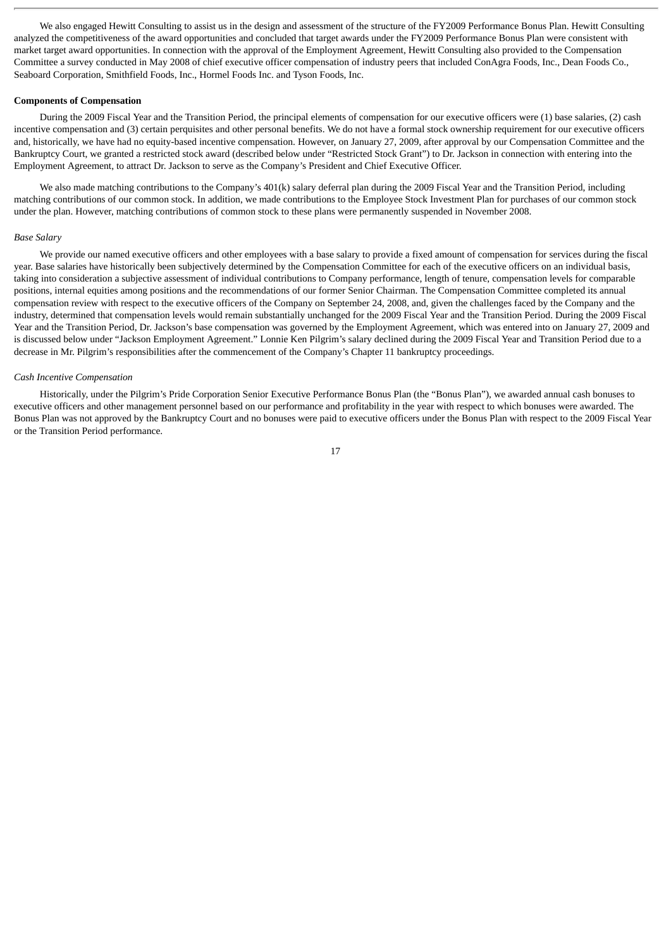We also engaged Hewitt Consulting to assist us in the design and assessment of the structure of the FY2009 Performance Bonus Plan. Hewitt Consulting analyzed the competitiveness of the award opportunities and concluded that target awards under the FY2009 Performance Bonus Plan were consistent with market target award opportunities. In connection with the approval of the Employment Agreement, Hewitt Consulting also provided to the Compensation Committee a survey conducted in May 2008 of chief executive officer compensation of industry peers that included ConAgra Foods, Inc., Dean Foods Co., Seaboard Corporation, Smithfield Foods, Inc., Hormel Foods Inc. and Tyson Foods, Inc.

#### **Components of Compensation**

During the 2009 Fiscal Year and the Transition Period, the principal elements of compensation for our executive officers were (1) base salaries, (2) cash incentive compensation and (3) certain perquisites and other personal benefits. We do not have a formal stock ownership requirement for our executive officers and, historically, we have had no equity-based incentive compensation. However, on January 27, 2009, after approval by our Compensation Committee and the Bankruptcy Court, we granted a restricted stock award (described below under "Restricted Stock Grant") to Dr. Jackson in connection with entering into the Employment Agreement, to attract Dr. Jackson to serve as the Company's President and Chief Executive Officer.

We also made matching contributions to the Company's 401(k) salary deferral plan during the 2009 Fiscal Year and the Transition Period, including matching contributions of our common stock. In addition, we made contributions to the Employee Stock Investment Plan for purchases of our common stock under the plan. However, matching contributions of common stock to these plans were permanently suspended in November 2008.

#### *Base Salary*

We provide our named executive officers and other employees with a base salary to provide a fixed amount of compensation for services during the fiscal year. Base salaries have historically been subjectively determined by the Compensation Committee for each of the executive officers on an individual basis, taking into consideration a subjective assessment of individual contributions to Company performance, length of tenure, compensation levels for comparable positions, internal equities among positions and the recommendations of our former Senior Chairman. The Compensation Committee completed its annual compensation review with respect to the executive officers of the Company on September 24, 2008, and, given the challenges faced by the Company and the industry, determined that compensation levels would remain substantially unchanged for the 2009 Fiscal Year and the Transition Period. During the 2009 Fiscal Year and the Transition Period, Dr. Jackson's base compensation was governed by the Employment Agreement, which was entered into on January 27, 2009 and is discussed below under "Jackson Employment Agreement." Lonnie Ken Pilgrim's salary declined during the 2009 Fiscal Year and Transition Period due to a decrease in Mr. Pilgrim's responsibilities after the commencement of the Company's Chapter 11 bankruptcy proceedings.

### *Cash Incentive Compensation*

Historically, under the Pilgrim's Pride Corporation Senior Executive Performance Bonus Plan (the "Bonus Plan"), we awarded annual cash bonuses to executive officers and other management personnel based on our performance and profitability in the year with respect to which bonuses were awarded. The Bonus Plan was not approved by the Bankruptcy Court and no bonuses were paid to executive officers under the Bonus Plan with respect to the 2009 Fiscal Year or the Transition Period performance.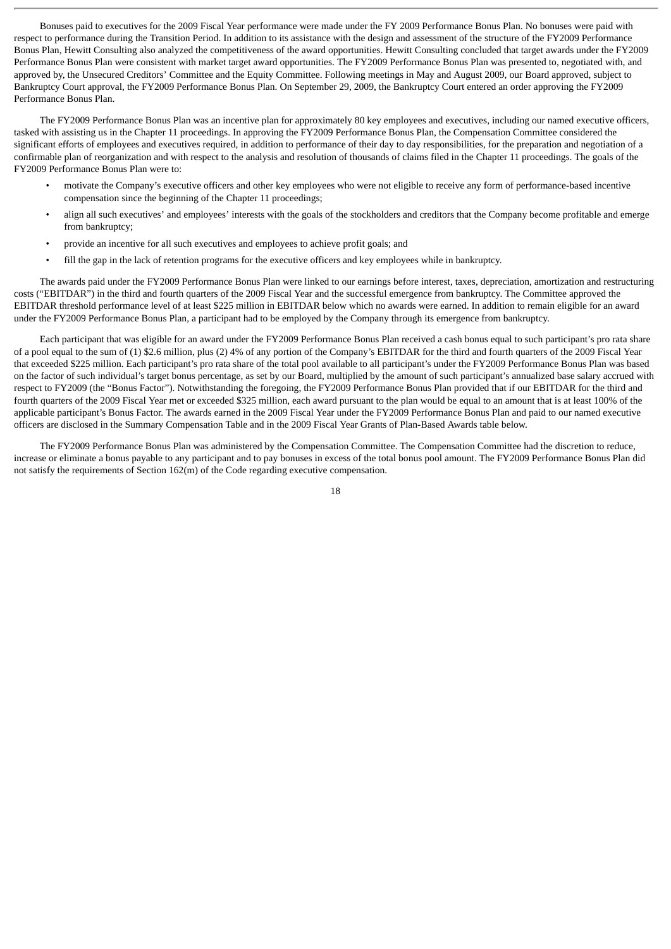Bonuses paid to executives for the 2009 Fiscal Year performance were made under the FY 2009 Performance Bonus Plan. No bonuses were paid with respect to performance during the Transition Period. In addition to its assistance with the design and assessment of the structure of the FY2009 Performance Bonus Plan, Hewitt Consulting also analyzed the competitiveness of the award opportunities. Hewitt Consulting concluded that target awards under the FY2009 Performance Bonus Plan were consistent with market target award opportunities. The FY2009 Performance Bonus Plan was presented to, negotiated with, and approved by, the Unsecured Creditors' Committee and the Equity Committee. Following meetings in May and August 2009, our Board approved, subject to Bankruptcy Court approval, the FY2009 Performance Bonus Plan. On September 29, 2009, the Bankruptcy Court entered an order approving the FY2009 Performance Bonus Plan.

The FY2009 Performance Bonus Plan was an incentive plan for approximately 80 key employees and executives, including our named executive officers, tasked with assisting us in the Chapter 11 proceedings. In approving the FY2009 Performance Bonus Plan, the Compensation Committee considered the significant efforts of employees and executives required, in addition to performance of their day to day responsibilities, for the preparation and negotiation of a confirmable plan of reorganization and with respect to the analysis and resolution of thousands of claims filed in the Chapter 11 proceedings. The goals of the FY2009 Performance Bonus Plan were to:

- motivate the Company's executive officers and other key employees who were not eligible to receive any form of performance-based incentive compensation since the beginning of the Chapter 11 proceedings;
- align all such executives' and employees' interests with the goals of the stockholders and creditors that the Company become profitable and emerge from bankruptcy;
- provide an incentive for all such executives and employees to achieve profit goals; and
- fill the gap in the lack of retention programs for the executive officers and key employees while in bankruptcy.

The awards paid under the FY2009 Performance Bonus Plan were linked to our earnings before interest, taxes, depreciation, amortization and restructuring costs ("EBITDAR") in the third and fourth quarters of the 2009 Fiscal Year and the successful emergence from bankruptcy. The Committee approved the EBITDAR threshold performance level of at least \$225 million in EBITDAR below which no awards were earned. In addition to remain eligible for an award under the FY2009 Performance Bonus Plan, a participant had to be employed by the Company through its emergence from bankruptcy.

Each participant that was eligible for an award under the FY2009 Performance Bonus Plan received a cash bonus equal to such participant's pro rata share of a pool equal to the sum of (1) \$2.6 million, plus (2) 4% of any portion of the Company's EBITDAR for the third and fourth quarters of the 2009 Fiscal Year that exceeded \$225 million. Each participant's pro rata share of the total pool available to all participant's under the FY2009 Performance Bonus Plan was based on the factor of such individual's target bonus percentage, as set by our Board, multiplied by the amount of such participant's annualized base salary accrued with respect to FY2009 (the "Bonus Factor"). Notwithstanding the foregoing, the FY2009 Performance Bonus Plan provided that if our EBITDAR for the third and fourth quarters of the 2009 Fiscal Year met or exceeded \$325 million, each award pursuant to the plan would be equal to an amount that is at least 100% of the applicable participant's Bonus Factor. The awards earned in the 2009 Fiscal Year under the FY2009 Performance Bonus Plan and paid to our named executive officers are disclosed in the Summary Compensation Table and in the 2009 Fiscal Year Grants of Plan-Based Awards table below.

The FY2009 Performance Bonus Plan was administered by the Compensation Committee. The Compensation Committee had the discretion to reduce, increase or eliminate a bonus payable to any participant and to pay bonuses in excess of the total bonus pool amount. The FY2009 Performance Bonus Plan did not satisfy the requirements of Section 162(m) of the Code regarding executive compensation.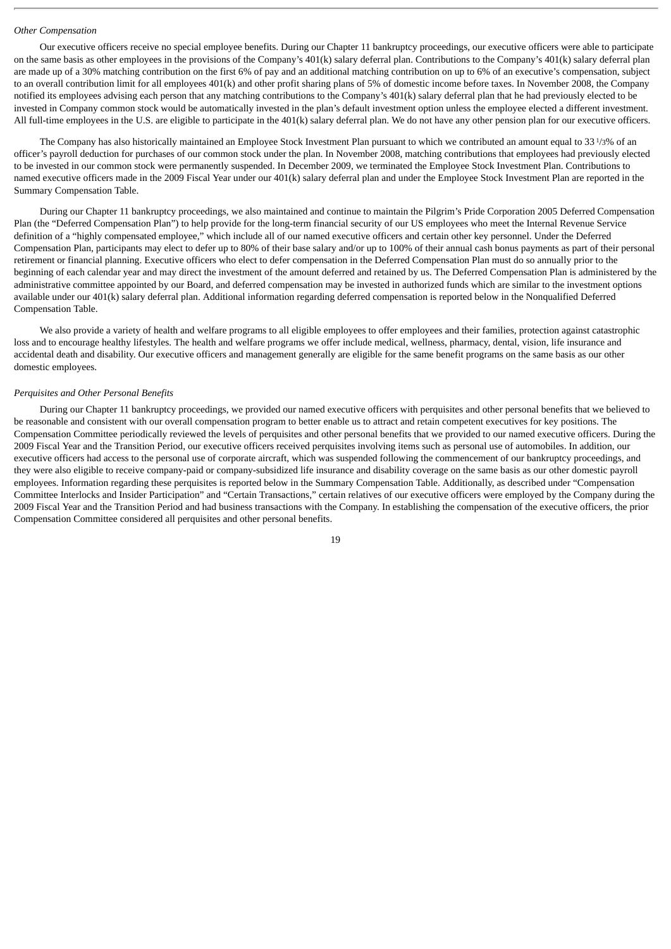#### *Other Compensation*

Our executive officers receive no special employee benefits. During our Chapter 11 bankruptcy proceedings, our executive officers were able to participate on the same basis as other employees in the provisions of the Company's 401(k) salary deferral plan. Contributions to the Company's 401(k) salary deferral plan are made up of a 30% matching contribution on the first 6% of pay and an additional matching contribution on up to 6% of an executive's compensation, subject to an overall contribution limit for all employees 401(k) and other profit sharing plans of 5% of domestic income before taxes. In November 2008, the Company notified its employees advising each person that any matching contributions to the Company's 401(k) salary deferral plan that he had previously elected to be invested in Company common stock would be automatically invested in the plan's default investment option unless the employee elected a different investment. All full-time employees in the U.S. are eligible to participate in the 401(k) salary deferral plan. We do not have any other pension plan for our executive officers.

The Company has also historically maintained an Employee Stock Investment Plan pursuant to which we contributed an amount equal to 33 1/3% of an officer's payroll deduction for purchases of our common stock under the plan. In November 2008, matching contributions that employees had previously elected to be invested in our common stock were permanently suspended. In December 2009, we terminated the Employee Stock Investment Plan. Contributions to named executive officers made in the 2009 Fiscal Year under our 401(k) salary deferral plan and under the Employee Stock Investment Plan are reported in the Summary Compensation Table.

During our Chapter 11 bankruptcy proceedings, we also maintained and continue to maintain the Pilgrim's Pride Corporation 2005 Deferred Compensation Plan (the "Deferred Compensation Plan") to help provide for the long-term financial security of our US employees who meet the Internal Revenue Service definition of a "highly compensated employee," which include all of our named executive officers and certain other key personnel. Under the Deferred Compensation Plan, participants may elect to defer up to 80% of their base salary and/or up to 100% of their annual cash bonus payments as part of their personal retirement or financial planning. Executive officers who elect to defer compensation in the Deferred Compensation Plan must do so annually prior to the beginning of each calendar year and may direct the investment of the amount deferred and retained by us. The Deferred Compensation Plan is administered by the administrative committee appointed by our Board, and deferred compensation may be invested in authorized funds which are similar to the investment options available under our 401(k) salary deferral plan. Additional information regarding deferred compensation is reported below in the Nonqualified Deferred Compensation Table.

We also provide a variety of health and welfare programs to all eligible employees to offer employees and their families, protection against catastrophic loss and to encourage healthy lifestyles. The health and welfare programs we offer include medical, wellness, pharmacy, dental, vision, life insurance and accidental death and disability. Our executive officers and management generally are eligible for the same benefit programs on the same basis as our other domestic employees.

# *Perquisites and Other Personal Benefits*

During our Chapter 11 bankruptcy proceedings, we provided our named executive officers with perquisites and other personal benefits that we believed to be reasonable and consistent with our overall compensation program to better enable us to attract and retain competent executives for key positions. The Compensation Committee periodically reviewed the levels of perquisites and other personal benefits that we provided to our named executive officers. During the 2009 Fiscal Year and the Transition Period, our executive officers received perquisites involving items such as personal use of automobiles. In addition, our executive officers had access to the personal use of corporate aircraft, which was suspended following the commencement of our bankruptcy proceedings, and they were also eligible to receive company-paid or company-subsidized life insurance and disability coverage on the same basis as our other domestic payroll employees. Information regarding these perquisites is reported below in the Summary Compensation Table. Additionally, as described under "Compensation Committee Interlocks and Insider Participation" and "Certain Transactions," certain relatives of our executive officers were employed by the Company during the 2009 Fiscal Year and the Transition Period and had business transactions with the Company. In establishing the compensation of the executive officers, the prior Compensation Committee considered all perquisites and other personal benefits.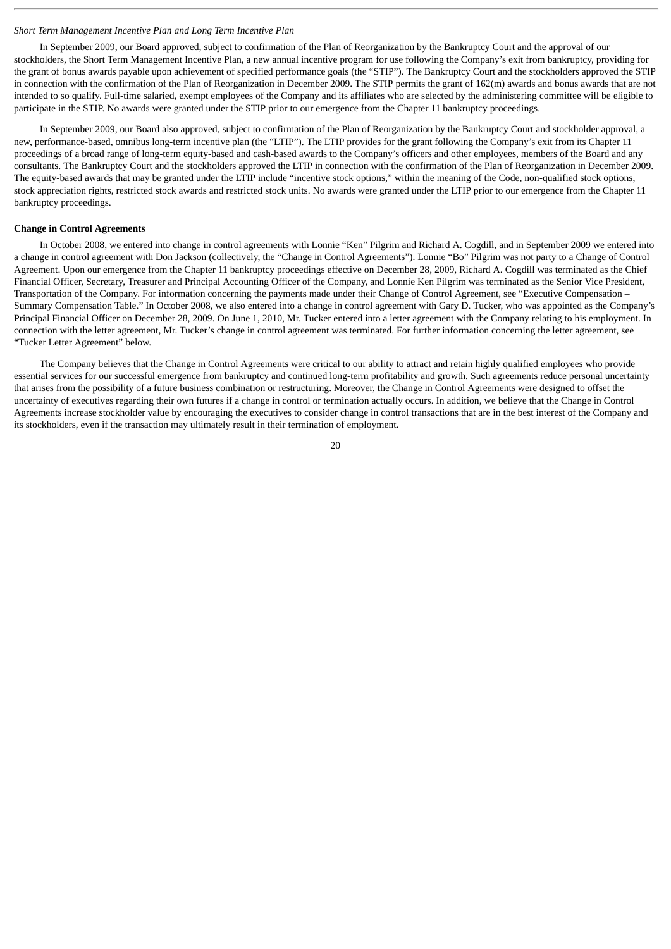#### *Short Term Management Incentive Plan and Long Term Incentive Plan*

In September 2009, our Board approved, subject to confirmation of the Plan of Reorganization by the Bankruptcy Court and the approval of our stockholders, the Short Term Management Incentive Plan, a new annual incentive program for use following the Company's exit from bankruptcy, providing for the grant of bonus awards payable upon achievement of specified performance goals (the "STIP"). The Bankruptcy Court and the stockholders approved the STIP in connection with the confirmation of the Plan of Reorganization in December 2009. The STIP permits the grant of 162(m) awards and bonus awards that are not intended to so qualify. Full-time salaried, exempt employees of the Company and its affiliates who are selected by the administering committee will be eligible to participate in the STIP. No awards were granted under the STIP prior to our emergence from the Chapter 11 bankruptcy proceedings.

In September 2009, our Board also approved, subject to confirmation of the Plan of Reorganization by the Bankruptcy Court and stockholder approval, a new, performance-based, omnibus long-term incentive plan (the "LTIP"). The LTIP provides for the grant following the Company's exit from its Chapter 11 proceedings of a broad range of long-term equity-based and cash-based awards to the Company's officers and other employees, members of the Board and any consultants. The Bankruptcy Court and the stockholders approved the LTIP in connection with the confirmation of the Plan of Reorganization in December 2009. The equity-based awards that may be granted under the LTIP include "incentive stock options," within the meaning of the Code, non-qualified stock options, stock appreciation rights, restricted stock awards and restricted stock units. No awards were granted under the LTIP prior to our emergence from the Chapter 11 bankruptcy proceedings.

# **Change in Control Agreements**

In October 2008, we entered into change in control agreements with Lonnie "Ken" Pilgrim and Richard A. Cogdill, and in September 2009 we entered into a change in control agreement with Don Jackson (collectively, the "Change in Control Agreements"). Lonnie "Bo" Pilgrim was not party to a Change of Control Agreement. Upon our emergence from the Chapter 11 bankruptcy proceedings effective on December 28, 2009, Richard A. Cogdill was terminated as the Chief Financial Officer, Secretary, Treasurer and Principal Accounting Officer of the Company, and Lonnie Ken Pilgrim was terminated as the Senior Vice President, Transportation of the Company. For information concerning the payments made under their Change of Control Agreement, see "Executive Compensation – Summary Compensation Table." In October 2008, we also entered into a change in control agreement with Gary D. Tucker, who was appointed as the Company's Principal Financial Officer on December 28, 2009. On June 1, 2010, Mr. Tucker entered into a letter agreement with the Company relating to his employment. In connection with the letter agreement, Mr. Tucker's change in control agreement was terminated. For further information concerning the letter agreement, see "Tucker Letter Agreement" below.

The Company believes that the Change in Control Agreements were critical to our ability to attract and retain highly qualified employees who provide essential services for our successful emergence from bankruptcy and continued long-term profitability and growth. Such agreements reduce personal uncertainty that arises from the possibility of a future business combination or restructuring. Moreover, the Change in Control Agreements were designed to offset the uncertainty of executives regarding their own futures if a change in control or termination actually occurs. In addition, we believe that the Change in Control Agreements increase stockholder value by encouraging the executives to consider change in control transactions that are in the best interest of the Company and its stockholders, even if the transaction may ultimately result in their termination of employment.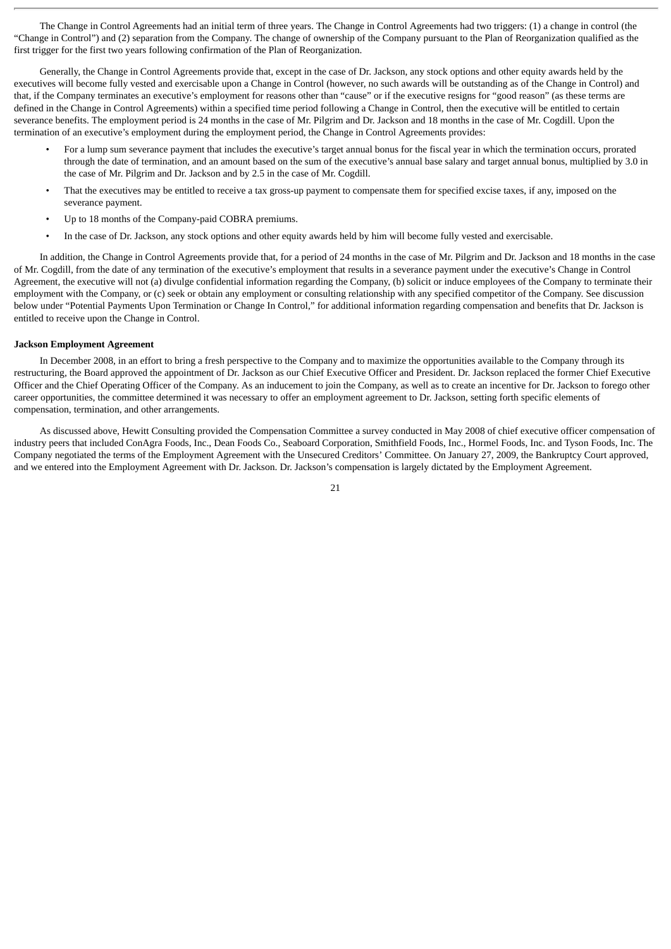The Change in Control Agreements had an initial term of three years. The Change in Control Agreements had two triggers: (1) a change in control (the "Change in Control") and (2) separation from the Company. The change of ownership of the Company pursuant to the Plan of Reorganization qualified as the first trigger for the first two years following confirmation of the Plan of Reorganization.

Generally, the Change in Control Agreements provide that, except in the case of Dr. Jackson, any stock options and other equity awards held by the executives will become fully vested and exercisable upon a Change in Control (however, no such awards will be outstanding as of the Change in Control) and that, if the Company terminates an executive's employment for reasons other than "cause" or if the executive resigns for "good reason" (as these terms are defined in the Change in Control Agreements) within a specified time period following a Change in Control, then the executive will be entitled to certain severance benefits. The employment period is 24 months in the case of Mr. Pilgrim and Dr. Jackson and 18 months in the case of Mr. Cogdill. Upon the termination of an executive's employment during the employment period, the Change in Control Agreements provides:

- For a lump sum severance payment that includes the executive's target annual bonus for the fiscal year in which the termination occurs, prorated through the date of termination, and an amount based on the sum of the executive's annual base salary and target annual bonus, multiplied by 3.0 in the case of Mr. Pilgrim and Dr. Jackson and by 2.5 in the case of Mr. Cogdill.
- That the executives may be entitled to receive a tax gross-up payment to compensate them for specified excise taxes, if any, imposed on the severance payment.
- Up to 18 months of the Company-paid COBRA premiums.
- In the case of Dr. Jackson, any stock options and other equity awards held by him will become fully vested and exercisable.

In addition, the Change in Control Agreements provide that, for a period of 24 months in the case of Mr. Pilgrim and Dr. Jackson and 18 months in the case of Mr. Cogdill, from the date of any termination of the executive's employment that results in a severance payment under the executive's Change in Control Agreement, the executive will not (a) divulge confidential information regarding the Company, (b) solicit or induce employees of the Company to terminate their employment with the Company, or (c) seek or obtain any employment or consulting relationship with any specified competitor of the Company. See discussion below under "Potential Payments Upon Termination or Change In Control," for additional information regarding compensation and benefits that Dr. Jackson is entitled to receive upon the Change in Control.

# **Jackson Employment Agreement**

In December 2008, in an effort to bring a fresh perspective to the Company and to maximize the opportunities available to the Company through its restructuring, the Board approved the appointment of Dr. Jackson as our Chief Executive Officer and President. Dr. Jackson replaced the former Chief Executive Officer and the Chief Operating Officer of the Company. As an inducement to join the Company, as well as to create an incentive for Dr. Jackson to forego other career opportunities, the committee determined it was necessary to offer an employment agreement to Dr. Jackson, setting forth specific elements of compensation, termination, and other arrangements.

As discussed above, Hewitt Consulting provided the Compensation Committee a survey conducted in May 2008 of chief executive officer compensation of industry peers that included ConAgra Foods, Inc., Dean Foods Co., Seaboard Corporation, Smithfield Foods, Inc., Hormel Foods, Inc. and Tyson Foods, Inc. The Company negotiated the terms of the Employment Agreement with the Unsecured Creditors' Committee. On January 27, 2009, the Bankruptcy Court approved, and we entered into the Employment Agreement with Dr. Jackson. Dr. Jackson's compensation is largely dictated by the Employment Agreement.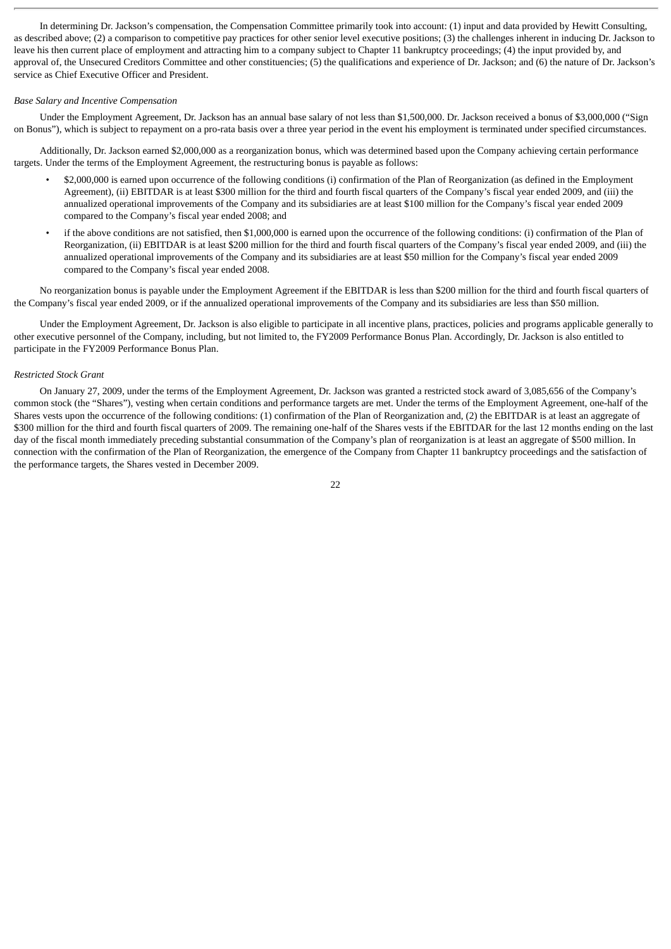In determining Dr. Jackson's compensation, the Compensation Committee primarily took into account: (1) input and data provided by Hewitt Consulting, as described above; (2) a comparison to competitive pay practices for other senior level executive positions; (3) the challenges inherent in inducing Dr. Jackson to leave his then current place of employment and attracting him to a company subject to Chapter 11 bankruptcy proceedings; (4) the input provided by, and approval of, the Unsecured Creditors Committee and other constituencies; (5) the qualifications and experience of Dr. Jackson; and (6) the nature of Dr. Jackson's service as Chief Executive Officer and President.

# *Base Salary and Incentive Compensation*

Under the Employment Agreement, Dr. Jackson has an annual base salary of not less than \$1,500,000. Dr. Jackson received a bonus of \$3,000,000 ("Sign on Bonus"), which is subject to repayment on a pro-rata basis over a three year period in the event his employment is terminated under specified circumstances.

Additionally, Dr. Jackson earned \$2,000,000 as a reorganization bonus, which was determined based upon the Company achieving certain performance targets. Under the terms of the Employment Agreement, the restructuring bonus is payable as follows:

- \$2,000,000 is earned upon occurrence of the following conditions (i) confirmation of the Plan of Reorganization (as defined in the Employment Agreement), (ii) EBITDAR is at least \$300 million for the third and fourth fiscal quarters of the Company's fiscal year ended 2009, and (iii) the annualized operational improvements of the Company and its subsidiaries are at least \$100 million for the Company's fiscal year ended 2009 compared to the Company's fiscal year ended 2008; and
- if the above conditions are not satisfied, then \$1,000,000 is earned upon the occurrence of the following conditions: (i) confirmation of the Plan of Reorganization, (ii) EBITDAR is at least \$200 million for the third and fourth fiscal quarters of the Company's fiscal year ended 2009, and (iii) the annualized operational improvements of the Company and its subsidiaries are at least \$50 million for the Company's fiscal year ended 2009 compared to the Company's fiscal year ended 2008.

No reorganization bonus is payable under the Employment Agreement if the EBITDAR is less than \$200 million for the third and fourth fiscal quarters of the Company's fiscal year ended 2009, or if the annualized operational improvements of the Company and its subsidiaries are less than \$50 million.

Under the Employment Agreement, Dr. Jackson is also eligible to participate in all incentive plans, practices, policies and programs applicable generally to other executive personnel of the Company, including, but not limited to, the FY2009 Performance Bonus Plan. Accordingly, Dr. Jackson is also entitled to participate in the FY2009 Performance Bonus Plan.

# *Restricted Stock Grant*

On January 27, 2009, under the terms of the Employment Agreement, Dr. Jackson was granted a restricted stock award of 3,085,656 of the Company's common stock (the "Shares"), vesting when certain conditions and performance targets are met. Under the terms of the Employment Agreement, one-half of the Shares vests upon the occurrence of the following conditions: (1) confirmation of the Plan of Reorganization and, (2) the EBITDAR is at least an aggregate of \$300 million for the third and fourth fiscal quarters of 2009. The remaining one-half of the Shares vests if the EBITDAR for the last 12 months ending on the last day of the fiscal month immediately preceding substantial consummation of the Company's plan of reorganization is at least an aggregate of \$500 million. In connection with the confirmation of the Plan of Reorganization, the emergence of the Company from Chapter 11 bankruptcy proceedings and the satisfaction of the performance targets, the Shares vested in December 2009.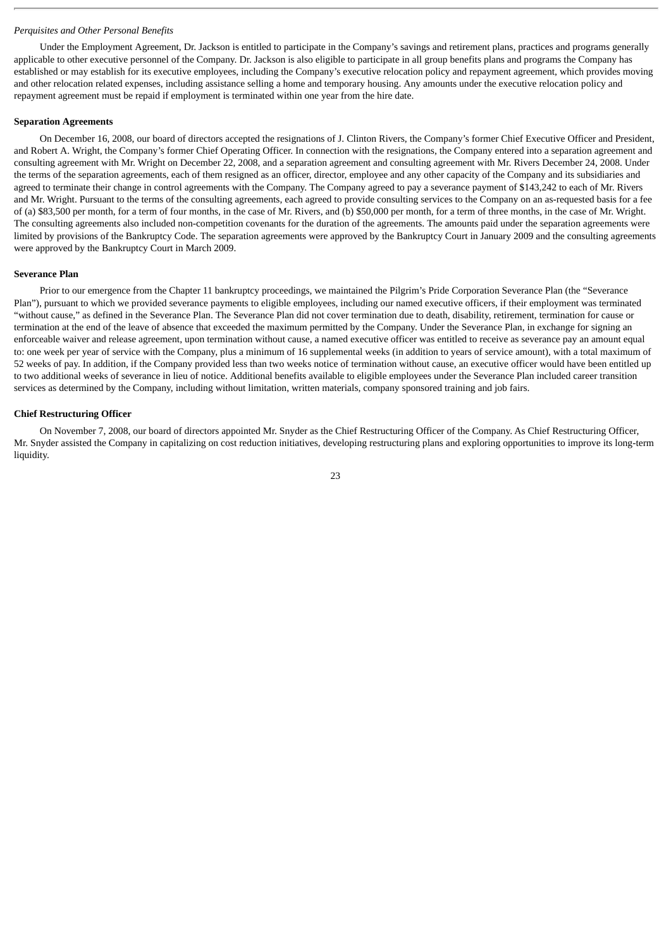#### *Perquisites and Other Personal Benefits*

Under the Employment Agreement, Dr. Jackson is entitled to participate in the Company's savings and retirement plans, practices and programs generally applicable to other executive personnel of the Company. Dr. Jackson is also eligible to participate in all group benefits plans and programs the Company has established or may establish for its executive employees, including the Company's executive relocation policy and repayment agreement, which provides moving and other relocation related expenses, including assistance selling a home and temporary housing. Any amounts under the executive relocation policy and repayment agreement must be repaid if employment is terminated within one year from the hire date.

#### **Separation Agreements**

On December 16, 2008, our board of directors accepted the resignations of J. Clinton Rivers, the Company's former Chief Executive Officer and President, and Robert A. Wright, the Company's former Chief Operating Officer. In connection with the resignations, the Company entered into a separation agreement and consulting agreement with Mr. Wright on December 22, 2008, and a separation agreement and consulting agreement with Mr. Rivers December 24, 2008. Under the terms of the separation agreements, each of them resigned as an officer, director, employee and any other capacity of the Company and its subsidiaries and agreed to terminate their change in control agreements with the Company. The Company agreed to pay a severance payment of \$143,242 to each of Mr. Rivers and Mr. Wright. Pursuant to the terms of the consulting agreements, each agreed to provide consulting services to the Company on an as-requested basis for a fee of (a) \$83,500 per month, for a term of four months, in the case of Mr. Rivers, and (b) \$50,000 per month, for a term of three months, in the case of Mr. Wright. The consulting agreements also included non-competition covenants for the duration of the agreements. The amounts paid under the separation agreements were limited by provisions of the Bankruptcy Code. The separation agreements were approved by the Bankruptcy Court in January 2009 and the consulting agreements were approved by the Bankruptcy Court in March 2009.

#### **Severance Plan**

Prior to our emergence from the Chapter 11 bankruptcy proceedings, we maintained the Pilgrim's Pride Corporation Severance Plan (the "Severance Plan"), pursuant to which we provided severance payments to eligible employees, including our named executive officers, if their employment was terminated "without cause," as defined in the Severance Plan. The Severance Plan did not cover termination due to death, disability, retirement, termination for cause or termination at the end of the leave of absence that exceeded the maximum permitted by the Company. Under the Severance Plan, in exchange for signing an enforceable waiver and release agreement, upon termination without cause, a named executive officer was entitled to receive as severance pay an amount equal to: one week per year of service with the Company, plus a minimum of 16 supplemental weeks (in addition to years of service amount), with a total maximum of 52 weeks of pay. In addition, if the Company provided less than two weeks notice of termination without cause, an executive officer would have been entitled up to two additional weeks of severance in lieu of notice. Additional benefits available to eligible employees under the Severance Plan included career transition services as determined by the Company, including without limitation, written materials, company sponsored training and job fairs.

# **Chief Restructuring Officer**

On November 7, 2008, our board of directors appointed Mr. Snyder as the Chief Restructuring Officer of the Company. As Chief Restructuring Officer, Mr. Snyder assisted the Company in capitalizing on cost reduction initiatives, developing restructuring plans and exploring opportunities to improve its long-term liquidity.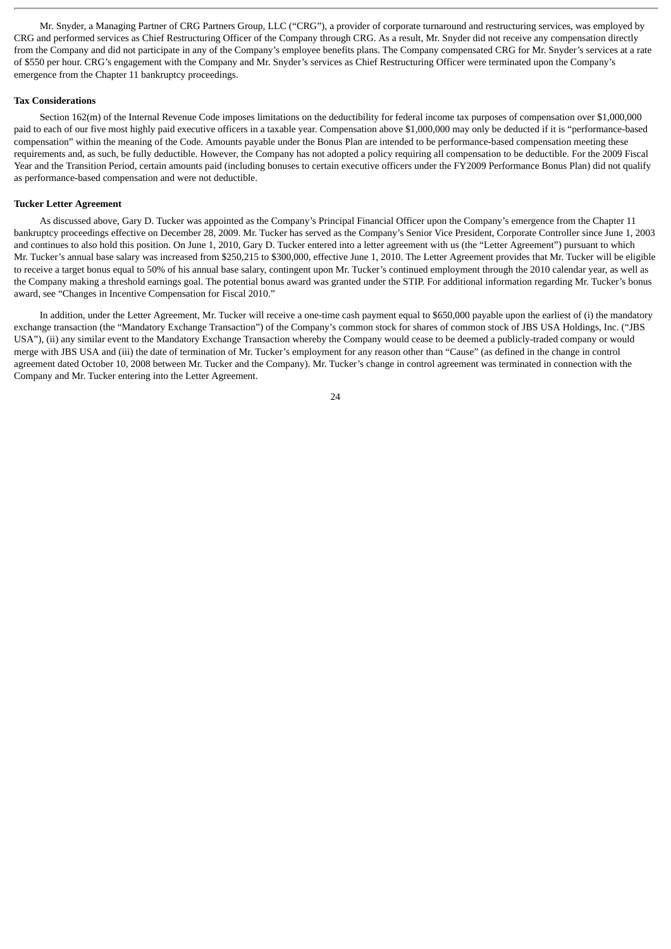Mr. Snyder, a Managing Partner of CRG Partners Group, LLC ("CRG"), a provider of corporate turnaround and restructuring services, was employed by CRG and performed services as Chief Restructuring Officer of the Company through CRG. As a result, Mr. Snyder did not receive any compensation directly from the Company and did not participate in any of the Company's employee benefits plans. The Company compensated CRG for Mr. Snyder's services at a rate of \$550 per hour. CRG's engagement with the Company and Mr. Snyder's services as Chief Restructuring Officer were terminated upon the Company's emergence from the Chapter 11 bankruptcy proceedings.

# **Tax Considerations**

Section 162(m) of the Internal Revenue Code imposes limitations on the deductibility for federal income tax purposes of compensation over \$1,000,000 paid to each of our five most highly paid executive officers in a taxable year. Compensation above \$1,000,000 may only be deducted if it is "performance-based compensation" within the meaning of the Code. Amounts payable under the Bonus Plan are intended to be performance-based compensation meeting these requirements and, as such, be fully deductible. However, the Company has not adopted a policy requiring all compensation to be deductible. For the 2009 Fiscal Year and the Transition Period, certain amounts paid (including bonuses to certain executive officers under the FY2009 Performance Bonus Plan) did not qualify as performance-based compensation and were not deductible.

# **Tucker Letter Agreement**

As discussed above, Gary D. Tucker was appointed as the Company's Principal Financial Officer upon the Company's emergence from the Chapter 11 bankruptcy proceedings effective on December 28, 2009. Mr. Tucker has served as the Company's Senior Vice President, Corporate Controller since June 1, 2003 and continues to also hold this position. On June 1, 2010, Gary D. Tucker entered into a letter agreement with us (the "Letter Agreement") pursuant to which Mr. Tucker's annual base salary was increased from \$250,215 to \$300,000, effective June 1, 2010. The Letter Agreement provides that Mr. Tucker will be eligible to receive a target bonus equal to 50% of his annual base salary, contingent upon Mr. Tucker's continued employment through the 2010 calendar year, as well as the Company making a threshold earnings goal. The potential bonus award was granted under the STIP. For additional information regarding Mr. Tucker's bonus award, see "Changes in Incentive Compensation for Fiscal 2010."

In addition, under the Letter Agreement, Mr. Tucker will receive a one-time cash payment equal to \$650,000 payable upon the earliest of (i) the mandatory exchange transaction (the "Mandatory Exchange Transaction") of the Company's common stock for shares of common stock of JBS USA Holdings, Inc. ("JBS USA"), (ii) any similar event to the Mandatory Exchange Transaction whereby the Company would cease to be deemed a publicly-traded company or would merge with JBS USA and (iii) the date of termination of Mr. Tucker's employment for any reason other than "Cause" (as defined in the change in control agreement dated October 10, 2008 between Mr. Tucker and the Company). Mr. Tucker's change in control agreement was terminated in connection with the Company and Mr. Tucker entering into the Letter Agreement.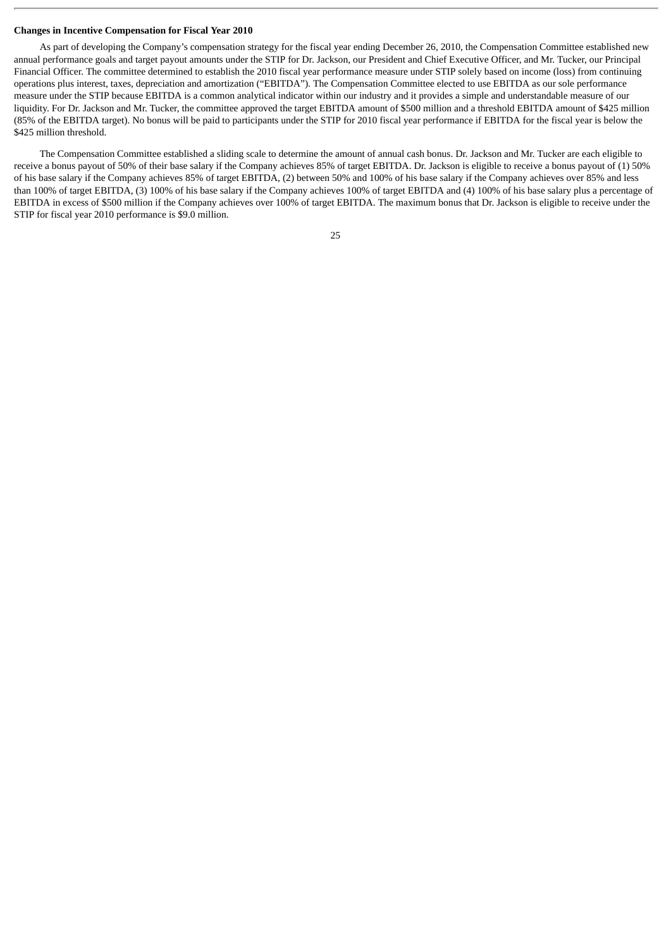#### **Changes in Incentive Compensation for Fiscal Year 2010**

As part of developing the Company's compensation strategy for the fiscal year ending December 26, 2010, the Compensation Committee established new annual performance goals and target payout amounts under the STIP for Dr. Jackson, our President and Chief Executive Officer, and Mr. Tucker, our Principal Financial Officer. The committee determined to establish the 2010 fiscal year performance measure under STIP solely based on income (loss) from continuing operations plus interest, taxes, depreciation and amortization ("EBITDA"). The Compensation Committee elected to use EBITDA as our sole performance measure under the STIP because EBITDA is a common analytical indicator within our industry and it provides a simple and understandable measure of our liquidity. For Dr. Jackson and Mr. Tucker, the committee approved the target EBITDA amount of \$500 million and a threshold EBITDA amount of \$425 million (85% of the EBITDA target). No bonus will be paid to participants under the STIP for 2010 fiscal year performance if EBITDA for the fiscal year is below the \$425 million threshold.

The Compensation Committee established a sliding scale to determine the amount of annual cash bonus. Dr. Jackson and Mr. Tucker are each eligible to receive a bonus payout of 50% of their base salary if the Company achieves 85% of target EBITDA. Dr. Jackson is eligible to receive a bonus payout of (1) 50% of his base salary if the Company achieves 85% of target EBITDA, (2) between 50% and 100% of his base salary if the Company achieves over 85% and less than 100% of target EBITDA, (3) 100% of his base salary if the Company achieves 100% of target EBITDA and (4) 100% of his base salary plus a percentage of EBITDA in excess of \$500 million if the Company achieves over 100% of target EBITDA. The maximum bonus that Dr. Jackson is eligible to receive under the STIP for fiscal year 2010 performance is \$9.0 million.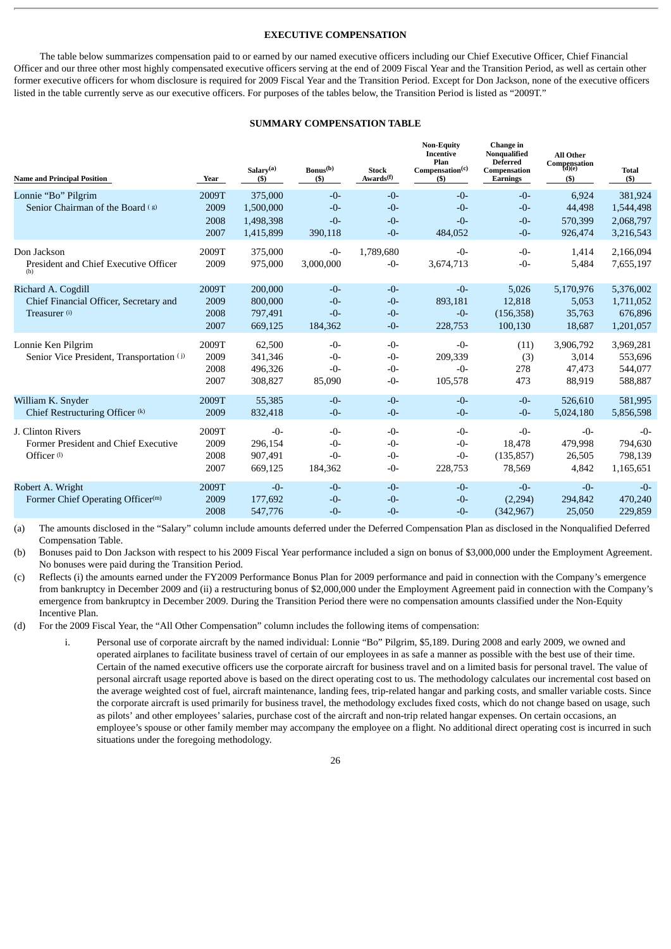# **EXECUTIVE COMPENSATION**

The table below summarizes compensation paid to or earned by our named executive officers including our Chief Executive Officer, Chief Financial Officer and our three other most highly compensated executive officers serving at the end of 2009 Fiscal Year and the Transition Period, as well as certain other former executive officers for whom disclosure is required for 2009 Fiscal Year and the Transition Period. Except for Don Jackson, none of the executive officers listed in the table currently serve as our executive officers. For purposes of the tables below, the Transition Period is listed as "2009T."

# **SUMMARY COMPENSATION TABLE**

| <b>Name and Principal Position</b>        | Year  | Salary $(a)$<br>(S) | Bonus <sup>(b)</sup><br>$($)$ | <b>Stock</b><br>Awards <sup>(f)</sup> | <b>Non-Equity</b><br><b>Incentive</b><br>Plan<br>Compensation <sup>(c)</sup><br>$($ \$ | Change in<br>Nonqualified<br><b>Deferred</b><br>Compensation<br><b>Earnings</b> | <b>All Other</b><br>$\displaystyle \underset{(d)(e)}{\text{Comparison}}$<br>$($)$ | <b>Total</b><br>$($ \$) |
|-------------------------------------------|-------|---------------------|-------------------------------|---------------------------------------|----------------------------------------------------------------------------------------|---------------------------------------------------------------------------------|-----------------------------------------------------------------------------------|-------------------------|
| Lonnie "Bo" Pilgrim                       | 2009T | 375,000             | $-0-$                         | $-0-$                                 | $-0-$                                                                                  | $-0-$                                                                           | 6,924                                                                             | 381,924                 |
| Senior Chairman of the Board (g)          | 2009  | 1,500,000           | $-0-$                         | $-0-$                                 | $-0-$                                                                                  | $-0-$                                                                           | 44,498                                                                            | 1,544,498               |
|                                           | 2008  | 1,498,398           | $-0-$                         | $-0-$                                 | $-0-$                                                                                  | $-0-$                                                                           | 570,399                                                                           | 2,068,797               |
|                                           | 2007  | 1,415,899           | 390,118                       | $-0-$                                 | 484,052                                                                                | $-0-$                                                                           | 926,474                                                                           | 3,216,543               |
| Don Jackson                               | 2009T | 375,000             | $-0-$                         | 1,789,680                             | $-0-$                                                                                  | $-0-$                                                                           | 1,414                                                                             | 2,166,094               |
| President and Chief Executive Officer     | 2009  | 975,000             | 3,000,000                     | $-0-$                                 | 3,674,713                                                                              | $-0-$                                                                           | 5,484                                                                             | 7,655,197               |
| Richard A. Cogdill                        | 2009T | 200,000             | $-0-$                         | $-0-$                                 | $-0-$                                                                                  | 5,026                                                                           | 5,170,976                                                                         | 5,376,002               |
| Chief Financial Officer, Secretary and    | 2009  | 800,000             | $-0-$                         | $-0-$                                 | 893,181                                                                                | 12,818                                                                          | 5,053                                                                             | 1,711,052               |
| Treasurer <sup>(i)</sup>                  | 2008  | 797,491             | $-0-$                         | $-0-$                                 | $-0-$                                                                                  | (156, 358)                                                                      | 35,763                                                                            | 676,896                 |
|                                           | 2007  | 669,125             | 184,362                       | $-0-$                                 | 228,753                                                                                | 100,130                                                                         | 18,687                                                                            | 1,201,057               |
| Lonnie Ken Pilgrim                        | 2009T | 62,500              | $-0-$                         | $-0-$                                 | $-0-$                                                                                  | (11)                                                                            | 3,906,792                                                                         | 3,969,281               |
| Senior Vice President, Transportation (j) | 2009  | 341,346             | $-0-$                         | $-0-$                                 | 209,339                                                                                | (3)                                                                             | 3,014                                                                             | 553,696                 |
|                                           | 2008  | 496,326             | $-0-$                         | $-0-$                                 | $-0-$                                                                                  | 278                                                                             | 47,473                                                                            | 544,077                 |
|                                           | 2007  | 308,827             | 85,090                        | $-0-$                                 | 105,578                                                                                | 473                                                                             | 88,919                                                                            | 588,887                 |
| William K. Snyder                         | 2009T | 55,385              | $-0-$                         | $-0-$                                 | $-0-$                                                                                  | $-0-$                                                                           | 526,610                                                                           | 581,995                 |
| Chief Restructuring Officer (k)           | 2009  | 832,418             | $-0-$                         | $-0-$                                 | $-0-$                                                                                  | $-0-$                                                                           | 5,024,180                                                                         | 5,856,598               |
| J. Clinton Rivers                         | 2009T | $-0-$               | $-0-$                         | $-0-$                                 | $-0-$                                                                                  | $-0-$                                                                           | $-0-$                                                                             | $-0-$                   |
| Former President and Chief Executive      | 2009  | 296,154             | $-0-$                         | $-0-$                                 | $-0-$                                                                                  | 18,478                                                                          | 479,998                                                                           | 794,630                 |
| Officer <sup>(1)</sup>                    | 2008  | 907,491             | $-0-$                         | $-0-$                                 | $-0-$                                                                                  | (135, 857)                                                                      | 26,505                                                                            | 798,139                 |
|                                           | 2007  | 669,125             | 184,362                       | $-0-$                                 | 228,753                                                                                | 78,569                                                                          | 4,842                                                                             | 1,165,651               |
| Robert A. Wright                          | 2009T | $-0-$               | $-0-$                         | $-0-$                                 | $-0-$                                                                                  | $-0-$                                                                           | $-0-$                                                                             | $-0-$                   |
| Former Chief Operating Officer(m)         | 2009  | 177,692             | $-0-$                         | $-0-$                                 | $-0-$                                                                                  | (2, 294)                                                                        | 294,842                                                                           | 470,240                 |
|                                           | 2008  | 547,776             | $-0-$                         | $-0-$                                 | $-0-$                                                                                  | (342, 967)                                                                      | 25,050                                                                            | 229,859                 |

(a) The amounts disclosed in the "Salary" column include amounts deferred under the Deferred Compensation Plan as disclosed in the Nonqualified Deferred Compensation Table.

(b) Bonuses paid to Don Jackson with respect to his 2009 Fiscal Year performance included a sign on bonus of \$3,000,000 under the Employment Agreement. No bonuses were paid during the Transition Period.

(c) Reflects (i) the amounts earned under the FY2009 Performance Bonus Plan for 2009 performance and paid in connection with the Company's emergence from bankruptcy in December 2009 and (ii) a restructuring bonus of \$2,000,000 under the Employment Agreement paid in connection with the Company's emergence from bankruptcy in December 2009. During the Transition Period there were no compensation amounts classified under the Non-Equity Incentive Plan.

(d) For the 2009 Fiscal Year, the "All Other Compensation" column includes the following items of compensation:

i. Personal use of corporate aircraft by the named individual: Lonnie "Bo" Pilgrim, \$5,189. During 2008 and early 2009, we owned and operated airplanes to facilitate business travel of certain of our employees in as safe a manner as possible with the best use of their time. Certain of the named executive officers use the corporate aircraft for business travel and on a limited basis for personal travel. The value of personal aircraft usage reported above is based on the direct operating cost to us. The methodology calculates our incremental cost based on the average weighted cost of fuel, aircraft maintenance, landing fees, trip-related hangar and parking costs, and smaller variable costs. Since the corporate aircraft is used primarily for business travel, the methodology excludes fixed costs, which do not change based on usage, such as pilots' and other employees' salaries, purchase cost of the aircraft and non-trip related hangar expenses. On certain occasions, an employee's spouse or other family member may accompany the employee on a flight. No additional direct operating cost is incurred in such situations under the foregoing methodology.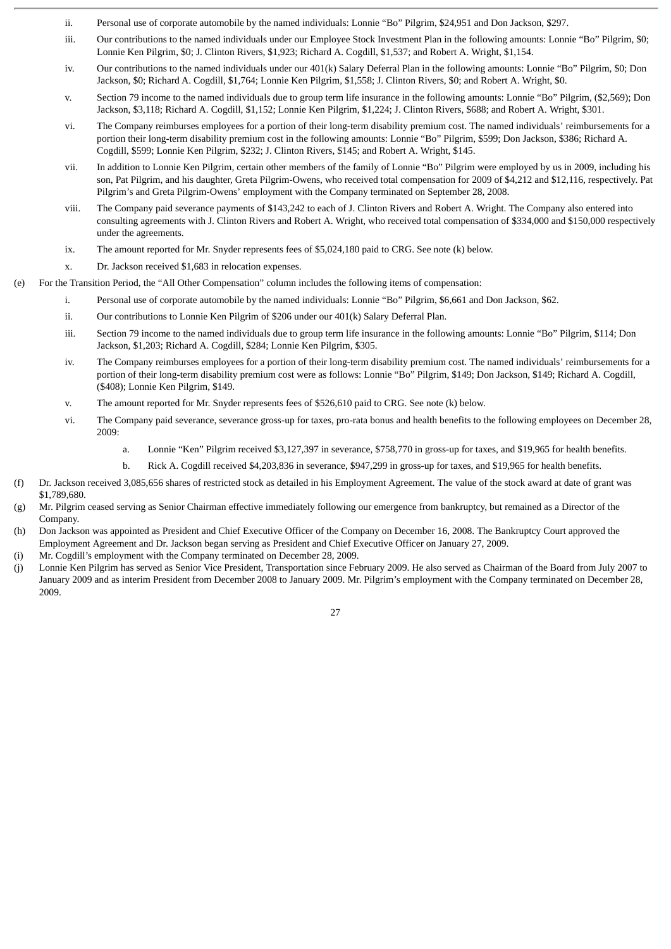- ii. Personal use of corporate automobile by the named individuals: Lonnie "Bo" Pilgrim, \$24,951 and Don Jackson, \$297.
- iii. Our contributions to the named individuals under our Employee Stock Investment Plan in the following amounts: Lonnie "Bo" Pilgrim, \$0; Lonnie Ken Pilgrim, \$0; J. Clinton Rivers, \$1,923; Richard A. Cogdill, \$1,537; and Robert A. Wright, \$1,154.
- iv. Our contributions to the named individuals under our 401(k) Salary Deferral Plan in the following amounts: Lonnie "Bo" Pilgrim, \$0; Don Jackson, \$0; Richard A. Cogdill, \$1,764; Lonnie Ken Pilgrim, \$1,558; J. Clinton Rivers, \$0; and Robert A. Wright, \$0.
- v. Section 79 income to the named individuals due to group term life insurance in the following amounts: Lonnie "Bo" Pilgrim, (\$2,569); Don Jackson, \$3,118; Richard A. Cogdill, \$1,152; Lonnie Ken Pilgrim, \$1,224; J. Clinton Rivers, \$688; and Robert A. Wright, \$301.
- vi. The Company reimburses employees for a portion of their long-term disability premium cost. The named individuals' reimbursements for a portion their long-term disability premium cost in the following amounts: Lonnie "Bo" Pilgrim, \$599; Don Jackson, \$386; Richard A. Cogdill, \$599; Lonnie Ken Pilgrim, \$232; J. Clinton Rivers, \$145; and Robert A. Wright, \$145.
- vii. In addition to Lonnie Ken Pilgrim, certain other members of the family of Lonnie "Bo" Pilgrim were employed by us in 2009, including his son, Pat Pilgrim, and his daughter, Greta Pilgrim-Owens, who received total compensation for 2009 of \$4,212 and \$12,116, respectively. Pat Pilgrim's and Greta Pilgrim-Owens' employment with the Company terminated on September 28, 2008.
- viii. The Company paid severance payments of \$143,242 to each of J. Clinton Rivers and Robert A. Wright. The Company also entered into consulting agreements with J. Clinton Rivers and Robert A. Wright, who received total compensation of \$334,000 and \$150,000 respectively under the agreements.
- ix. The amount reported for Mr. Snyder represents fees of \$5,024,180 paid to CRG. See note (k) below.
- x. Dr. Jackson received \$1,683 in relocation expenses.
- For the Transition Period, the "All Other Compensation" column includes the following items of compensation:
	- i. Personal use of corporate automobile by the named individuals: Lonnie "Bo" Pilgrim, \$6,661 and Don Jackson, \$62.
	- ii. Our contributions to Lonnie Ken Pilgrim of \$206 under our 401(k) Salary Deferral Plan.
	- iii. Section 79 income to the named individuals due to group term life insurance in the following amounts: Lonnie "Bo" Pilgrim, \$114; Don Jackson, \$1,203; Richard A. Cogdill, \$284; Lonnie Ken Pilgrim, \$305.
	- iv. The Company reimburses employees for a portion of their long-term disability premium cost. The named individuals' reimbursements for a portion of their long-term disability premium cost were as follows: Lonnie "Bo" Pilgrim, \$149; Don Jackson, \$149; Richard A. Cogdill, (\$408); Lonnie Ken Pilgrim, \$149.
	- v. The amount reported for Mr. Snyder represents fees of \$526,610 paid to CRG. See note (k) below.
	- vi. The Company paid severance, severance gross-up for taxes, pro-rata bonus and health benefits to the following employees on December 28, 2009:
		- a. Lonnie "Ken" Pilgrim received \$3,127,397 in severance, \$758,770 in gross-up for taxes, and \$19,965 for health benefits.
		- b. Rick A. Cogdill received \$4,203,836 in severance, \$947,299 in gross-up for taxes, and \$19,965 for health benefits.
- (f) Dr. Jackson received 3,085,656 shares of restricted stock as detailed in his Employment Agreement. The value of the stock award at date of grant was \$1,789,680.
- (g) Mr. Pilgrim ceased serving as Senior Chairman effective immediately following our emergence from bankruptcy, but remained as a Director of the Company.
- (h) Don Jackson was appointed as President and Chief Executive Officer of the Company on December 16, 2008. The Bankruptcy Court approved the Employment Agreement and Dr. Jackson began serving as President and Chief Executive Officer on January 27, 2009.
- (i) Mr. Cogdill's employment with the Company terminated on December 28, 2009.
- (j) Lonnie Ken Pilgrim has served as Senior Vice President, Transportation since February 2009. He also served as Chairman of the Board from July 2007 to January 2009 and as interim President from December 2008 to January 2009. Mr. Pilgrim's employment with the Company terminated on December 28, 2009.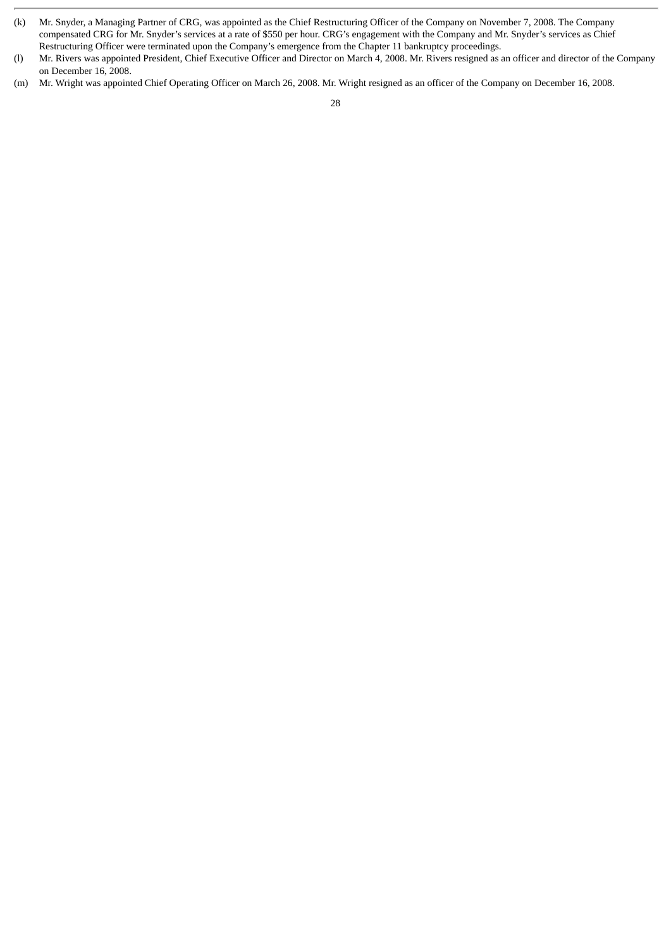- (k) Mr. Snyder, a Managing Partner of CRG, was appointed as the Chief Restructuring Officer of the Company on November 7, 2008. The Company compensated CRG for Mr. Snyder's services at a rate of \$550 per hour. CRG's engagement with the Company and Mr. Snyder's services as Chief Restructuring Officer were terminated upon the Company's emergence from the Chapter 11 bankruptcy proceedings.
- (l) Mr. Rivers was appointed President, Chief Executive Officer and Director on March 4, 2008. Mr. Rivers resigned as an officer and director of the Company on December 16, 2008.
- (m) Mr. Wright was appointed Chief Operating Officer on March 26, 2008. Mr. Wright resigned as an officer of the Company on December 16, 2008.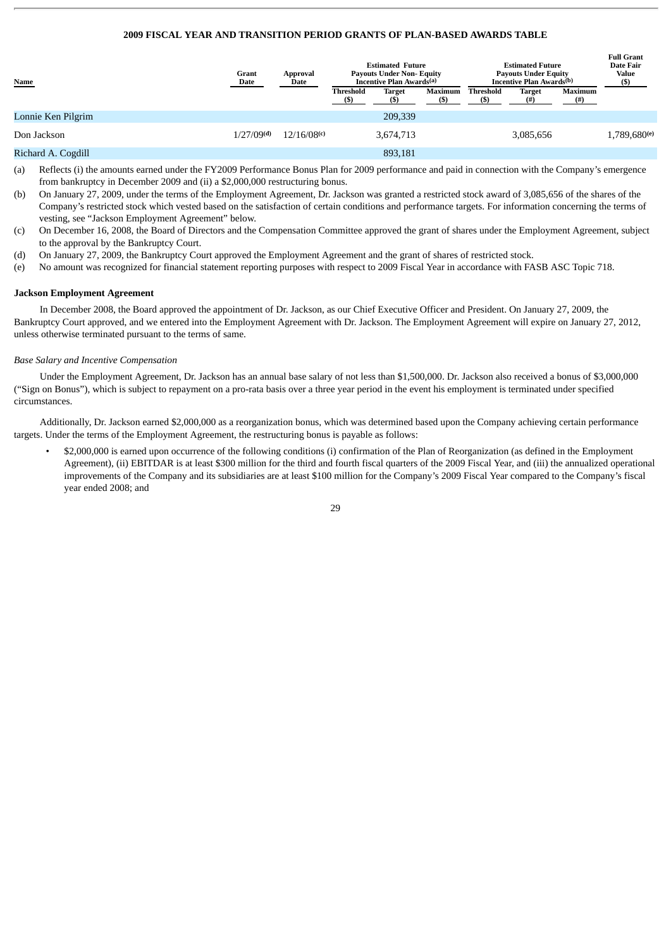# **2009 FISCAL YEAR AND TRANSITION PERIOD GRANTS OF PLAN-BASED AWARDS TABLE**

| <b>Name</b>        | Grant<br>Approval<br>Date<br>Date |             | <b>Estimated Future</b><br><b>Payouts Under Non- Equity</b><br>Incentive Plan Awards <sup>(a)</sup> |                      |         | <b>Estimated Future</b><br><b>Payouts Under Equity</b><br>Incentive Plan Awards <sup>(b)</sup> |                       |                     | <b>Full Grant</b><br>Date Fair<br>Value<br>(s) |
|--------------------|-----------------------------------|-------------|-----------------------------------------------------------------------------------------------------|----------------------|---------|------------------------------------------------------------------------------------------------|-----------------------|---------------------|------------------------------------------------|
|                    |                                   |             | Threshold                                                                                           | <b>Target</b><br>(S) | Maximum | Threshold                                                                                      | <b>Target</b><br>(# ) | Maximum<br>$^{(#)}$ |                                                |
| Lonnie Ken Pilgrim |                                   |             |                                                                                                     | 209,339              |         |                                                                                                |                       |                     |                                                |
| Don Jackson        | 1/27/09 <sup>(d)</sup>            | 12/16/08(c) |                                                                                                     | 3,674,713            |         |                                                                                                | 3,085,656             |                     | 1,789,680(e)                                   |
| Richard A. Cogdill |                                   |             |                                                                                                     | 893,181              |         |                                                                                                |                       |                     |                                                |

(a) Reflects (i) the amounts earned under the FY2009 Performance Bonus Plan for 2009 performance and paid in connection with the Company's emergence from bankruptcy in December 2009 and (ii) a \$2,000,000 restructuring bonus.

- (b) On January 27, 2009, under the terms of the Employment Agreement, Dr. Jackson was granted a restricted stock award of 3,085,656 of the shares of the Company's restricted stock which vested based on the satisfaction of certain conditions and performance targets. For information concerning the terms of vesting, see "Jackson Employment Agreement" below.
- (c) On December 16, 2008, the Board of Directors and the Compensation Committee approved the grant of shares under the Employment Agreement, subject to the approval by the Bankruptcy Court.
- (d) On January 27, 2009, the Bankruptcy Court approved the Employment Agreement and the grant of shares of restricted stock.
- (e) No amount was recognized for financial statement reporting purposes with respect to 2009 Fiscal Year in accordance with FASB ASC Topic 718.

# **Jackson Employment Agreement**

In December 2008, the Board approved the appointment of Dr. Jackson, as our Chief Executive Officer and President. On January 27, 2009, the Bankruptcy Court approved, and we entered into the Employment Agreement with Dr. Jackson. The Employment Agreement will expire on January 27, 2012, unless otherwise terminated pursuant to the terms of same.

#### *Base Salary and Incentive Compensation*

Under the Employment Agreement, Dr. Jackson has an annual base salary of not less than \$1,500,000. Dr. Jackson also received a bonus of \$3,000,000 ("Sign on Bonus"), which is subject to repayment on a pro-rata basis over a three year period in the event his employment is terminated under specified circumstances.

Additionally, Dr. Jackson earned \$2,000,000 as a reorganization bonus, which was determined based upon the Company achieving certain performance targets. Under the terms of the Employment Agreement, the restructuring bonus is payable as follows:

• \$2,000,000 is earned upon occurrence of the following conditions (i) confirmation of the Plan of Reorganization (as defined in the Employment Agreement), (ii) EBITDAR is at least \$300 million for the third and fourth fiscal quarters of the 2009 Fiscal Year, and (iii) the annualized operational improvements of the Company and its subsidiaries are at least \$100 million for the Company's 2009 Fiscal Year compared to the Company's fiscal year ended 2008; and

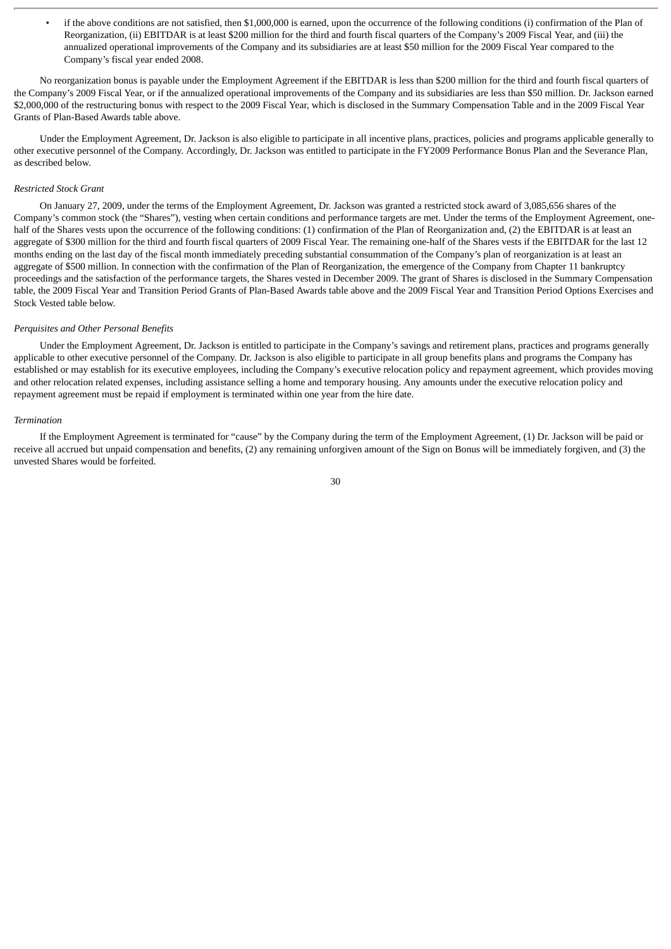• if the above conditions are not satisfied, then \$1,000,000 is earned, upon the occurrence of the following conditions (i) confirmation of the Plan of Reorganization, (ii) EBITDAR is at least \$200 million for the third and fourth fiscal quarters of the Company's 2009 Fiscal Year, and (iii) the annualized operational improvements of the Company and its subsidiaries are at least \$50 million for the 2009 Fiscal Year compared to the Company's fiscal year ended 2008.

No reorganization bonus is payable under the Employment Agreement if the EBITDAR is less than \$200 million for the third and fourth fiscal quarters of the Company's 2009 Fiscal Year, or if the annualized operational improvements of the Company and its subsidiaries are less than \$50 million. Dr. Jackson earned \$2,000,000 of the restructuring bonus with respect to the 2009 Fiscal Year, which is disclosed in the Summary Compensation Table and in the 2009 Fiscal Year Grants of Plan-Based Awards table above.

Under the Employment Agreement, Dr. Jackson is also eligible to participate in all incentive plans, practices, policies and programs applicable generally to other executive personnel of the Company. Accordingly, Dr. Jackson was entitled to participate in the FY2009 Performance Bonus Plan and the Severance Plan, as described below.

#### *Restricted Stock Grant*

On January 27, 2009, under the terms of the Employment Agreement, Dr. Jackson was granted a restricted stock award of 3,085,656 shares of the Company's common stock (the "Shares"), vesting when certain conditions and performance targets are met. Under the terms of the Employment Agreement, onehalf of the Shares vests upon the occurrence of the following conditions: (1) confirmation of the Plan of Reorganization and, (2) the EBITDAR is at least an aggregate of \$300 million for the third and fourth fiscal quarters of 2009 Fiscal Year. The remaining one-half of the Shares vests if the EBITDAR for the last 12 months ending on the last day of the fiscal month immediately preceding substantial consummation of the Company's plan of reorganization is at least an aggregate of \$500 million. In connection with the confirmation of the Plan of Reorganization, the emergence of the Company from Chapter 11 bankruptcy proceedings and the satisfaction of the performance targets, the Shares vested in December 2009. The grant of Shares is disclosed in the Summary Compensation table, the 2009 Fiscal Year and Transition Period Grants of Plan-Based Awards table above and the 2009 Fiscal Year and Transition Period Options Exercises and Stock Vested table below.

## *Perquisites and Other Personal Benefits*

Under the Employment Agreement, Dr. Jackson is entitled to participate in the Company's savings and retirement plans, practices and programs generally applicable to other executive personnel of the Company. Dr. Jackson is also eligible to participate in all group benefits plans and programs the Company has established or may establish for its executive employees, including the Company's executive relocation policy and repayment agreement, which provides moving and other relocation related expenses, including assistance selling a home and temporary housing. Any amounts under the executive relocation policy and repayment agreement must be repaid if employment is terminated within one year from the hire date.

#### *Termination*

If the Employment Agreement is terminated for "cause" by the Company during the term of the Employment Agreement, (1) Dr. Jackson will be paid or receive all accrued but unpaid compensation and benefits, (2) any remaining unforgiven amount of the Sign on Bonus will be immediately forgiven, and (3) the unvested Shares would be forfeited.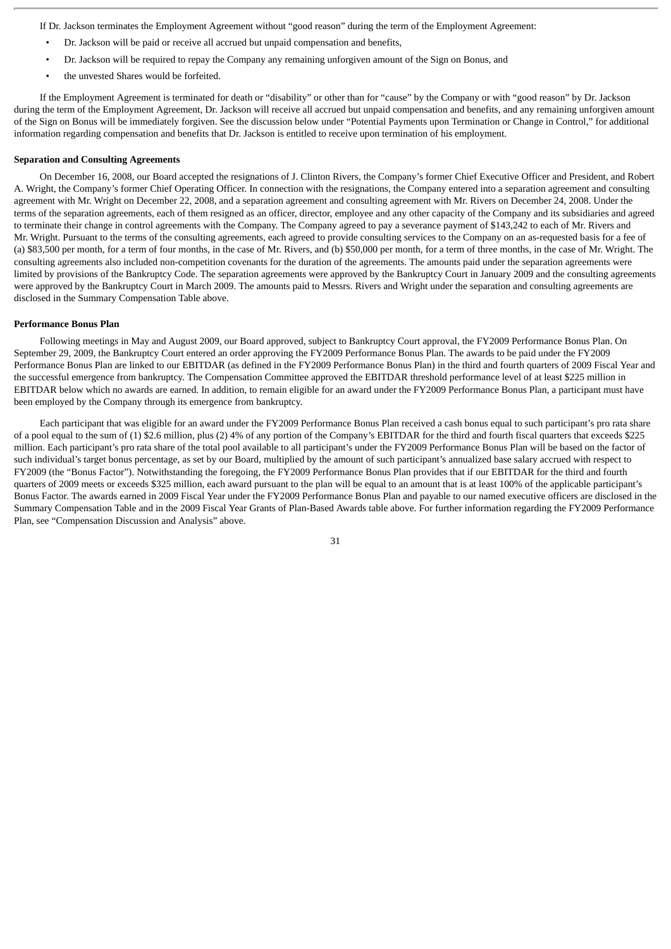If Dr. Jackson terminates the Employment Agreement without "good reason" during the term of the Employment Agreement:

- Dr. Jackson will be paid or receive all accrued but unpaid compensation and benefits,
- Dr. Jackson will be required to repay the Company any remaining unforgiven amount of the Sign on Bonus, and
- the unvested Shares would be forfeited.

If the Employment Agreement is terminated for death or "disability" or other than for "cause" by the Company or with "good reason" by Dr. Jackson during the term of the Employment Agreement, Dr. Jackson will receive all accrued but unpaid compensation and benefits, and any remaining unforgiven amount of the Sign on Bonus will be immediately forgiven. See the discussion below under "Potential Payments upon Termination or Change in Control," for additional information regarding compensation and benefits that Dr. Jackson is entitled to receive upon termination of his employment.

## **Separation and Consulting Agreements**

On December 16, 2008, our Board accepted the resignations of J. Clinton Rivers, the Company's former Chief Executive Officer and President, and Robert A. Wright, the Company's former Chief Operating Officer. In connection with the resignations, the Company entered into a separation agreement and consulting agreement with Mr. Wright on December 22, 2008, and a separation agreement and consulting agreement with Mr. Rivers on December 24, 2008. Under the terms of the separation agreements, each of them resigned as an officer, director, employee and any other capacity of the Company and its subsidiaries and agreed to terminate their change in control agreements with the Company. The Company agreed to pay a severance payment of \$143,242 to each of Mr. Rivers and Mr. Wright. Pursuant to the terms of the consulting agreements, each agreed to provide consulting services to the Company on an as-requested basis for a fee of (a) \$83,500 per month, for a term of four months, in the case of Mr. Rivers, and (b) \$50,000 per month, for a term of three months, in the case of Mr. Wright. The consulting agreements also included non-competition covenants for the duration of the agreements. The amounts paid under the separation agreements were limited by provisions of the Bankruptcy Code. The separation agreements were approved by the Bankruptcy Court in January 2009 and the consulting agreements were approved by the Bankruptcy Court in March 2009. The amounts paid to Messrs. Rivers and Wright under the separation and consulting agreements are disclosed in the Summary Compensation Table above.

#### **Performance Bonus Plan**

Following meetings in May and August 2009, our Board approved, subject to Bankruptcy Court approval, the FY2009 Performance Bonus Plan. On September 29, 2009, the Bankruptcy Court entered an order approving the FY2009 Performance Bonus Plan. The awards to be paid under the FY2009 Performance Bonus Plan are linked to our EBITDAR (as defined in the FY2009 Performance Bonus Plan) in the third and fourth quarters of 2009 Fiscal Year and the successful emergence from bankruptcy. The Compensation Committee approved the EBITDAR threshold performance level of at least \$225 million in EBITDAR below which no awards are earned. In addition, to remain eligible for an award under the FY2009 Performance Bonus Plan, a participant must have been employed by the Company through its emergence from bankruptcy.

Each participant that was eligible for an award under the FY2009 Performance Bonus Plan received a cash bonus equal to such participant's pro rata share of a pool equal to the sum of (1) \$2.6 million, plus (2) 4% of any portion of the Company's EBITDAR for the third and fourth fiscal quarters that exceeds \$225 million. Each participant's pro rata share of the total pool available to all participant's under the FY2009 Performance Bonus Plan will be based on the factor of such individual's target bonus percentage, as set by our Board, multiplied by the amount of such participant's annualized base salary accrued with respect to FY2009 (the "Bonus Factor"). Notwithstanding the foregoing, the FY2009 Performance Bonus Plan provides that if our EBITDAR for the third and fourth quarters of 2009 meets or exceeds \$325 million, each award pursuant to the plan will be equal to an amount that is at least 100% of the applicable participant's Bonus Factor. The awards earned in 2009 Fiscal Year under the FY2009 Performance Bonus Plan and payable to our named executive officers are disclosed in the Summary Compensation Table and in the 2009 Fiscal Year Grants of Plan-Based Awards table above. For further information regarding the FY2009 Performance Plan, see "Compensation Discussion and Analysis" above.

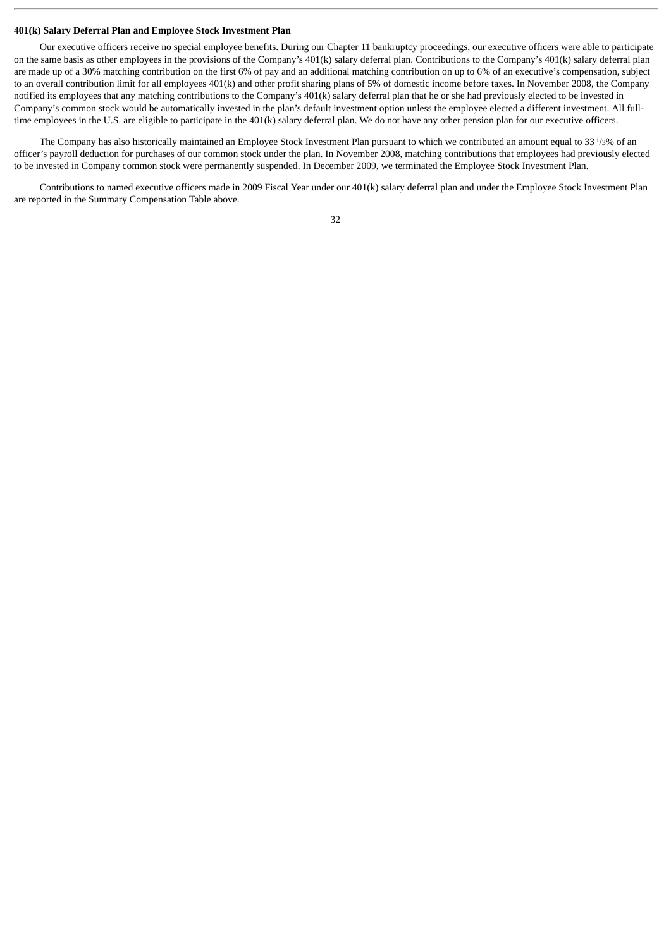# **401(k) Salary Deferral Plan and Employee Stock Investment Plan**

Our executive officers receive no special employee benefits. During our Chapter 11 bankruptcy proceedings, our executive officers were able to participate on the same basis as other employees in the provisions of the Company's 401(k) salary deferral plan. Contributions to the Company's 401(k) salary deferral plan are made up of a 30% matching contribution on the first 6% of pay and an additional matching contribution on up to 6% of an executive's compensation, subject to an overall contribution limit for all employees 401(k) and other profit sharing plans of 5% of domestic income before taxes. In November 2008, the Company notified its employees that any matching contributions to the Company's 401(k) salary deferral plan that he or she had previously elected to be invested in Company's common stock would be automatically invested in the plan's default investment option unless the employee elected a different investment. All fulltime employees in the U.S. are eligible to participate in the 401(k) salary deferral plan. We do not have any other pension plan for our executive officers.

The Company has also historically maintained an Employee Stock Investment Plan pursuant to which we contributed an amount equal to 33 1/3% of an officer's payroll deduction for purchases of our common stock under the plan. In November 2008, matching contributions that employees had previously elected to be invested in Company common stock were permanently suspended. In December 2009, we terminated the Employee Stock Investment Plan.

Contributions to named executive officers made in 2009 Fiscal Year under our 401(k) salary deferral plan and under the Employee Stock Investment Plan are reported in the Summary Compensation Table above.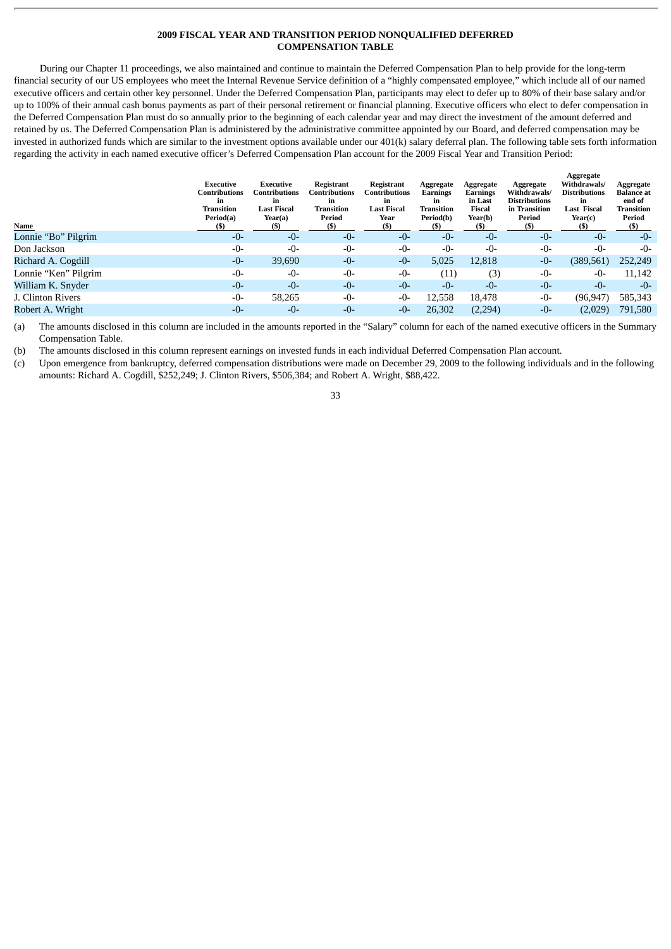# **2009 FISCAL YEAR AND TRANSITION PERIOD NONQUALIFIED DEFERRED COMPENSATION TABLE**

During our Chapter 11 proceedings, we also maintained and continue to maintain the Deferred Compensation Plan to help provide for the long-term financial security of our US employees who meet the Internal Revenue Service definition of a "highly compensated employee," which include all of our named executive officers and certain other key personnel. Under the Deferred Compensation Plan, participants may elect to defer up to 80% of their base salary and/or up to 100% of their annual cash bonus payments as part of their personal retirement or financial planning. Executive officers who elect to defer compensation in the Deferred Compensation Plan must do so annually prior to the beginning of each calendar year and may direct the investment of the amount deferred and retained by us. The Deferred Compensation Plan is administered by the administrative committee appointed by our Board, and deferred compensation may be invested in authorized funds which are similar to the investment options available under our 401(k) salary deferral plan. The following table sets forth information regarding the activity in each named executive officer's Deferred Compensation Plan account for the 2009 Fiscal Year and Transition Period:

| Name                 | Executive<br>Contributions<br>in<br><b>Transition</b><br>Period(a)<br>(S) | Executive<br>Contributions<br>in<br><b>Last Fiscal</b><br>Year(a)<br>(S) | Registrant<br>Contributions<br>in<br><b>Transition</b><br>Period<br>(S) | Registrant<br><b>Contributions</b><br>in<br><b>Last Fiscal</b><br>Year<br>(S) | Aggregate<br>Earnings<br>in<br><b>Transition</b><br>Period(b) | Aggregate<br>Earnings<br>in Last<br>Fiscal<br>Year(b)<br>(S) | Aggregate<br>Withdrawals/<br><b>Distributions</b><br>in Transition<br>Period<br>(S) | Aggregate<br>Withdrawals/<br><b>Distributions</b><br>in<br><b>Last Fiscal</b><br>Year(c)<br>(S) | Aggregate<br><b>Balance</b> at<br>end of<br><b>Transition</b><br>Period<br>(S) |
|----------------------|---------------------------------------------------------------------------|--------------------------------------------------------------------------|-------------------------------------------------------------------------|-------------------------------------------------------------------------------|---------------------------------------------------------------|--------------------------------------------------------------|-------------------------------------------------------------------------------------|-------------------------------------------------------------------------------------------------|--------------------------------------------------------------------------------|
| Lonnie "Bo" Pilgrim  | $-0-$                                                                     | $-0-$                                                                    | $-0-$                                                                   | $-0-$                                                                         | $-0-$                                                         | $-0-$                                                        | $-0-$                                                                               | $-0-$                                                                                           | $-0-$                                                                          |
| Don Jackson          | $-0-$                                                                     | $-0-$                                                                    | $-0-$                                                                   | $-0-$                                                                         | $-0-$                                                         | $-0-$                                                        | $-0-$                                                                               | $-0-$                                                                                           | $-0-$                                                                          |
| Richard A. Cogdill   | $-0-$                                                                     | 39,690                                                                   | $-0-$                                                                   | $-0-$                                                                         | 5,025                                                         | 12,818                                                       | $-0-$                                                                               | (389, 561)                                                                                      | 252,249                                                                        |
| Lonnie "Ken" Pilgrim | $-0-$                                                                     | $-0-$                                                                    | $-0-$                                                                   | $-0-$                                                                         | (11)                                                          | (3)                                                          | $-0-$                                                                               | $-0-$                                                                                           | 11,142                                                                         |
| William K. Snyder    | $-0-$                                                                     | $-0-$                                                                    | $-0-$                                                                   | $-0-$                                                                         | $-0-$                                                         | $-0-$                                                        | $-0-$                                                                               | $-0-$                                                                                           | $-0-$                                                                          |
| J. Clinton Rivers    | $-0-$                                                                     | 58,265                                                                   | -0-                                                                     | $-0-$                                                                         | 12,558                                                        | 18,478                                                       | -0-                                                                                 | (96, 947)                                                                                       | 585,343                                                                        |
| Robert A. Wright     | $-0-$                                                                     | $-0-$                                                                    | $-0-$                                                                   | $-0-$                                                                         | 26,302                                                        | (2,294)                                                      | $-0-$                                                                               | (2,029)                                                                                         | 791,580                                                                        |

(a) The amounts disclosed in this column are included in the amounts reported in the "Salary" column for each of the named executive officers in the Summary Compensation Table.

(b) The amounts disclosed in this column represent earnings on invested funds in each individual Deferred Compensation Plan account.

(c) Upon emergence from bankruptcy, deferred compensation distributions were made on December 29, 2009 to the following individuals and in the following amounts: Richard A. Cogdill, \$252,249; J. Clinton Rivers, \$506,384; and Robert A. Wright, \$88,422.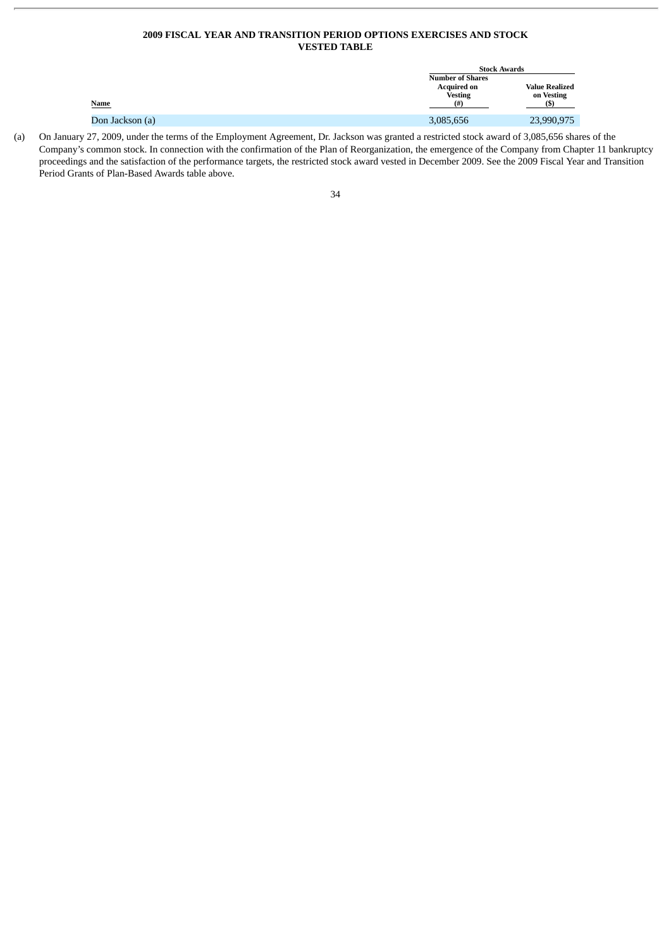# **2009 FISCAL YEAR AND TRANSITION PERIOD OPTIONS EXERCISES AND STOCK VESTED TABLE**

|                 | <b>Stock Awards</b>                                                     |                                     |
|-----------------|-------------------------------------------------------------------------|-------------------------------------|
| <u>Name</u>     | <b>Number of Shares</b><br><b>Acquired on</b><br><b>Vesting</b><br>(# ) | <b>Value Realized</b><br>on Vesting |
| Don Jackson (a) | 3,085,656                                                               | 23,990,975                          |

(a) On January 27, 2009, under the terms of the Employment Agreement, Dr. Jackson was granted a restricted stock award of 3,085,656 shares of the Company's common stock. In connection with the confirmation of the Plan of Reorganization, the emergence of the Company from Chapter 11 bankruptcy proceedings and the satisfaction of the performance targets, the restricted stock award vested in December 2009. See the 2009 Fiscal Year and Transition Period Grants of Plan-Based Awards table above.

| e v          | ۰. |
|--------------|----|
| ۰.<br>×<br>v |    |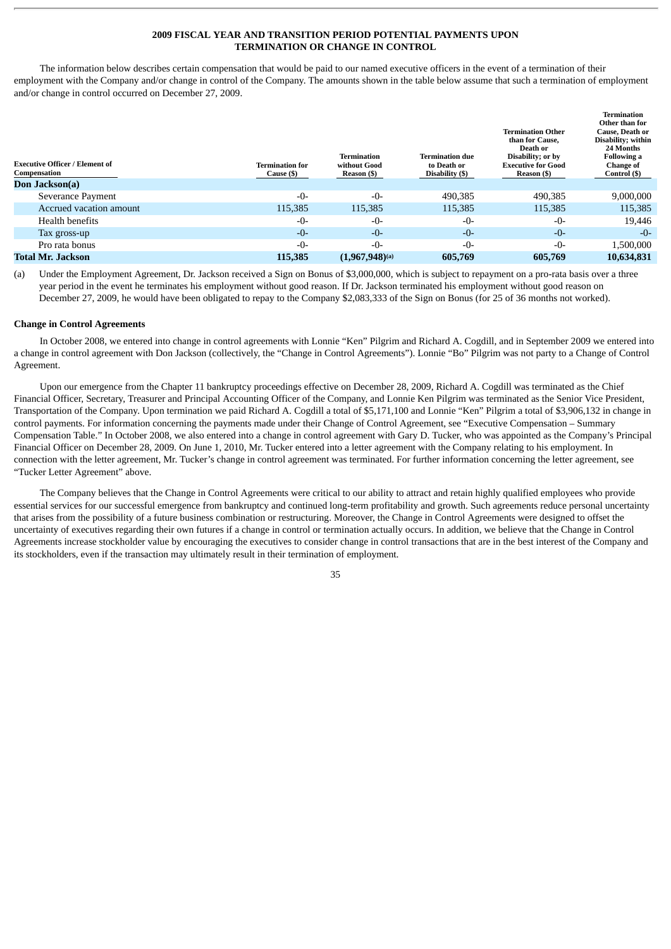# **2009 FISCAL YEAR AND TRANSITION PERIOD POTENTIAL PAYMENTS UPON TERMINATION OR CHANGE IN CONTROL**

The information below describes certain compensation that would be paid to our named executive officers in the event of a termination of their employment with the Company and/or change in control of the Company. The amounts shown in the table below assume that such a termination of employment and/or change in control occurred on December 27, 2009.

| <b>Executive Officer / Element of</b><br>Compensation | Termination for<br>Cause (\$) | <b>Termination</b><br>without Good<br>Reason (\$) | <b>Termination due</b><br>to Death or<br>Disability (\$) | <b>Termination Other</b><br>than for Cause.<br>Death or<br>Disability; or by<br><b>Executive for Good</b><br>Reason (\$) | <b>Termination</b><br>Other than for<br>Cause, Death or<br>Disability; within<br>24 Months<br><b>Following a</b><br><b>Change of</b><br>Control (\$) |
|-------------------------------------------------------|-------------------------------|---------------------------------------------------|----------------------------------------------------------|--------------------------------------------------------------------------------------------------------------------------|------------------------------------------------------------------------------------------------------------------------------------------------------|
| Don Jackson(a)                                        |                               |                                                   |                                                          |                                                                                                                          |                                                                                                                                                      |
| Severance Payment                                     | $-0-$                         | $-0-$                                             | 490,385                                                  | 490,385                                                                                                                  | 9,000,000                                                                                                                                            |
| Accrued vacation amount                               | 115,385                       | 115,385                                           | 115,385                                                  | 115,385                                                                                                                  | 115,385                                                                                                                                              |
| Health benefits                                       | $-0-$                         | $-0-$                                             | $-0-$                                                    | $-0-$                                                                                                                    | 19,446                                                                                                                                               |
| Tax gross-up                                          | $-0-$                         | $-0-$                                             | $-0-$                                                    | $-0-$                                                                                                                    | $-0-$                                                                                                                                                |
| Pro rata bonus                                        | $-0-$                         | $-0-$                                             | $-0-$                                                    | $-0-$                                                                                                                    | 1,500,000                                                                                                                                            |
| Total Mr. Jackson                                     | 115,385                       | $(1,967,948)$ <sup>(a)</sup>                      | 605,769                                                  | 605,769                                                                                                                  | 10,634,831                                                                                                                                           |

(a) Under the Employment Agreement, Dr. Jackson received a Sign on Bonus of \$3,000,000, which is subject to repayment on a pro-rata basis over a three year period in the event he terminates his employment without good reason. If Dr. Jackson terminated his employment without good reason on December 27, 2009, he would have been obligated to repay to the Company \$2,083,333 of the Sign on Bonus (for 25 of 36 months not worked).

#### **Change in Control Agreements**

In October 2008, we entered into change in control agreements with Lonnie "Ken" Pilgrim and Richard A. Cogdill, and in September 2009 we entered into a change in control agreement with Don Jackson (collectively, the "Change in Control Agreements"). Lonnie "Bo" Pilgrim was not party to a Change of Control Agreement.

Upon our emergence from the Chapter 11 bankruptcy proceedings effective on December 28, 2009, Richard A. Cogdill was terminated as the Chief Financial Officer, Secretary, Treasurer and Principal Accounting Officer of the Company, and Lonnie Ken Pilgrim was terminated as the Senior Vice President, Transportation of the Company. Upon termination we paid Richard A. Cogdill a total of \$5,171,100 and Lonnie "Ken" Pilgrim a total of \$3,906,132 in change in control payments. For information concerning the payments made under their Change of Control Agreement, see "Executive Compensation – Summary Compensation Table." In October 2008, we also entered into a change in control agreement with Gary D. Tucker, who was appointed as the Company's Principal Financial Officer on December 28, 2009. On June 1, 2010, Mr. Tucker entered into a letter agreement with the Company relating to his employment. In connection with the letter agreement, Mr. Tucker's change in control agreement was terminated. For further information concerning the letter agreement, see "Tucker Letter Agreement" above.

The Company believes that the Change in Control Agreements were critical to our ability to attract and retain highly qualified employees who provide essential services for our successful emergence from bankruptcy and continued long-term profitability and growth. Such agreements reduce personal uncertainty that arises from the possibility of a future business combination or restructuring. Moreover, the Change in Control Agreements were designed to offset the uncertainty of executives regarding their own futures if a change in control or termination actually occurs. In addition, we believe that the Change in Control Agreements increase stockholder value by encouraging the executives to consider change in control transactions that are in the best interest of the Company and its stockholders, even if the transaction may ultimately result in their termination of employment.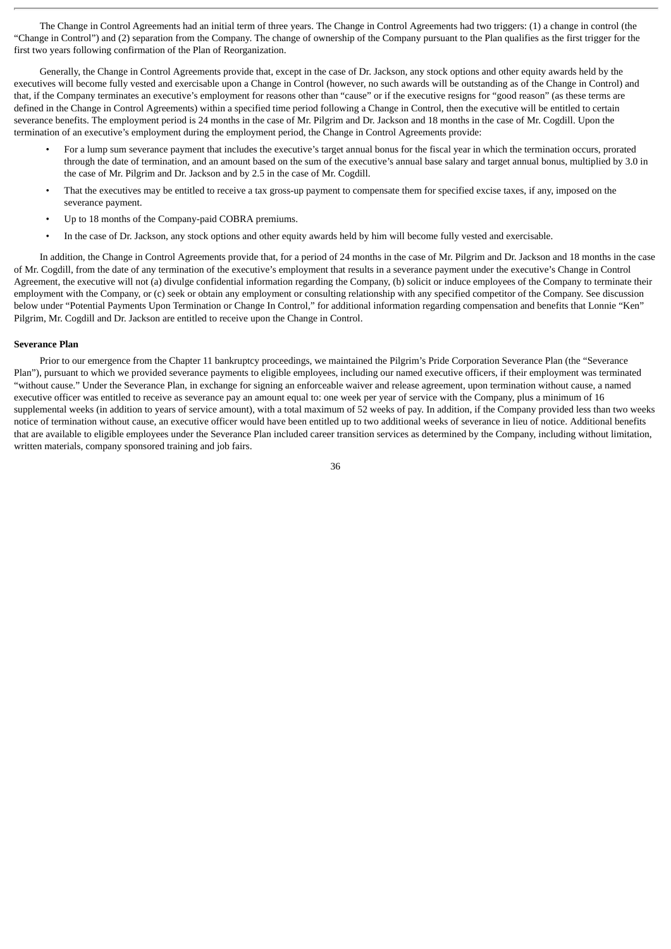The Change in Control Agreements had an initial term of three years. The Change in Control Agreements had two triggers: (1) a change in control (the "Change in Control") and (2) separation from the Company. The change of ownership of the Company pursuant to the Plan qualifies as the first trigger for the first two years following confirmation of the Plan of Reorganization.

Generally, the Change in Control Agreements provide that, except in the case of Dr. Jackson, any stock options and other equity awards held by the executives will become fully vested and exercisable upon a Change in Control (however, no such awards will be outstanding as of the Change in Control) and that, if the Company terminates an executive's employment for reasons other than "cause" or if the executive resigns for "good reason" (as these terms are defined in the Change in Control Agreements) within a specified time period following a Change in Control, then the executive will be entitled to certain severance benefits. The employment period is 24 months in the case of Mr. Pilgrim and Dr. Jackson and 18 months in the case of Mr. Cogdill. Upon the termination of an executive's employment during the employment period, the Change in Control Agreements provide:

- For a lump sum severance payment that includes the executive's target annual bonus for the fiscal year in which the termination occurs, prorated through the date of termination, and an amount based on the sum of the executive's annual base salary and target annual bonus, multiplied by 3.0 in the case of Mr. Pilgrim and Dr. Jackson and by 2.5 in the case of Mr. Cogdill.
- That the executives may be entitled to receive a tax gross-up payment to compensate them for specified excise taxes, if any, imposed on the severance payment.
- Up to 18 months of the Company-paid COBRA premiums.
- In the case of Dr. Jackson, any stock options and other equity awards held by him will become fully vested and exercisable.

In addition, the Change in Control Agreements provide that, for a period of 24 months in the case of Mr. Pilgrim and Dr. Jackson and 18 months in the case of Mr. Cogdill, from the date of any termination of the executive's employment that results in a severance payment under the executive's Change in Control Agreement, the executive will not (a) divulge confidential information regarding the Company, (b) solicit or induce employees of the Company to terminate their employment with the Company, or (c) seek or obtain any employment or consulting relationship with any specified competitor of the Company. See discussion below under "Potential Payments Upon Termination or Change In Control," for additional information regarding compensation and benefits that Lonnie "Ken" Pilgrim, Mr. Cogdill and Dr. Jackson are entitled to receive upon the Change in Control.

# **Severance Plan**

Prior to our emergence from the Chapter 11 bankruptcy proceedings, we maintained the Pilgrim's Pride Corporation Severance Plan (the "Severance Plan"), pursuant to which we provided severance payments to eligible employees, including our named executive officers, if their employment was terminated "without cause." Under the Severance Plan, in exchange for signing an enforceable waiver and release agreement, upon termination without cause, a named executive officer was entitled to receive as severance pay an amount equal to: one week per year of service with the Company, plus a minimum of 16 supplemental weeks (in addition to years of service amount), with a total maximum of 52 weeks of pay. In addition, if the Company provided less than two weeks notice of termination without cause, an executive officer would have been entitled up to two additional weeks of severance in lieu of notice. Additional benefits that are available to eligible employees under the Severance Plan included career transition services as determined by the Company, including without limitation, written materials, company sponsored training and job fairs.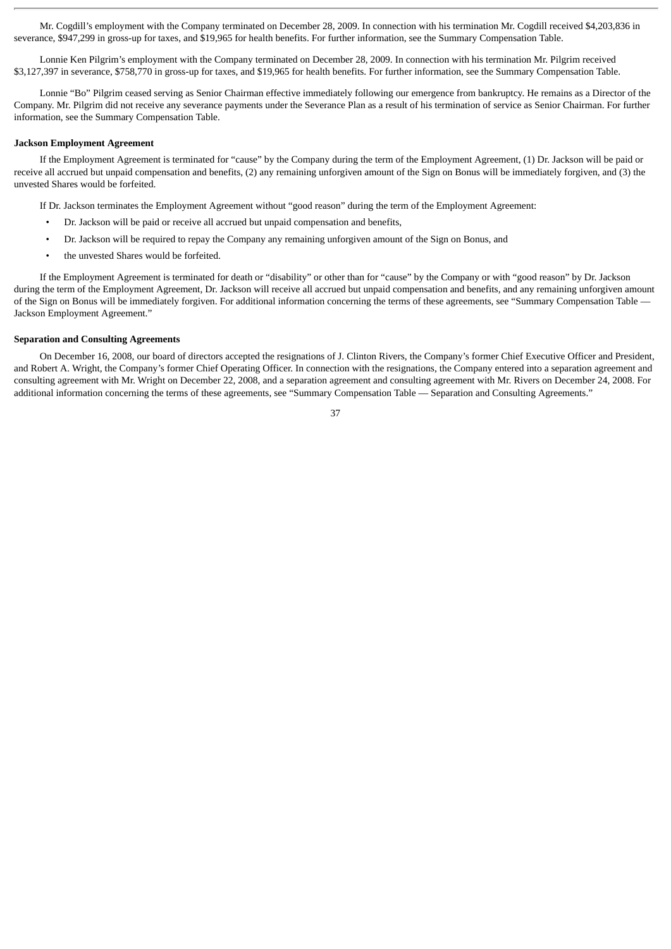Mr. Cogdill's employment with the Company terminated on December 28, 2009. In connection with his termination Mr. Cogdill received \$4,203,836 in severance, \$947,299 in gross-up for taxes, and \$19,965 for health benefits. For further information, see the Summary Compensation Table.

Lonnie Ken Pilgrim's employment with the Company terminated on December 28, 2009. In connection with his termination Mr. Pilgrim received \$3,127,397 in severance, \$758,770 in gross-up for taxes, and \$19,965 for health benefits. For further information, see the Summary Compensation Table.

Lonnie "Bo" Pilgrim ceased serving as Senior Chairman effective immediately following our emergence from bankruptcy. He remains as a Director of the Company. Mr. Pilgrim did not receive any severance payments under the Severance Plan as a result of his termination of service as Senior Chairman. For further information, see the Summary Compensation Table.

# **Jackson Employment Agreement**

If the Employment Agreement is terminated for "cause" by the Company during the term of the Employment Agreement, (1) Dr. Jackson will be paid or receive all accrued but unpaid compensation and benefits, (2) any remaining unforgiven amount of the Sign on Bonus will be immediately forgiven, and (3) the unvested Shares would be forfeited.

If Dr. Jackson terminates the Employment Agreement without "good reason" during the term of the Employment Agreement:

- Dr. Jackson will be paid or receive all accrued but unpaid compensation and benefits,
- Dr. Jackson will be required to repay the Company any remaining unforgiven amount of the Sign on Bonus, and
- the unvested Shares would be forfeited.

If the Employment Agreement is terminated for death or "disability" or other than for "cause" by the Company or with "good reason" by Dr. Jackson during the term of the Employment Agreement, Dr. Jackson will receive all accrued but unpaid compensation and benefits, and any remaining unforgiven amount of the Sign on Bonus will be immediately forgiven. For additional information concerning the terms of these agreements, see "Summary Compensation Table -Jackson Employment Agreement."

# **Separation and Consulting Agreements**

On December 16, 2008, our board of directors accepted the resignations of J. Clinton Rivers, the Company's former Chief Executive Officer and President, and Robert A. Wright, the Company's former Chief Operating Officer. In connection with the resignations, the Company entered into a separation agreement and consulting agreement with Mr. Wright on December 22, 2008, and a separation agreement and consulting agreement with Mr. Rivers on December 24, 2008. For additional information concerning the terms of these agreements, see "Summary Compensation Table — Separation and Consulting Agreements."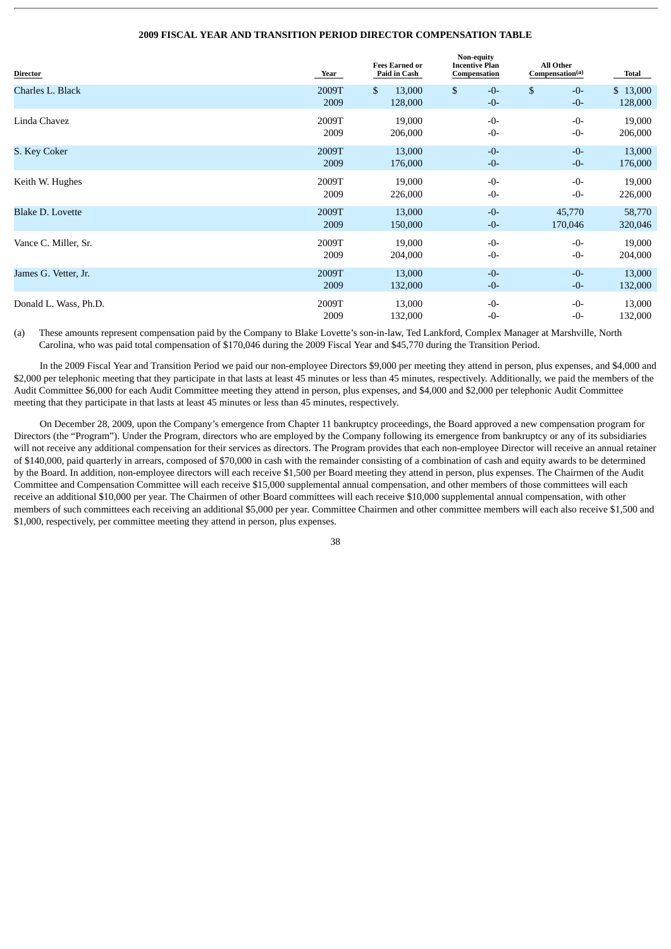# **2009 FISCAL YEAR AND TRANSITION PERIOD DIRECTOR COMPENSATION TABLE**

| <b>Director</b>         | Year          | <b>Fees Earned or</b><br>Paid in Cash | Non-equity<br><b>Incentive Plan</b><br>Compensation | <b>All Other</b><br>Compensation <sup>(a)</sup> | Total               |
|-------------------------|---------------|---------------------------------------|-----------------------------------------------------|-------------------------------------------------|---------------------|
| Charles L. Black        | 2009T<br>2009 | \$<br>13,000<br>128,000               | \$<br>$-0-$<br>$-0-$                                | \$<br>$-0-$<br>$-0-$                            | \$13,000<br>128,000 |
| Linda Chavez            | 2009T         | 19,000                                | $-0-$                                               | $-0-$                                           | 19,000              |
|                         | 2009          | 206,000                               | $-0-$                                               | $-0-$                                           | 206,000             |
| S. Key Coker            | 2009T         | 13,000                                | $-0-$                                               | $-0-$                                           | 13,000              |
|                         | 2009          | 176,000                               | $-0-$                                               | $-0-$                                           | 176,000             |
| Keith W. Hughes         | 2009T         | 19,000                                | $-0-$                                               | $-0-$                                           | 19,000              |
|                         | 2009          | 226,000                               | $-0-$                                               | -0-                                             | 226,000             |
| <b>Blake D. Lovette</b> | 2009T         | 13,000                                | $-0-$                                               | 45,770                                          | 58,770              |
|                         | 2009          | 150,000                               | $-0-$                                               | 170,046                                         | 320,046             |
| Vance C. Miller, Sr.    | 2009T         | 19,000                                | $-0-$                                               | $-0-$                                           | 19,000              |
|                         | 2009          | 204,000                               | $-0-$                                               | $-0-$                                           | 204,000             |
| James G. Vetter, Jr.    | 2009T         | 13,000                                | $-0-$                                               | $-0-$                                           | 13,000              |
|                         | 2009          | 132,000                               | $-0-$                                               | $-0-$                                           | 132,000             |
| Donald L. Wass, Ph.D.   | 2009T         | 13,000                                | $-0-$                                               | $-0-$                                           | 13,000              |
|                         | 2009          | 132,000                               | $-0-$                                               | $-0-$                                           | 132,000             |

(a) These amounts represent compensation paid by the Company to Blake Lovette's son-in-law, Ted Lankford, Complex Manager at Marshville, North Carolina, who was paid total compensation of \$170,046 during the 2009 Fiscal Year and \$45,770 during the Transition Period.

In the 2009 Fiscal Year and Transition Period we paid our non-employee Directors \$9,000 per meeting they attend in person, plus expenses, and \$4,000 and \$2,000 per telephonic meeting that they participate in that lasts at least 45 minutes or less than 45 minutes, respectively. Additionally, we paid the members of the Audit Committee \$6,000 for each Audit Committee meeting they attend in person, plus expenses, and \$4,000 and \$2,000 per telephonic Audit Committee meeting that they participate in that lasts at least 45 minutes or less than 45 minutes, respectively.

On December 28, 2009, upon the Company's emergence from Chapter 11 bankruptcy proceedings, the Board approved a new compensation program for Directors (the "Program"). Under the Program, directors who are employed by the Company following its emergence from bankruptcy or any of its subsidiaries will not receive any additional compensation for their services as directors. The Program provides that each non-employee Director will receive an annual retainer of \$140,000, paid quarterly in arrears, composed of \$70,000 in cash with the remainder consisting of a combination of cash and equity awards to be determined by the Board. In addition, non-employee directors will each receive \$1,500 per Board meeting they attend in person, plus expenses. The Chairmen of the Audit Committee and Compensation Committee will each receive \$15,000 supplemental annual compensation, and other members of those committees will each receive an additional \$10,000 per year. The Chairmen of other Board committees will each receive \$10,000 supplemental annual compensation, with other members of such committees each receiving an additional \$5,000 per year. Committee Chairmen and other committee members will each also receive \$1,500 and \$1,000, respectively, per committee meeting they attend in person, plus expenses.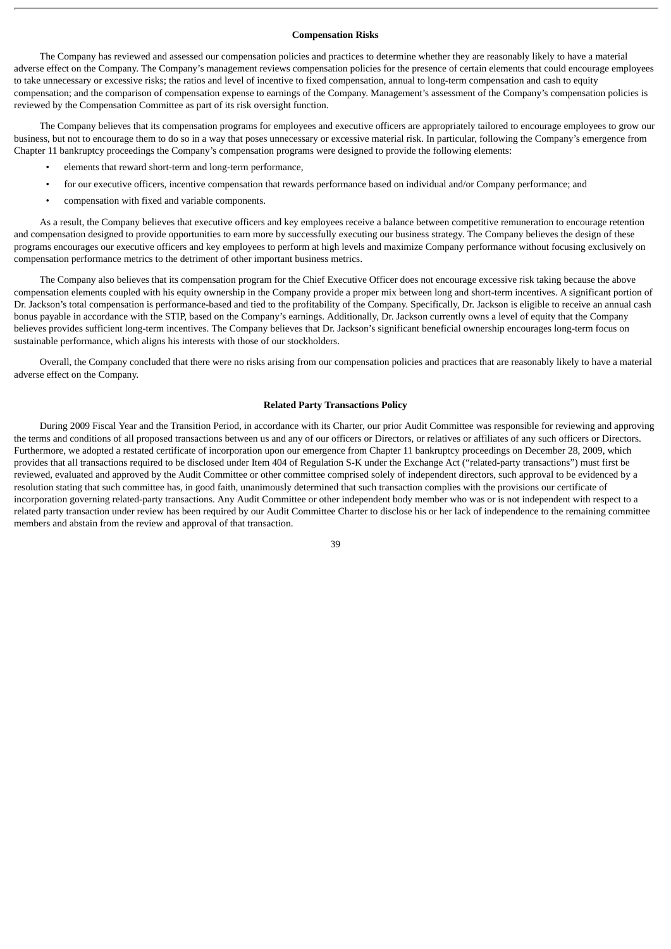# **Compensation Risks**

The Company has reviewed and assessed our compensation policies and practices to determine whether they are reasonably likely to have a material adverse effect on the Company. The Company's management reviews compensation policies for the presence of certain elements that could encourage employees to take unnecessary or excessive risks; the ratios and level of incentive to fixed compensation, annual to long-term compensation and cash to equity compensation; and the comparison of compensation expense to earnings of the Company. Management's assessment of the Company's compensation policies is reviewed by the Compensation Committee as part of its risk oversight function.

The Company believes that its compensation programs for employees and executive officers are appropriately tailored to encourage employees to grow our business, but not to encourage them to do so in a way that poses unnecessary or excessive material risk. In particular, following the Company's emergence from Chapter 11 bankruptcy proceedings the Company's compensation programs were designed to provide the following elements:

- elements that reward short-term and long-term performance,
- for our executive officers, incentive compensation that rewards performance based on individual and/or Company performance; and
- compensation with fixed and variable components.

As a result, the Company believes that executive officers and key employees receive a balance between competitive remuneration to encourage retention and compensation designed to provide opportunities to earn more by successfully executing our business strategy. The Company believes the design of these programs encourages our executive officers and key employees to perform at high levels and maximize Company performance without focusing exclusively on compensation performance metrics to the detriment of other important business metrics.

The Company also believes that its compensation program for the Chief Executive Officer does not encourage excessive risk taking because the above compensation elements coupled with his equity ownership in the Company provide a proper mix between long and short-term incentives. A significant portion of Dr. Jackson's total compensation is performance-based and tied to the profitability of the Company. Specifically, Dr. Jackson is eligible to receive an annual cash bonus payable in accordance with the STIP, based on the Company's earnings. Additionally, Dr. Jackson currently owns a level of equity that the Company believes provides sufficient long-term incentives. The Company believes that Dr. Jackson's significant beneficial ownership encourages long-term focus on sustainable performance, which aligns his interests with those of our stockholders.

Overall, the Company concluded that there were no risks arising from our compensation policies and practices that are reasonably likely to have a material adverse effect on the Company.

# **Related Party Transactions Policy**

During 2009 Fiscal Year and the Transition Period, in accordance with its Charter, our prior Audit Committee was responsible for reviewing and approving the terms and conditions of all proposed transactions between us and any of our officers or Directors, or relatives or affiliates of any such officers or Directors. Furthermore, we adopted a restated certificate of incorporation upon our emergence from Chapter 11 bankruptcy proceedings on December 28, 2009, which provides that all transactions required to be disclosed under Item 404 of Regulation S-K under the Exchange Act ("related-party transactions") must first be reviewed, evaluated and approved by the Audit Committee or other committee comprised solely of independent directors, such approval to be evidenced by a resolution stating that such committee has, in good faith, unanimously determined that such transaction complies with the provisions our certificate of incorporation governing related-party transactions. Any Audit Committee or other independent body member who was or is not independent with respect to a related party transaction under review has been required by our Audit Committee Charter to disclose his or her lack of independence to the remaining committee members and abstain from the review and approval of that transaction.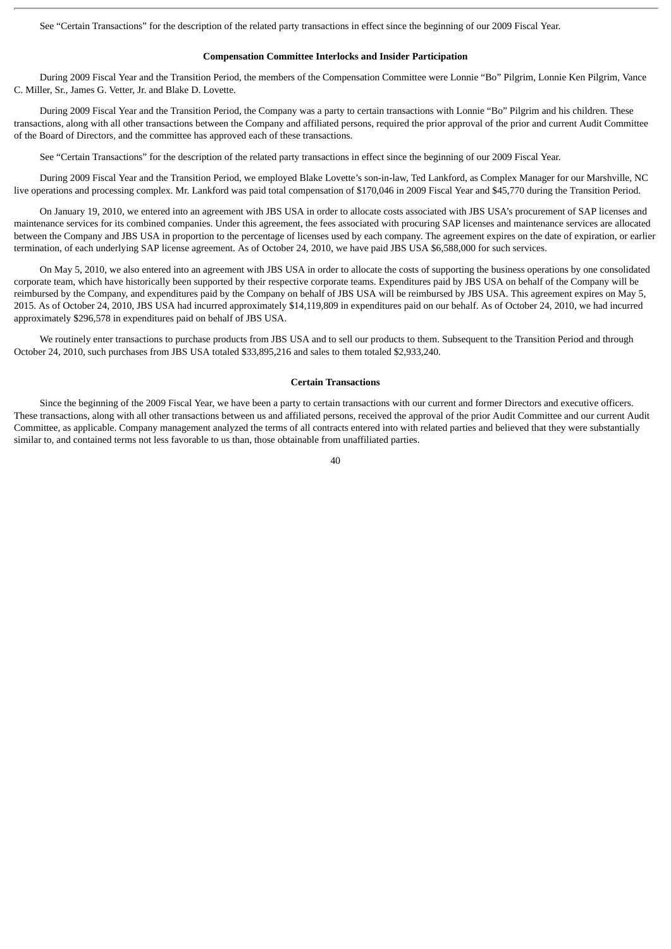See "Certain Transactions" for the description of the related party transactions in effect since the beginning of our 2009 Fiscal Year.

# **Compensation Committee Interlocks and Insider Participation**

During 2009 Fiscal Year and the Transition Period, the members of the Compensation Committee were Lonnie "Bo" Pilgrim, Lonnie Ken Pilgrim, Vance C. Miller, Sr., James G. Vetter, Jr. and Blake D. Lovette.

During 2009 Fiscal Year and the Transition Period, the Company was a party to certain transactions with Lonnie "Bo" Pilgrim and his children. These transactions, along with all other transactions between the Company and affiliated persons, required the prior approval of the prior and current Audit Committee of the Board of Directors, and the committee has approved each of these transactions.

See "Certain Transactions" for the description of the related party transactions in effect since the beginning of our 2009 Fiscal Year.

During 2009 Fiscal Year and the Transition Period, we employed Blake Lovette's son-in-law, Ted Lankford, as Complex Manager for our Marshville, NC live operations and processing complex. Mr. Lankford was paid total compensation of \$170,046 in 2009 Fiscal Year and \$45,770 during the Transition Period.

On January 19, 2010, we entered into an agreement with JBS USA in order to allocate costs associated with JBS USA's procurement of SAP licenses and maintenance services for its combined companies. Under this agreement, the fees associated with procuring SAP licenses and maintenance services are allocated between the Company and JBS USA in proportion to the percentage of licenses used by each company. The agreement expires on the date of expiration, or earlier termination, of each underlying SAP license agreement. As of October 24, 2010, we have paid JBS USA \$6,588,000 for such services.

On May 5, 2010, we also entered into an agreement with JBS USA in order to allocate the costs of supporting the business operations by one consolidated corporate team, which have historically been supported by their respective corporate teams. Expenditures paid by JBS USA on behalf of the Company will be reimbursed by the Company, and expenditures paid by the Company on behalf of JBS USA will be reimbursed by JBS USA. This agreement expires on May 5, 2015. As of October 24, 2010, JBS USA had incurred approximately \$14,119,809 in expenditures paid on our behalf. As of October 24, 2010, we had incurred approximately \$296,578 in expenditures paid on behalf of JBS USA.

We routinely enter transactions to purchase products from JBS USA and to sell our products to them. Subsequent to the Transition Period and through October 24, 2010, such purchases from JBS USA totaled \$33,895,216 and sales to them totaled \$2,933,240.

# **Certain Transactions**

Since the beginning of the 2009 Fiscal Year, we have been a party to certain transactions with our current and former Directors and executive officers. These transactions, along with all other transactions between us and affiliated persons, received the approval of the prior Audit Committee and our current Audit Committee, as applicable. Company management analyzed the terms of all contracts entered into with related parties and believed that they were substantially similar to, and contained terms not less favorable to us than, those obtainable from unaffiliated parties.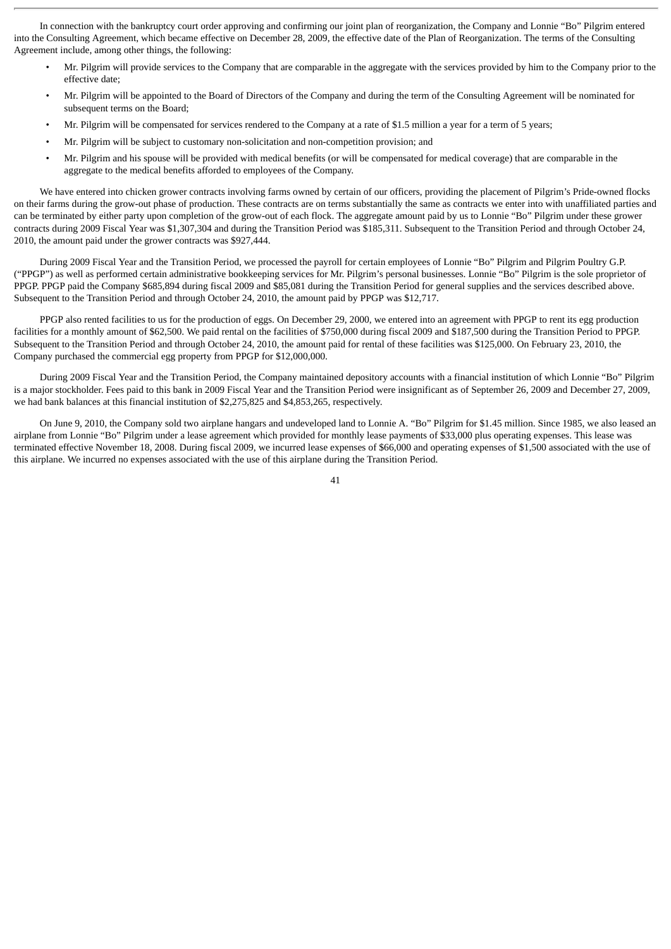In connection with the bankruptcy court order approving and confirming our joint plan of reorganization, the Company and Lonnie "Bo" Pilgrim entered into the Consulting Agreement, which became effective on December 28, 2009, the effective date of the Plan of Reorganization. The terms of the Consulting Agreement include, among other things, the following:

- Mr. Pilgrim will provide services to the Company that are comparable in the aggregate with the services provided by him to the Company prior to the effective date;
- Mr. Pilgrim will be appointed to the Board of Directors of the Company and during the term of the Consulting Agreement will be nominated for subsequent terms on the Board;
- Mr. Pilgrim will be compensated for services rendered to the Company at a rate of \$1.5 million a year for a term of 5 years;
- Mr. Pilgrim will be subject to customary non-solicitation and non-competition provision; and
- Mr. Pilgrim and his spouse will be provided with medical benefits (or will be compensated for medical coverage) that are comparable in the aggregate to the medical benefits afforded to employees of the Company.

We have entered into chicken grower contracts involving farms owned by certain of our officers, providing the placement of Pilgrim's Pride-owned flocks on their farms during the grow-out phase of production. These contracts are on terms substantially the same as contracts we enter into with unaffiliated parties and can be terminated by either party upon completion of the grow-out of each flock. The aggregate amount paid by us to Lonnie "Bo" Pilgrim under these grower contracts during 2009 Fiscal Year was \$1,307,304 and during the Transition Period was \$185,311. Subsequent to the Transition Period and through October 24, 2010, the amount paid under the grower contracts was \$927,444.

During 2009 Fiscal Year and the Transition Period, we processed the payroll for certain employees of Lonnie "Bo" Pilgrim and Pilgrim Poultry G.P. ("PPGP") as well as performed certain administrative bookkeeping services for Mr. Pilgrim's personal businesses. Lonnie "Bo" Pilgrim is the sole proprietor of PPGP. PPGP paid the Company \$685,894 during fiscal 2009 and \$85,081 during the Transition Period for general supplies and the services described above. Subsequent to the Transition Period and through October 24, 2010, the amount paid by PPGP was \$12,717.

PPGP also rented facilities to us for the production of eggs. On December 29, 2000, we entered into an agreement with PPGP to rent its egg production facilities for a monthly amount of \$62,500. We paid rental on the facilities of \$750,000 during fiscal 2009 and \$187,500 during the Transition Period to PPGP. Subsequent to the Transition Period and through October 24, 2010, the amount paid for rental of these facilities was \$125,000. On February 23, 2010, the Company purchased the commercial egg property from PPGP for \$12,000,000.

During 2009 Fiscal Year and the Transition Period, the Company maintained depository accounts with a financial institution of which Lonnie "Bo" Pilgrim is a major stockholder. Fees paid to this bank in 2009 Fiscal Year and the Transition Period were insignificant as of September 26, 2009 and December 27, 2009, we had bank balances at this financial institution of \$2,275,825 and \$4,853,265, respectively.

On June 9, 2010, the Company sold two airplane hangars and undeveloped land to Lonnie A. "Bo" Pilgrim for \$1.45 million. Since 1985, we also leased an airplane from Lonnie "Bo" Pilgrim under a lease agreement which provided for monthly lease payments of \$33,000 plus operating expenses. This lease was terminated effective November 18, 2008. During fiscal 2009, we incurred lease expenses of \$66,000 and operating expenses of \$1,500 associated with the use of this airplane. We incurred no expenses associated with the use of this airplane during the Transition Period.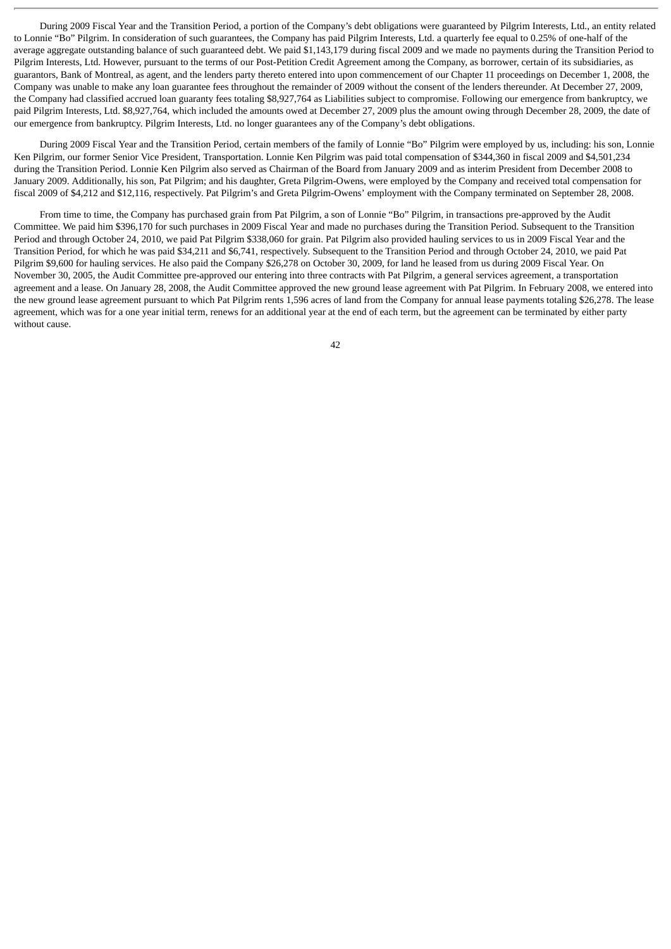During 2009 Fiscal Year and the Transition Period, a portion of the Company's debt obligations were guaranteed by Pilgrim Interests, Ltd., an entity related to Lonnie "Bo" Pilgrim. In consideration of such guarantees, the Company has paid Pilgrim Interests, Ltd. a quarterly fee equal to 0.25% of one-half of the average aggregate outstanding balance of such guaranteed debt. We paid \$1,143,179 during fiscal 2009 and we made no payments during the Transition Period to Pilgrim Interests, Ltd. However, pursuant to the terms of our Post-Petition Credit Agreement among the Company, as borrower, certain of its subsidiaries, as guarantors, Bank of Montreal, as agent, and the lenders party thereto entered into upon commencement of our Chapter 11 proceedings on December 1, 2008, the Company was unable to make any loan guarantee fees throughout the remainder of 2009 without the consent of the lenders thereunder. At December 27, 2009, the Company had classified accrued loan guaranty fees totaling \$8,927,764 as Liabilities subject to compromise. Following our emergence from bankruptcy, we paid Pilgrim Interests, Ltd. \$8,927,764, which included the amounts owed at December 27, 2009 plus the amount owing through December 28, 2009, the date of our emergence from bankruptcy. Pilgrim Interests, Ltd. no longer guarantees any of the Company's debt obligations.

During 2009 Fiscal Year and the Transition Period, certain members of the family of Lonnie "Bo" Pilgrim were employed by us, including: his son, Lonnie Ken Pilgrim, our former Senior Vice President, Transportation. Lonnie Ken Pilgrim was paid total compensation of \$344,360 in fiscal 2009 and \$4,501,234 during the Transition Period. Lonnie Ken Pilgrim also served as Chairman of the Board from January 2009 and as interim President from December 2008 to January 2009. Additionally, his son, Pat Pilgrim; and his daughter, Greta Pilgrim-Owens, were employed by the Company and received total compensation for fiscal 2009 of \$4,212 and \$12,116, respectively. Pat Pilgrim's and Greta Pilgrim-Owens' employment with the Company terminated on September 28, 2008.

From time to time, the Company has purchased grain from Pat Pilgrim, a son of Lonnie "Bo" Pilgrim, in transactions pre-approved by the Audit Committee. We paid him \$396,170 for such purchases in 2009 Fiscal Year and made no purchases during the Transition Period. Subsequent to the Transition Period and through October 24, 2010, we paid Pat Pilgrim \$338,060 for grain. Pat Pilgrim also provided hauling services to us in 2009 Fiscal Year and the Transition Period, for which he was paid \$34,211 and \$6,741, respectively. Subsequent to the Transition Period and through October 24, 2010, we paid Pat Pilgrim \$9,600 for hauling services. He also paid the Company \$26,278 on October 30, 2009, for land he leased from us during 2009 Fiscal Year. On November 30, 2005, the Audit Committee pre-approved our entering into three contracts with Pat Pilgrim, a general services agreement, a transportation agreement and a lease. On January 28, 2008, the Audit Committee approved the new ground lease agreement with Pat Pilgrim. In February 2008, we entered into the new ground lease agreement pursuant to which Pat Pilgrim rents 1,596 acres of land from the Company for annual lease payments totaling \$26,278. The lease agreement, which was for a one year initial term, renews for an additional year at the end of each term, but the agreement can be terminated by either party without cause.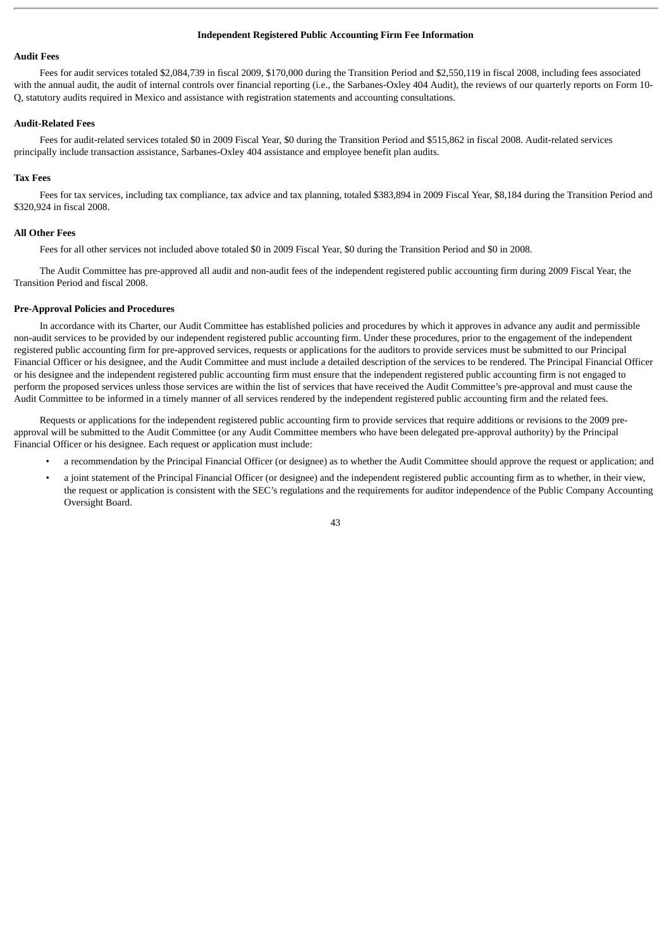# **Independent Registered Public Accounting Firm Fee Information**

# **Audit Fees**

Fees for audit services totaled \$2,084,739 in fiscal 2009, \$170,000 during the Transition Period and \$2,550,119 in fiscal 2008, including fees associated with the annual audit, the audit of internal controls over financial reporting (i.e., the Sarbanes-Oxley 404 Audit), the reviews of our quarterly reports on Form 10-Q, statutory audits required in Mexico and assistance with registration statements and accounting consultations.

# **Audit-Related Fees**

Fees for audit-related services totaled \$0 in 2009 Fiscal Year, \$0 during the Transition Period and \$515,862 in fiscal 2008. Audit-related services principally include transaction assistance, Sarbanes-Oxley 404 assistance and employee benefit plan audits.

# **Tax Fees**

Fees for tax services, including tax compliance, tax advice and tax planning, totaled \$383,894 in 2009 Fiscal Year, \$8,184 during the Transition Period and \$320,924 in fiscal 2008.

# **All Other Fees**

Fees for all other services not included above totaled \$0 in 2009 Fiscal Year, \$0 during the Transition Period and \$0 in 2008.

The Audit Committee has pre-approved all audit and non-audit fees of the independent registered public accounting firm during 2009 Fiscal Year, the Transition Period and fiscal 2008.

#### **Pre-Approval Policies and Procedures**

In accordance with its Charter, our Audit Committee has established policies and procedures by which it approves in advance any audit and permissible non-audit services to be provided by our independent registered public accounting firm. Under these procedures, prior to the engagement of the independent registered public accounting firm for pre-approved services, requests or applications for the auditors to provide services must be submitted to our Principal Financial Officer or his designee, and the Audit Committee and must include a detailed description of the services to be rendered. The Principal Financial Officer or his designee and the independent registered public accounting firm must ensure that the independent registered public accounting firm is not engaged to perform the proposed services unless those services are within the list of services that have received the Audit Committee's pre-approval and must cause the Audit Committee to be informed in a timely manner of all services rendered by the independent registered public accounting firm and the related fees.

Requests or applications for the independent registered public accounting firm to provide services that require additions or revisions to the 2009 preapproval will be submitted to the Audit Committee (or any Audit Committee members who have been delegated pre-approval authority) by the Principal Financial Officer or his designee. Each request or application must include:

- a recommendation by the Principal Financial Officer (or designee) as to whether the Audit Committee should approve the request or application; and
- a joint statement of the Principal Financial Officer (or designee) and the independent registered public accounting firm as to whether, in their view, the request or application is consistent with the SEC's regulations and the requirements for auditor independence of the Public Company Accounting Oversight Board.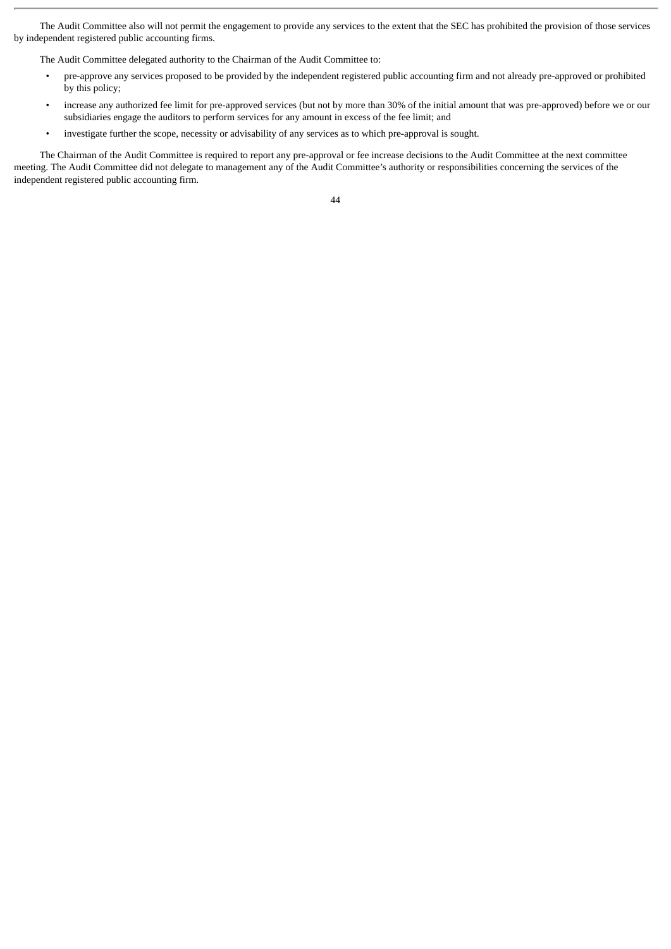The Audit Committee also will not permit the engagement to provide any services to the extent that the SEC has prohibited the provision of those services by independent registered public accounting firms.

The Audit Committee delegated authority to the Chairman of the Audit Committee to:

- pre-approve any services proposed to be provided by the independent registered public accounting firm and not already pre-approved or prohibited by this policy;
- increase any authorized fee limit for pre-approved services (but not by more than 30% of the initial amount that was pre-approved) before we or our subsidiaries engage the auditors to perform services for any amount in excess of the fee limit; and
- investigate further the scope, necessity or advisability of any services as to which pre-approval is sought.

The Chairman of the Audit Committee is required to report any pre-approval or fee increase decisions to the Audit Committee at the next committee meeting. The Audit Committee did not delegate to management any of the Audit Committee's authority or responsibilities concerning the services of the independent registered public accounting firm.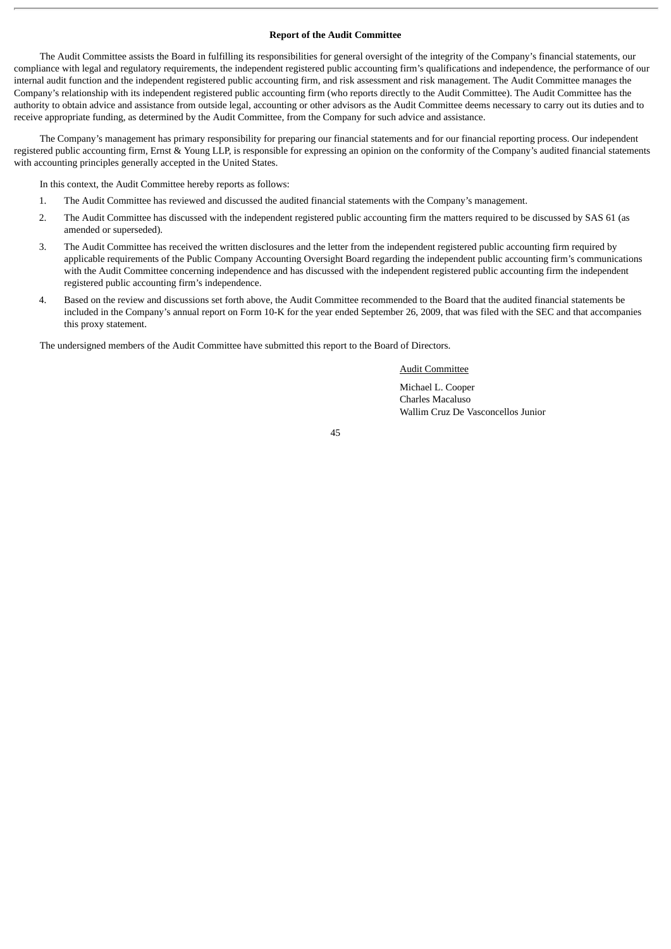# **Report of the Audit Committee**

The Audit Committee assists the Board in fulfilling its responsibilities for general oversight of the integrity of the Company's financial statements, our compliance with legal and regulatory requirements, the independent registered public accounting firm's qualifications and independence, the performance of our internal audit function and the independent registered public accounting firm, and risk assessment and risk management. The Audit Committee manages the Company's relationship with its independent registered public accounting firm (who reports directly to the Audit Committee). The Audit Committee has the authority to obtain advice and assistance from outside legal, accounting or other advisors as the Audit Committee deems necessary to carry out its duties and to receive appropriate funding, as determined by the Audit Committee, from the Company for such advice and assistance.

The Company's management has primary responsibility for preparing our financial statements and for our financial reporting process. Our independent registered public accounting firm, Ernst & Young LLP, is responsible for expressing an opinion on the conformity of the Company's audited financial statements with accounting principles generally accepted in the United States.

In this context, the Audit Committee hereby reports as follows:

- 1. The Audit Committee has reviewed and discussed the audited financial statements with the Company's management.
- 2. The Audit Committee has discussed with the independent registered public accounting firm the matters required to be discussed by SAS 61 (as amended or superseded).
- 3. The Audit Committee has received the written disclosures and the letter from the independent registered public accounting firm required by applicable requirements of the Public Company Accounting Oversight Board regarding the independent public accounting firm's communications with the Audit Committee concerning independence and has discussed with the independent registered public accounting firm the independent registered public accounting firm's independence.
- 4. Based on the review and discussions set forth above, the Audit Committee recommended to the Board that the audited financial statements be included in the Company's annual report on Form 10-K for the year ended September 26, 2009, that was filed with the SEC and that accompanies this proxy statement.

The undersigned members of the Audit Committee have submitted this report to the Board of Directors.

#### Audit Committee

Michael L. Cooper Charles Macaluso Wallim Cruz De Vasconcellos Junior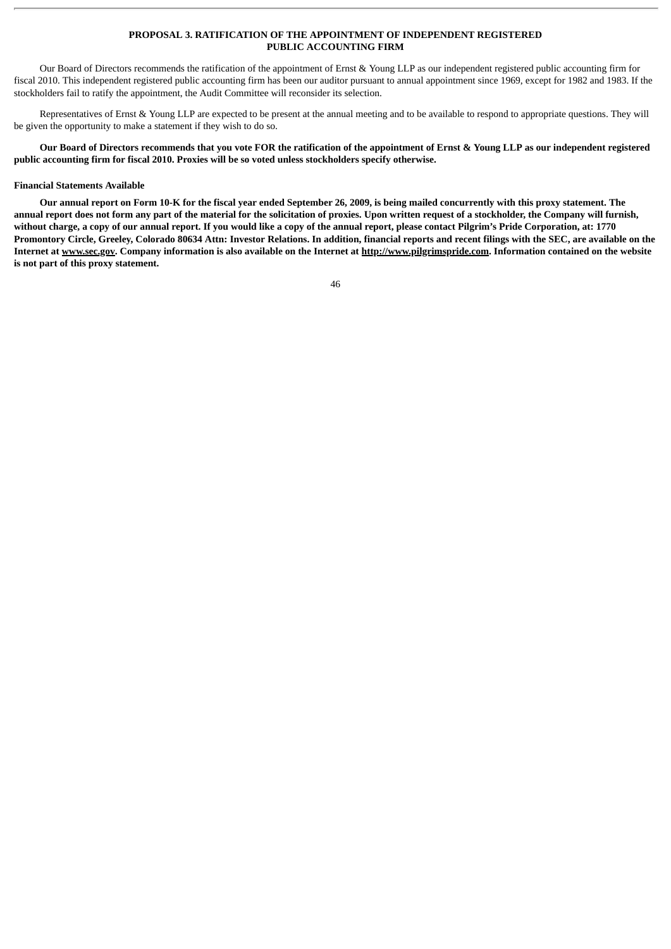# **PROPOSAL 3. RATIFICATION OF THE APPOINTMENT OF INDEPENDENT REGISTERED PUBLIC ACCOUNTING FIRM**

Our Board of Directors recommends the ratification of the appointment of Ernst & Young LLP as our independent registered public accounting firm for fiscal 2010. This independent registered public accounting firm has been our auditor pursuant to annual appointment since 1969, except for 1982 and 1983. If the stockholders fail to ratify the appointment, the Audit Committee will reconsider its selection.

Representatives of Ernst & Young LLP are expected to be present at the annual meeting and to be available to respond to appropriate questions. They will be given the opportunity to make a statement if they wish to do so.

**Our Board of Directors recommends that you vote FOR the ratification of the appointment of Ernst & Young LLP as our independent registered public accounting firm for fiscal 2010. Proxies will be so voted unless stockholders specify otherwise.**

# **Financial Statements Available**

**Our annual report on Form 10-K for the fiscal year ended September 26, 2009, is being mailed concurrently with this proxy statement. The annual report does not form any part of the material for the solicitation of proxies. Upon written request of a stockholder, the Company will furnish, without charge, a copy of our annual report. If you would like a copy of the annual report, please contact Pilgrim's Pride Corporation, at: 1770 Promontory Circle, Greeley, Colorado 80634 Attn: Investor Relations. In addition, financial reports and recent filings with the SEC, are available on the Internet at www.sec.gov. Company information is also available on the Internet at http://www.pilgrimspride.com. Information contained on the website is not part of this proxy statement.**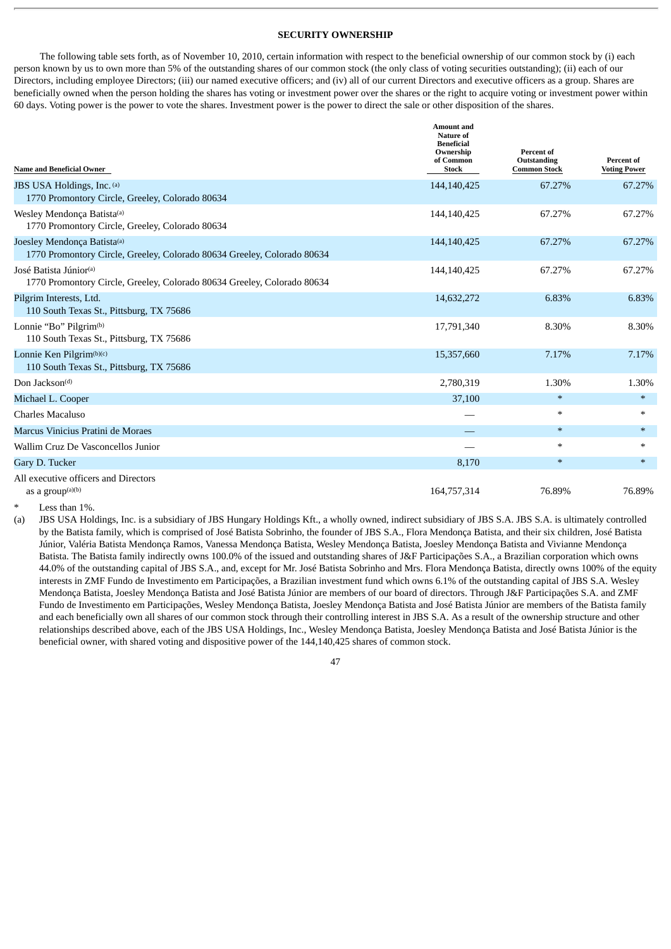# **SECURITY OWNERSHIP**

The following table sets forth, as of November 10, 2010, certain information with respect to the beneficial ownership of our common stock by (i) each person known by us to own more than 5% of the outstanding shares of our common stock (the only class of voting securities outstanding); (ii) each of our Directors, including employee Directors; (iii) our named executive officers; and (iv) all of our current Directors and executive officers as a group. Shares are beneficially owned when the person holding the shares has voting or investment power over the shares or the right to acquire voting or investment power within 60 days. Voting power is the power to vote the shares. Investment power is the power to direct the sale or other disposition of the shares.

| <b>Name and Beneficial Owner</b>                                                                              | <b>Amount</b> and<br>Nature of<br><b>Beneficial</b><br>Ownership<br>of Common<br><b>Stock</b> | Percent of<br>Outstanding<br><b>Common Stock</b> | Percent of<br><b>Voting Power</b> |
|---------------------------------------------------------------------------------------------------------------|-----------------------------------------------------------------------------------------------|--------------------------------------------------|-----------------------------------|
| JBS USA Holdings, Inc. (a)<br>1770 Promontory Circle, Greeley, Colorado 80634                                 | 144,140,425                                                                                   | 67.27%                                           | 67.27%                            |
| Wesley Mendonça Batista(a)<br>1770 Promontory Circle, Greeley, Colorado 80634                                 | 144,140,425                                                                                   | 67.27%                                           | 67.27%                            |
| Joesley Mendonça Batista(a)<br>1770 Promontory Circle, Greeley, Colorado 80634 Greeley, Colorado 80634        | 144,140,425                                                                                   | 67.27%                                           | 67.27%                            |
| José Batista Júnior <sup>(a)</sup><br>1770 Promontory Circle, Greeley, Colorado 80634 Greeley, Colorado 80634 | 144,140,425                                                                                   | 67.27%                                           | 67.27%                            |
| Pilgrim Interests, Ltd.<br>110 South Texas St., Pittsburg, TX 75686                                           | 14,632,272                                                                                    | 6.83%                                            | 6.83%                             |
| Lonnie "Bo" Pilgrim $(b)$<br>110 South Texas St., Pittsburg, TX 75686                                         | 17,791,340                                                                                    | 8.30%                                            | 8.30%                             |
| Lonnie Ken Pilgrim(b)(c)<br>110 South Texas St., Pittsburg, TX 75686                                          | 15,357,660                                                                                    | 7.17%                                            | 7.17%                             |
| Don Jackson <sup>(d)</sup>                                                                                    | 2,780,319                                                                                     | 1.30%                                            | 1.30%                             |
| Michael L. Cooper                                                                                             | 37,100                                                                                        | $\ast$                                           | $\ast$                            |
| Charles Macaluso                                                                                              |                                                                                               | $\ast$                                           | $\ast$                            |
| Marcus Vinicius Pratini de Moraes                                                                             |                                                                                               | $\ast$                                           | $\ast$                            |
| Wallim Cruz De Vasconcellos Junior                                                                            |                                                                                               | $\ast$                                           | $*$                               |
| Gary D. Tucker                                                                                                | 8,170                                                                                         | $\ast$                                           | $*$                               |
| All executive officers and Directors<br>as a group <sup>(a)(b)</sup>                                          | 164,757,314                                                                                   | 76.89%                                           | 76.89%                            |

Less than  $1\%$ .

(a) JBS USA Holdings, Inc. is a subsidiary of JBS Hungary Holdings Kft., a wholly owned, indirect subsidiary of JBS S.A. JBS S.A. is ultimately controlled by the Batista family, which is comprised of José Batista Sobrinho, the founder of JBS S.A., Flora Mendonça Batista, and their six children, José Batista Júnior, Valéria Batista Mendonça Ramos, Vanessa Mendonça Batista, Wesley Mendonça Batista, Joesley Mendonça Batista and Vivianne Mendonça Batista. The Batista family indirectly owns 100.0% of the issued and outstanding shares of J&F Participações S.A., a Brazilian corporation which owns 44.0% of the outstanding capital of JBS S.A., and, except for Mr. José Batista Sobrinho and Mrs. Flora Mendonça Batista, directly owns 100% of the equity interests in ZMF Fundo de Investimento em Participações, a Brazilian investment fund which owns 6.1% of the outstanding capital of JBS S.A. Wesley Mendonça Batista, Joesley Mendonça Batista and José Batista Júnior are members of our board of directors. Through J&F Participações S.A. and ZMF Fundo de Investimento em Participações, Wesley Mendonça Batista, Joesley Mendonça Batista and José Batista Júnior are members of the Batista family and each beneficially own all shares of our common stock through their controlling interest in JBS S.A. As a result of the ownership structure and other relationships described above, each of the JBS USA Holdings, Inc., Wesley Mendonça Batista, Joesley Mendonça Batista and José Batista Júnior is the beneficial owner, with shared voting and dispositive power of the 144,140,425 shares of common stock.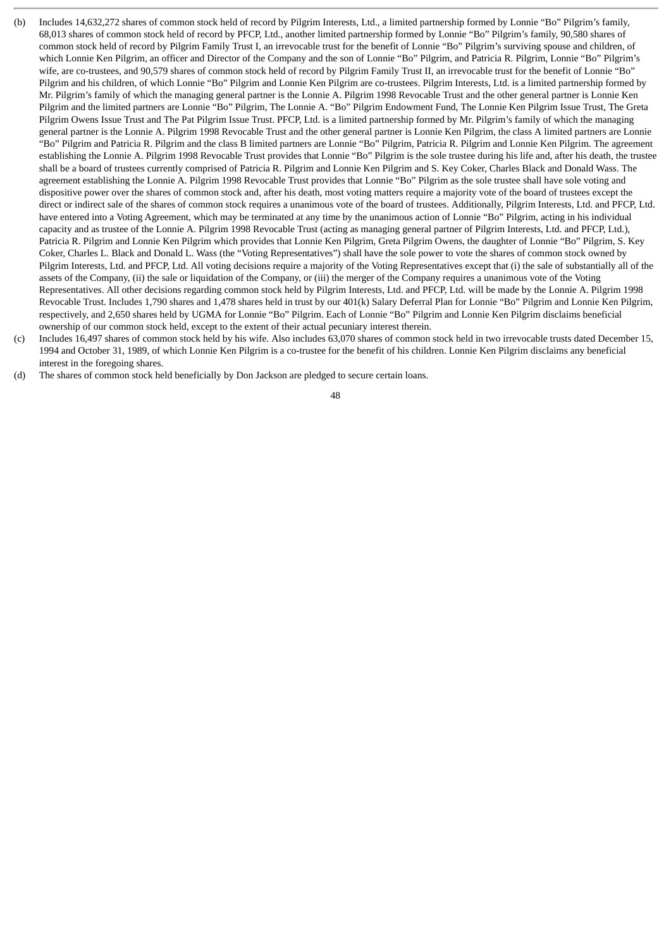- (b) Includes 14,632,272 shares of common stock held of record by Pilgrim Interests, Ltd., a limited partnership formed by Lonnie "Bo" Pilgrim's family, 68,013 shares of common stock held of record by PFCP, Ltd., another limited partnership formed by Lonnie "Bo" Pilgrim's family, 90,580 shares of common stock held of record by Pilgrim Family Trust I, an irrevocable trust for the benefit of Lonnie "Bo" Pilgrim's surviving spouse and children, of which Lonnie Ken Pilgrim, an officer and Director of the Company and the son of Lonnie "Bo" Pilgrim, and Patricia R. Pilgrim, Lonnie "Bo" Pilgrim's wife, are co-trustees, and 90,579 shares of common stock held of record by Pilgrim Family Trust II, an irrevocable trust for the benefit of Lonnie "Bo" Pilgrim and his children, of which Lonnie "Bo" Pilgrim and Lonnie Ken Pilgrim are co-trustees. Pilgrim Interests, Ltd. is a limited partnership formed by Mr. Pilgrim's family of which the managing general partner is the Lonnie A. Pilgrim 1998 Revocable Trust and the other general partner is Lonnie Ken Pilgrim and the limited partners are Lonnie "Bo" Pilgrim, The Lonnie A. "Bo" Pilgrim Endowment Fund, The Lonnie Ken Pilgrim Issue Trust, The Greta Pilgrim Owens Issue Trust and The Pat Pilgrim Issue Trust. PFCP, Ltd. is a limited partnership formed by Mr. Pilgrim's family of which the managing general partner is the Lonnie A. Pilgrim 1998 Revocable Trust and the other general partner is Lonnie Ken Pilgrim, the class A limited partners are Lonnie "Bo" Pilgrim and Patricia R. Pilgrim and the class B limited partners are Lonnie "Bo" Pilgrim, Patricia R. Pilgrim and Lonnie Ken Pilgrim. The agreement establishing the Lonnie A. Pilgrim 1998 Revocable Trust provides that Lonnie "Bo" Pilgrim is the sole trustee during his life and, after his death, the trustee shall be a board of trustees currently comprised of Patricia R. Pilgrim and Lonnie Ken Pilgrim and S. Key Coker, Charles Black and Donald Wass. The agreement establishing the Lonnie A. Pilgrim 1998 Revocable Trust provides that Lonnie "Bo" Pilgrim as the sole trustee shall have sole voting and dispositive power over the shares of common stock and, after his death, most voting matters require a majority vote of the board of trustees except the direct or indirect sale of the shares of common stock requires a unanimous vote of the board of trustees. Additionally, Pilgrim Interests, Ltd. and PFCP, Ltd. have entered into a Voting Agreement, which may be terminated at any time by the unanimous action of Lonnie "Bo" Pilgrim, acting in his individual capacity and as trustee of the Lonnie A. Pilgrim 1998 Revocable Trust (acting as managing general partner of Pilgrim Interests, Ltd. and PFCP, Ltd.), Patricia R. Pilgrim and Lonnie Ken Pilgrim which provides that Lonnie Ken Pilgrim, Greta Pilgrim Owens, the daughter of Lonnie "Bo" Pilgrim, S. Key Coker, Charles L. Black and Donald L. Wass (the "Voting Representatives") shall have the sole power to vote the shares of common stock owned by Pilgrim Interests, Ltd. and PFCP, Ltd. All voting decisions require a majority of the Voting Representatives except that (i) the sale of substantially all of the assets of the Company, (ii) the sale or liquidation of the Company, or (iii) the merger of the Company requires a unanimous vote of the Voting Representatives. All other decisions regarding common stock held by Pilgrim Interests, Ltd. and PFCP, Ltd. will be made by the Lonnie A. Pilgrim 1998 Revocable Trust. Includes 1,790 shares and 1,478 shares held in trust by our 401(k) Salary Deferral Plan for Lonnie "Bo" Pilgrim and Lonnie Ken Pilgrim, respectively, and 2,650 shares held by UGMA for Lonnie "Bo" Pilgrim. Each of Lonnie "Bo" Pilgrim and Lonnie Ken Pilgrim disclaims beneficial ownership of our common stock held, except to the extent of their actual pecuniary interest therein.
- (c) Includes 16,497 shares of common stock held by his wife. Also includes 63,070 shares of common stock held in two irrevocable trusts dated December 15, 1994 and October 31, 1989, of which Lonnie Ken Pilgrim is a co-trustee for the benefit of his children. Lonnie Ken Pilgrim disclaims any beneficial interest in the foregoing shares.
- (d) The shares of common stock held beneficially by Don Jackson are pledged to secure certain loans.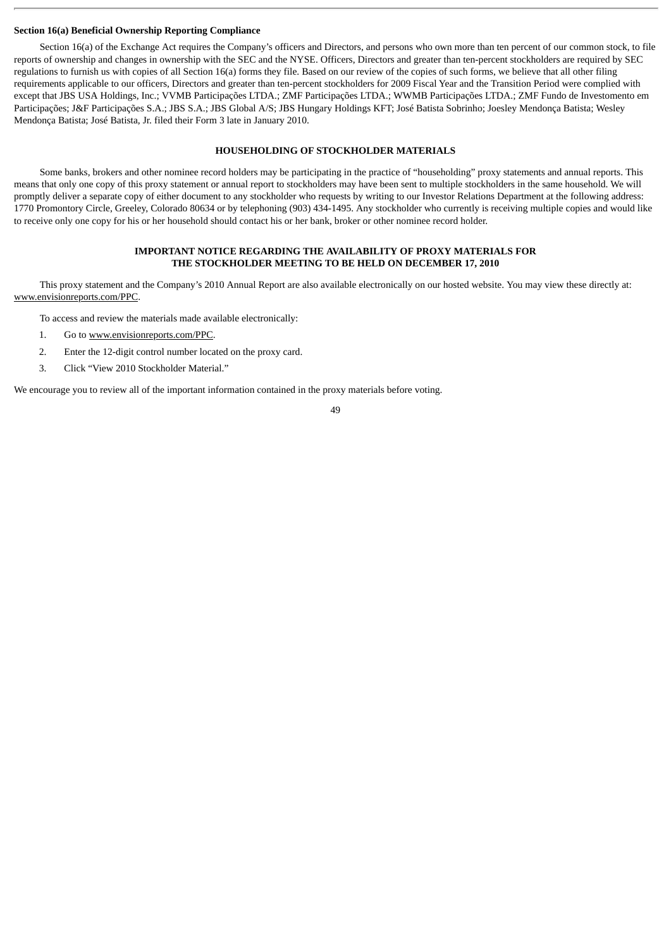# **Section 16(a) Beneficial Ownership Reporting Compliance**

Section 16(a) of the Exchange Act requires the Company's officers and Directors, and persons who own more than ten percent of our common stock, to file reports of ownership and changes in ownership with the SEC and the NYSE. Officers, Directors and greater than ten-percent stockholders are required by SEC regulations to furnish us with copies of all Section 16(a) forms they file. Based on our review of the copies of such forms, we believe that all other filing requirements applicable to our officers, Directors and greater than ten-percent stockholders for 2009 Fiscal Year and the Transition Period were complied with except that JBS USA Holdings, Inc.; VVMB Participações LTDA.; ZMF Participações LTDA.; WWMB Participações LTDA.; ZMF Fundo de Investomento em Participações; J&F Participações S.A.; JBS S.A.; JBS Global A/S; JBS Hungary Holdings KFT; José Batista Sobrinho; Joesley Mendonça Batista; Wesley Mendonça Batista; José Batista, Jr. filed their Form 3 late in January 2010.

# **HOUSEHOLDING OF STOCKHOLDER MATERIALS**

Some banks, brokers and other nominee record holders may be participating in the practice of "householding" proxy statements and annual reports. This means that only one copy of this proxy statement or annual report to stockholders may have been sent to multiple stockholders in the same household. We will promptly deliver a separate copy of either document to any stockholder who requests by writing to our Investor Relations Department at the following address: 1770 Promontory Circle, Greeley, Colorado 80634 or by telephoning (903) 434-1495. Any stockholder who currently is receiving multiple copies and would like to receive only one copy for his or her household should contact his or her bank, broker or other nominee record holder.

# **IMPORTANT NOTICE REGARDING THE AVAILABILITY OF PROXY MATERIALS FOR THE STOCKHOLDER MEETING TO BE HELD ON DECEMBER 17, 2010**

This proxy statement and the Company's 2010 Annual Report are also available electronically on our hosted website. You may view these directly at: www.envisionreports.com/PPC.

To access and review the materials made available electronically:

- 1. Go to www.envisionreports.com/PPC.
- 2. Enter the 12-digit control number located on the proxy card.
- 3. Click "View 2010 Stockholder Material."

We encourage you to review all of the important information contained in the proxy materials before voting.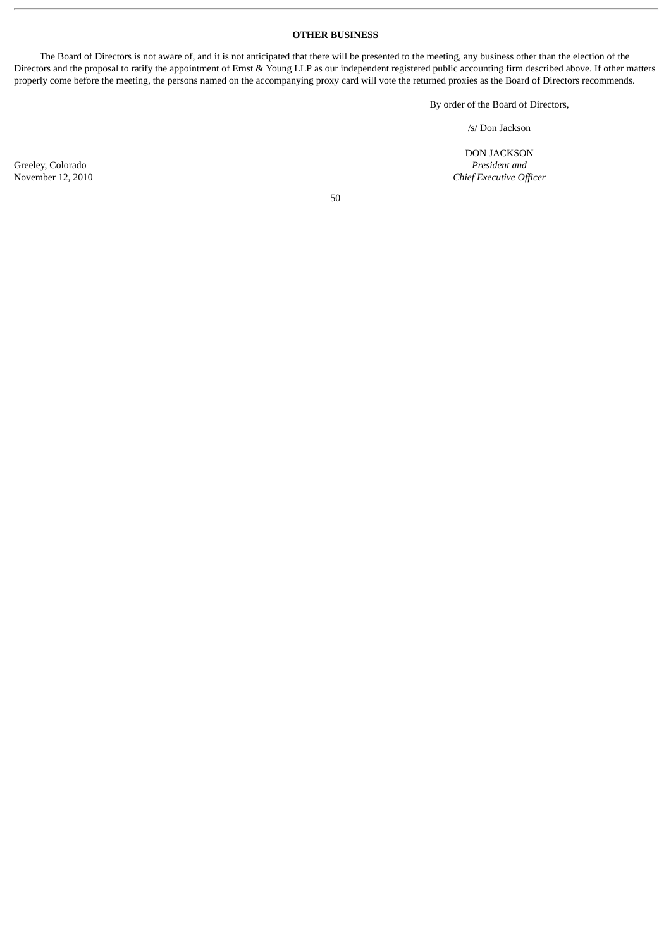# **OTHER BUSINESS**

The Board of Directors is not aware of, and it is not anticipated that there will be presented to the meeting, any business other than the election of the Directors and the proposal to ratify the appointment of Ernst & Young LLP as our independent registered public accounting firm described above. If other matters properly come before the meeting, the persons named on the accompanying proxy card will vote the returned proxies as the Board of Directors recommends.

By order of the Board of Directors,

/s/ Don Jackson

DON JACKSON Greeley, Colorado *President and* November 12, 2010 *Chief Executive Officer*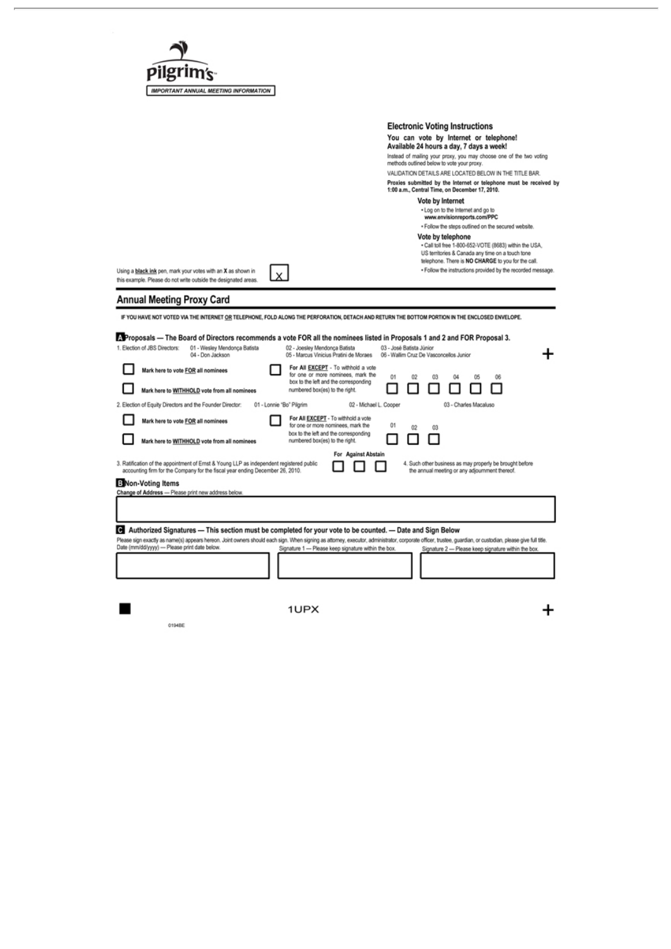| IMPORTANT ANNUAL MEETING INFORMATION                                                                                                                                      |                                                                                                                                                                                                              |
|---------------------------------------------------------------------------------------------------------------------------------------------------------------------------|--------------------------------------------------------------------------------------------------------------------------------------------------------------------------------------------------------------|
|                                                                                                                                                                           | <b>Electronic Voting Instructions</b>                                                                                                                                                                        |
|                                                                                                                                                                           | You can vote by Internet or telephone!<br>Available 24 hours a day, 7 days a week!                                                                                                                           |
|                                                                                                                                                                           | Instead of mailing your proxy, you may choose one of the two voting<br>methods outlined below to vote your proxy.                                                                                            |
|                                                                                                                                                                           | VALIDATION DETAILS ARE LOCATED BELOW IN THE TITLE BAR.                                                                                                                                                       |
|                                                                                                                                                                           | Proxies submitted by the Internet or telephone must be received by<br>1:00 a.m., Central Time, on December 17, 2010.                                                                                         |
|                                                                                                                                                                           | Vote by Internet                                                                                                                                                                                             |
|                                                                                                                                                                           | . Log on to the Internet and go to<br>www.envisionreports.com/PPC                                                                                                                                            |
|                                                                                                                                                                           | · Follow the steps outlined on the secured website.                                                                                                                                                          |
|                                                                                                                                                                           | Vote by telephone<br>. Call toll free 1-800-652-VOTE (8683) within the USA,<br>US territories & Canada any time on a touch tone                                                                              |
| Using a black ink pen, mark your votes with an X as shown in                                                                                                              | telephone. There is NO CHARGE to you for the call.<br>· Follow the instructions provided by the recorded message.                                                                                            |
| this example. Please do not write outside the designated areas.                                                                                                           |                                                                                                                                                                                                              |
| <b>Annual Meeting Proxy Card</b>                                                                                                                                          |                                                                                                                                                                                                              |
|                                                                                                                                                                           | IF YOU HAVE NOT VOTED VIA THE INTERNET OR TELEPHONE, FOLD ALONG THE PERFORATION, DETACH AND RETURN THE BOTTOM PORTION IN THE ENCLOSED ENVELOPE.                                                              |
|                                                                                                                                                                           |                                                                                                                                                                                                              |
|                                                                                                                                                                           | 2. Proposals - The Board of Directors recommends a vote FOR all the nominees listed in Proposals 1 and 2 and FOR Proposal 3.                                                                                 |
| 1. Election of JBS Directors:<br>01 - Wesley Mendonça Batista<br>04 - Don Jackson                                                                                         | 02 - Joesley Mendonça Batista<br>03 - José Batista Júnior<br>05 - Marcus Vinicius Pratini de Moraes<br>06 - Wallim Cruz De Vasconcellos Junior                                                               |
| Mark here to vote FOR all nominees                                                                                                                                        | For All EXCEPT - To withhold a vote<br>for one or more nominees, mark the<br>01<br>02<br>04<br>05<br>06<br>O3<br>box to the left and the corresponding                                                       |
| Mark here to WITHHOLD vote from all nominees                                                                                                                              | numbered box(es) to the right.                                                                                                                                                                               |
| 2. Election of Equity Directors and the Founder Director:                                                                                                                 | 01 - Lonnie "Bo" Pilgrim<br>02 - Michael L. Cooper<br>03 - Charles Macaluso                                                                                                                                  |
| Mark here to vote FOR all nominees                                                                                                                                        | For All EXCEPT - To withhold a vote<br>for one or more nominees, mark the<br>01<br>02<br>Ō3                                                                                                                  |
| Mark here to WITHHOLD vote from all nominees                                                                                                                              | box to the left and the corresponding<br>numbered box(es) to the right.                                                                                                                                      |
| 3. Ratification of the appointment of Ernst & Young LLP as independent registered public<br>accounting firm for the Company for the fiscal year ending December 26, 2010. | For Against Abstain<br>4. Such other business as may properly be brought before<br>the annual meeting or any adjoumment thereof.                                                                             |
| <b>E</b> Non-Voting Items                                                                                                                                                 |                                                                                                                                                                                                              |
| Change of Address - Please print new address below.                                                                                                                       |                                                                                                                                                                                                              |
|                                                                                                                                                                           |                                                                                                                                                                                                              |
|                                                                                                                                                                           | Authorized Signatures - This section must be completed for your vote to be counted. - Date and Sign Below                                                                                                    |
| Date (mm/dd/yyyy) - Please print date below.                                                                                                                              | Please sign exactly as name(s) appears hereon. Joint owners should each sign. When signing as attorney, executor, administrator, corporate officer, trustee, guardian, or custodian, please give full title. |
|                                                                                                                                                                           | Signature 1 - Please keep signature within the box.<br>Signature 2 - Please keep signature within the box.                                                                                                   |
|                                                                                                                                                                           |                                                                                                                                                                                                              |
|                                                                                                                                                                           |                                                                                                                                                                                                              |
|                                                                                                                                                                           |                                                                                                                                                                                                              |
|                                                                                                                                                                           | 11153                                                                                                                                                                                                        |

0194BE

1UPX